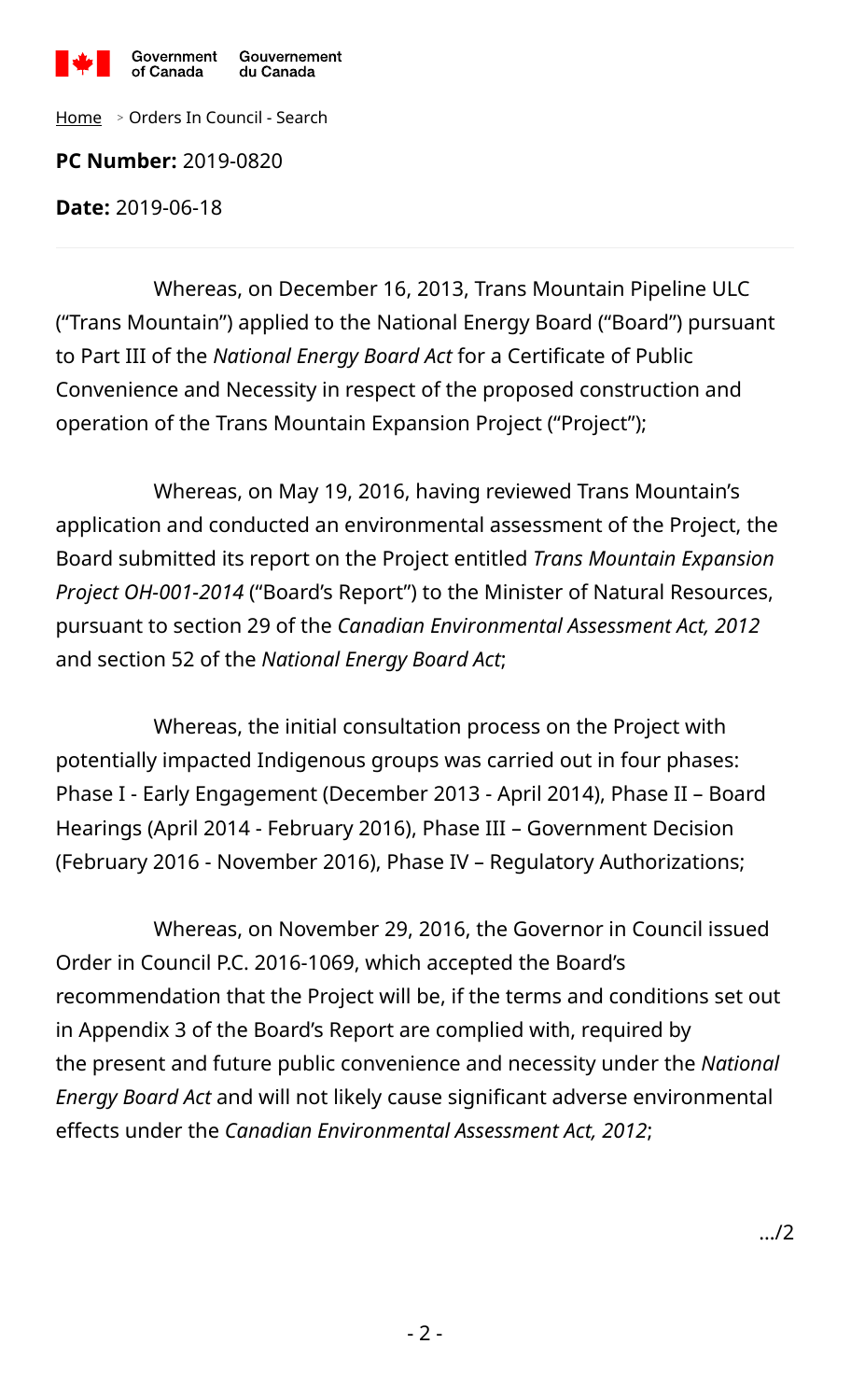

[Home](https://www.canada.ca/en/privy-council/services/orders-in-council.html?lang=en) <sup>&</sup>gt; Orders In Council - Search

**PC Number:** 2019-0820

**Date:** 2019-06-18

Whereas, on December 16, 2013, Trans Mountain Pipeline ULC ("Trans Mountain") applied to the National Energy Board ("Board") pursuant to Part III of the *National Energy Board Act* for a Certificate of Public Convenience and Necessity in respect of the proposed construction and operation of the Trans Mountain Expansion Project ("Project");

Whereas, on May 19, 2016, having reviewed Trans Mountain's application and conducted an environmental assessment of the Project, the Board submitted its report on the Project entitled *Trans Mountain Expansion Project OH-001-2014* ("Board's Report") to the Minister of Natural Resources, pursuant to section 29 of the *Canadian Environmental Assessment Act, 2012* and section 52 of the *National Energy Board Act*;

Whereas, the initial consultation process on the Project with potentially impacted Indigenous groups was carried out in four phases: Phase I - Early Engagement (December 2013 - April 2014), Phase II – Board Hearings (April 2014 - February 2016), Phase III – Government Decision (February 2016 - November 2016), Phase IV – Regulatory Authorizations;

Whereas, on November 29, 2016, the Governor in Council issued Order in Council P.C. 2016-1069, which accepted the Board's recommendation that the Project will be, if the terms and conditions set out in Appendix 3 of the Board's Report are complied with, required by the present and future public convenience and necessity under the *National Energy Board Act* and will not likely cause significant adverse environmental effects under the *Canadian Environmental Assessment Act, 2012*;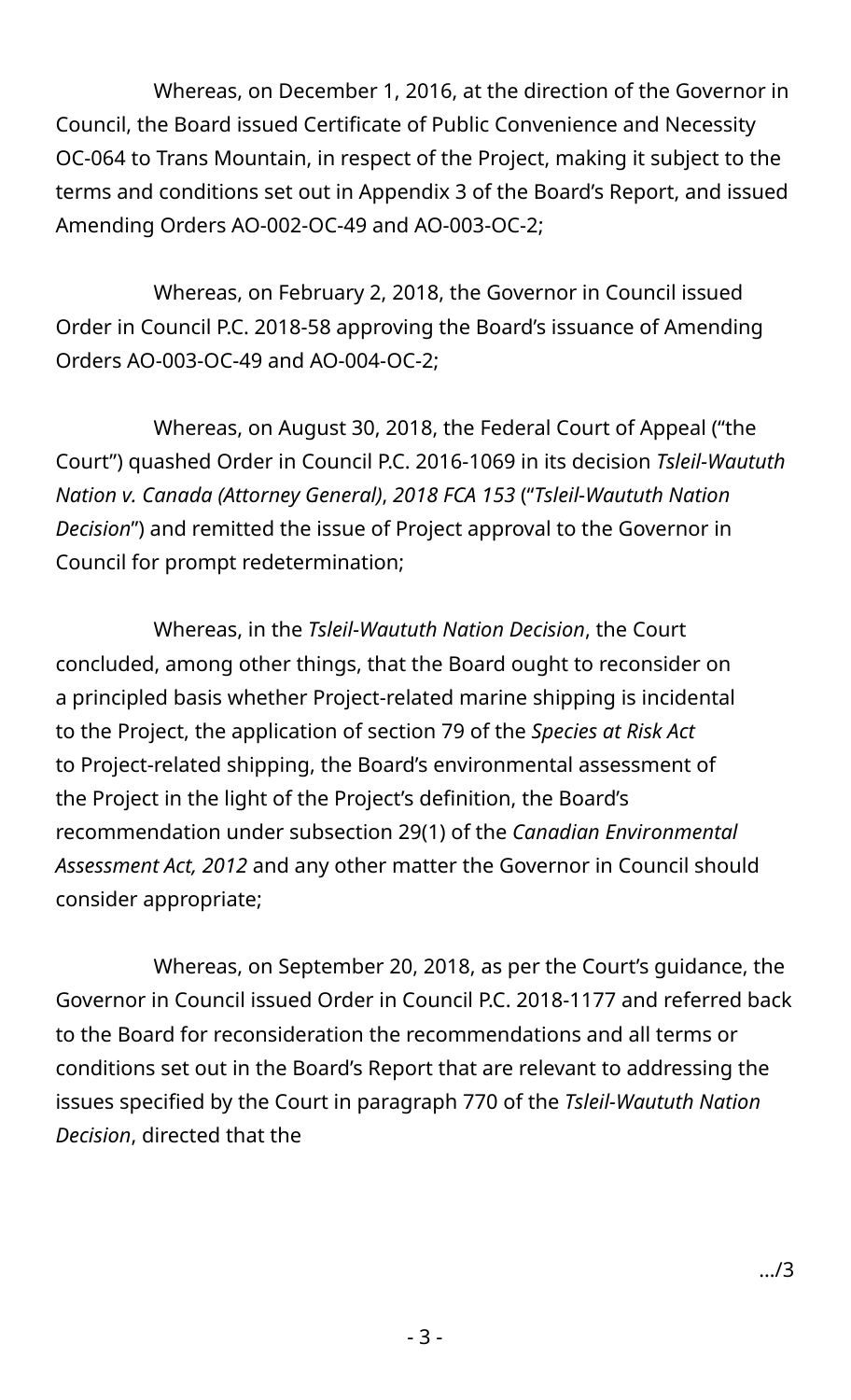Whereas, on December 1, 2016, at the direction of the Governor in Council, the Board issued Certificate of Public Convenience and Necessity OC-064 to Trans Mountain, in respect of the Project, making it subject to the terms and conditions set out in Appendix 3 of the Board's Report, and issued Amending Orders AO-002-OC-49 and AO-003-OC-2;

Whereas, on February 2, 2018, the Governor in Council issued Order in Council P.C. 2018-58 approving the Board's issuance of Amending Orders AO-003-OC-49 and AO-004-OC-2;

Whereas, on August 30, 2018, the Federal Court of Appeal ("the Court") quashed Order in Council P.C. 2016-1069 in its decision *Tsleil-Waututh Nation v. Canada (Attorney General)*, *2018 FCA 153* ("*Tsleil-Waututh Nation Decision*") and remitted the issue of Project approval to the Governor in Council for prompt redetermination;

Whereas, in the *Tsleil-Waututh Nation Decision*, the Court concluded, among other things, that the Board ought to reconsider on a principled basis whether Project-related marine shipping is incidental to the Project, the application of section 79 of the *Species at Risk Act* to Project-related shipping, the Board's environmental assessment of the Project in the light of the Project's definition, the Board's recommendation under subsection 29(1) of the *Canadian Environmental Assessment Act, 2012* and any other matter the Governor in Council should consider appropriate;

Whereas, on September 20, 2018, as per the Court's guidance, the Governor in Council issued Order in Council P.C. 2018-1177 and referred back to the Board for reconsideration the recommendations and all terms or conditions set out in the Board's Report that are relevant to addressing the issues specified by the Court in paragraph 770 of the *Tsleil-Waututh Nation Decision*, directed that the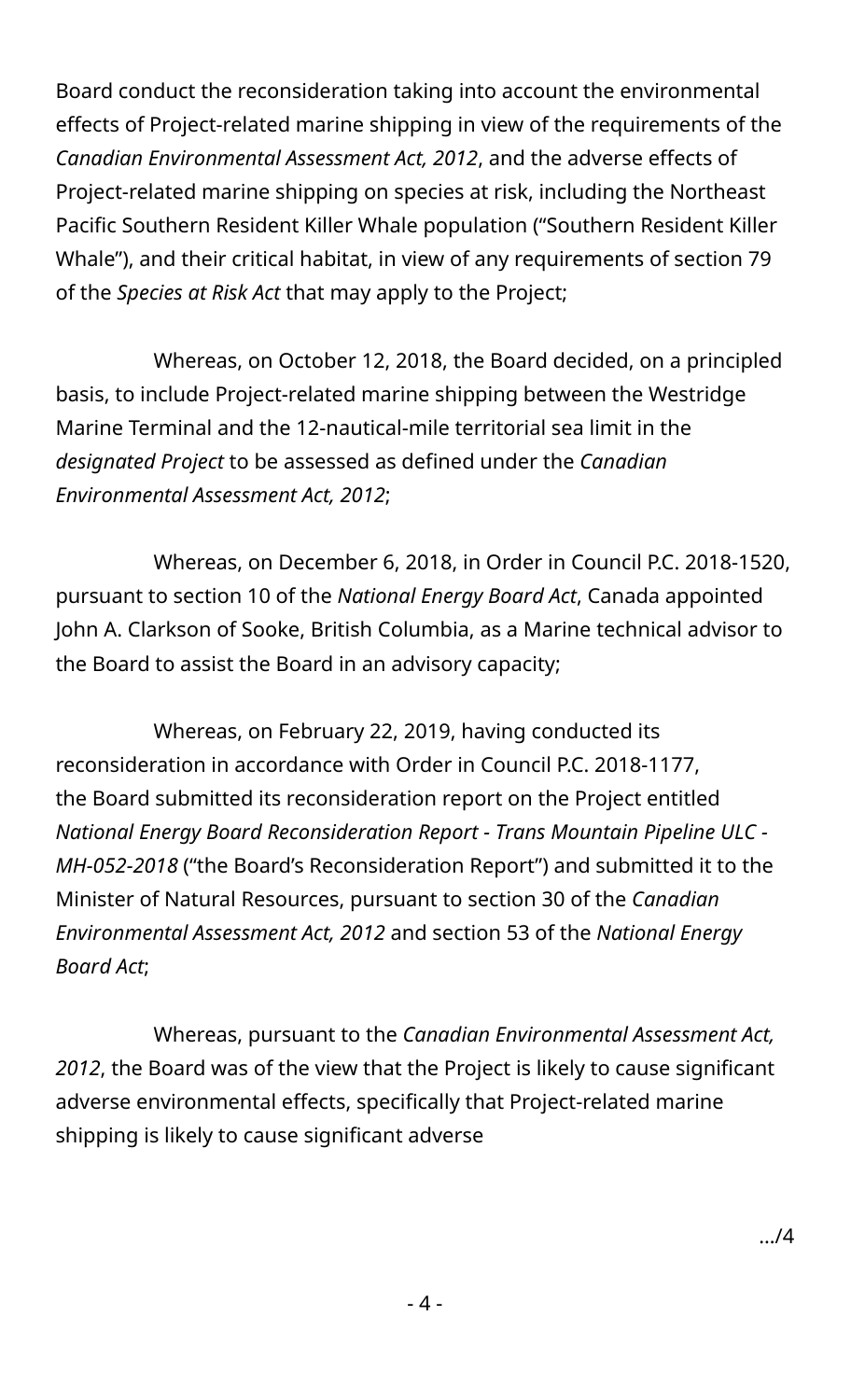Board conduct the reconsideration taking into account the environmental effects of Project-related marine shipping in view of the requirements of the *Canadian Environmental Assessment Act, 2012*, and the adverse effects of Project-related marine shipping on species at risk, including the Northeast Pacific Southern Resident Killer Whale population ("Southern Resident Killer Whale"), and their critical habitat, in view of any requirements of section 79 of the *Species at Risk Act* that may apply to the Project;

Whereas, on October 12, 2018, the Board decided, on a principled basis, to include Project-related marine shipping between the Westridge Marine Terminal and the 12-nautical-mile territorial sea limit in the *designated Project* to be assessed as defined under the *Canadian Environmental Assessment Act, 2012*;

Whereas, on December 6, 2018, in Order in Council P.C. 2018-1520, pursuant to section 10 of the *National Energy Board Act*, Canada appointed John A. Clarkson of Sooke, British Columbia, as a Marine technical advisor to the Board to assist the Board in an advisory capacity;

Whereas, on February 22, 2019, having conducted its reconsideration in accordance with Order in Council P.C. 2018-1177, the Board submitted its reconsideration report on the Project entitled *National Energy Board Reconsideration Report - Trans Mountain Pipeline ULC - MH-052-2018* ("the Board's Reconsideration Report") and submitted it to the Minister of Natural Resources, pursuant to section 30 of the *Canadian Environmental Assessment Act, 2012* and section 53 of the *National Energy Board Act*;

Whereas, pursuant to the *Canadian Environmental Assessment Act, 2012*, the Board was of the view that the Project is likely to cause significant adverse environmental effects, specifically that Project-related marine shipping is likely to cause significant adverse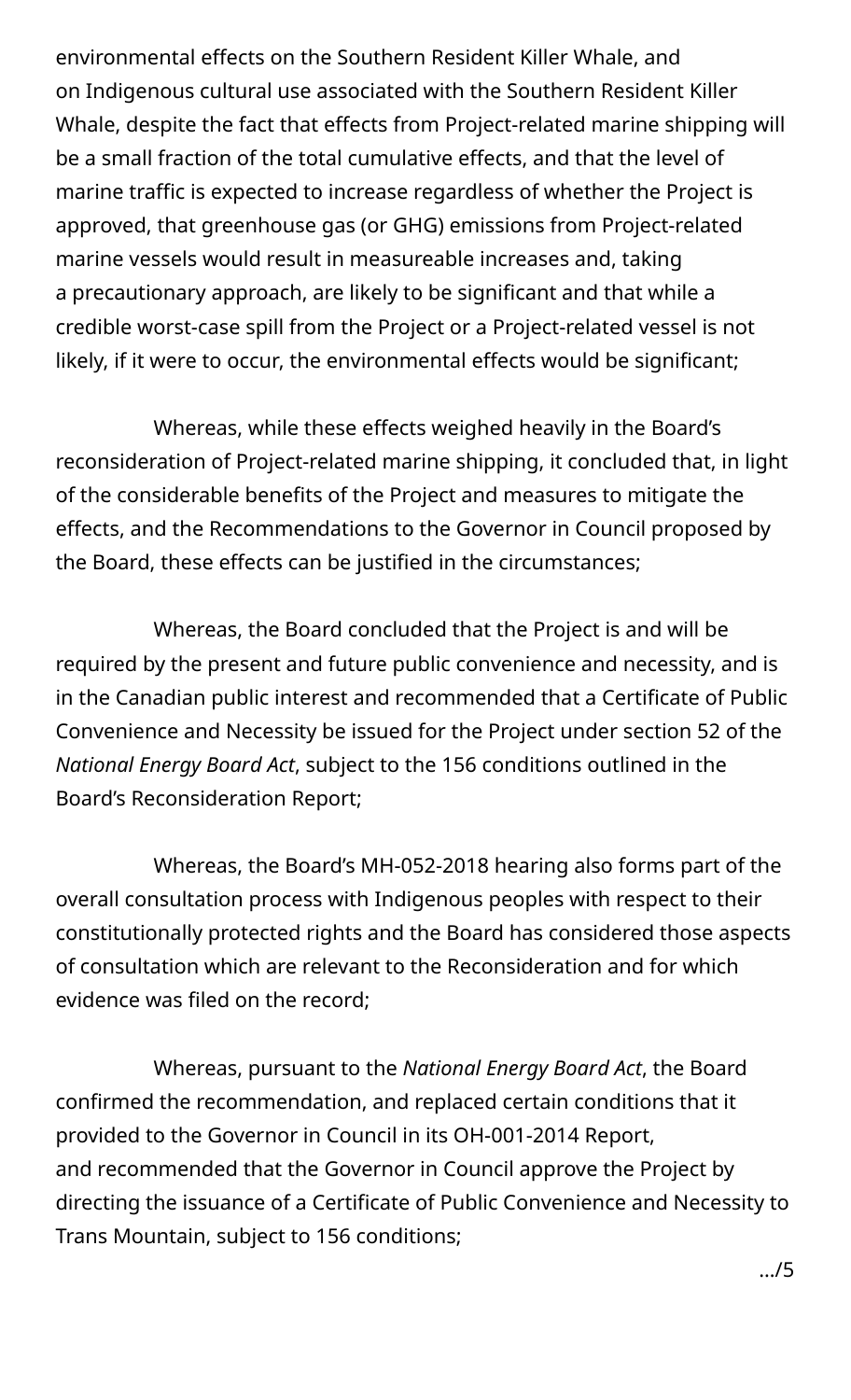environmental effects on the Southern Resident Killer Whale, and on Indigenous cultural use associated with the Southern Resident Killer Whale, despite the fact that effects from Project-related marine shipping will be a small fraction of the total cumulative effects, and that the level of marine traffic is expected to increase regardless of whether the Project is approved, that greenhouse gas (or GHG) emissions from Project-related marine vessels would result in measureable increases and, taking a precautionary approach, are likely to be significant and that while a credible worst-case spill from the Project or a Project-related vessel is not likely, if it were to occur, the environmental effects would be significant;

Whereas, while these effects weighed heavily in the Board's reconsideration of Project-related marine shipping, it concluded that, in light of the considerable benefits of the Project and measures to mitigate the effects, and the Recommendations to the Governor in Council proposed by the Board, these effects can be justified in the circumstances;

Whereas, the Board concluded that the Project is and will be required by the present and future public convenience and necessity, and is in the Canadian public interest and recommended that a Certificate of Public Convenience and Necessity be issued for the Project under section 52 of the *National Energy Board Act*, subject to the 156 conditions outlined in the Board's Reconsideration Report;

Whereas, the Board's MH-052-2018 hearing also forms part of the overall consultation process with Indigenous peoples with respect to their constitutionally protected rights and the Board has considered those aspects of consultation which are relevant to the Reconsideration and for which evidence was filed on the record;

Whereas, pursuant to the *National Energy Board Act*, the Board confirmed the recommendation, and replaced certain conditions that it provided to the Governor in Council in its OH-001-2014 Report, and recommended that the Governor in Council approve the Project by directing the issuance of a Certificate of Public Convenience and Necessity to Trans Mountain, subject to 156 conditions;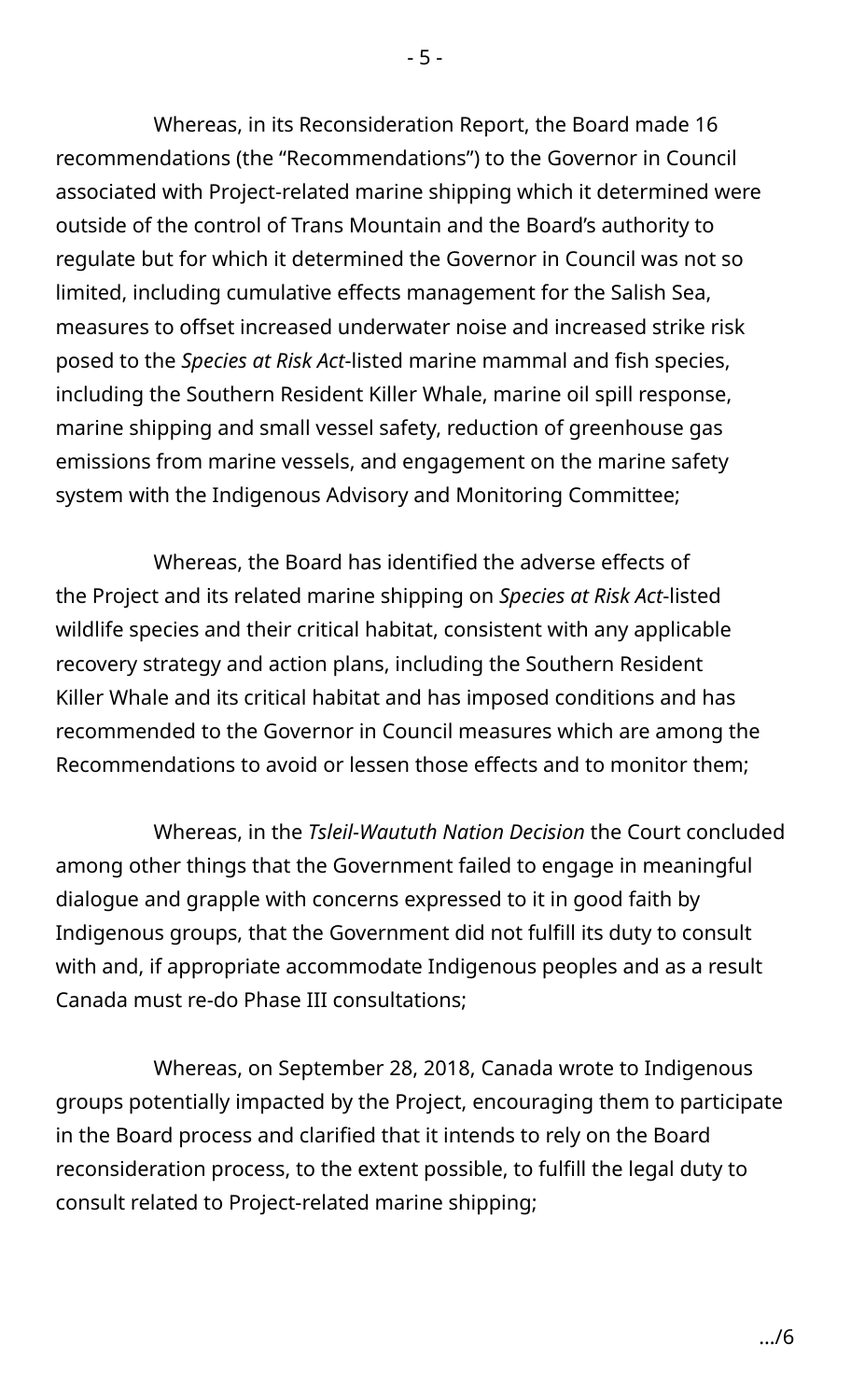Whereas, in its Reconsideration Report, the Board made 16 recommendations (the "Recommendations") to the Governor in Council associated with Project-related marine shipping which it determined were outside of the control of Trans Mountain and the Board's authority to regulate but for which it determined the Governor in Council was not so limited, including cumulative effects management for the Salish Sea, measures to offset increased underwater noise and increased strike risk posed to the *Species at Risk Act*-listed marine mammal and fish species, including the Southern Resident Killer Whale, marine oil spill response, marine shipping and small vessel safety, reduction of greenhouse gas emissions from marine vessels, and engagement on the marine safety system with the Indigenous Advisory and Monitoring Committee;

Whereas, the Board has identified the adverse effects of the Project and its related marine shipping on *Species at Risk Act*-listed wildlife species and their critical habitat, consistent with any applicable recovery strategy and action plans, including the Southern Resident Killer Whale and its critical habitat and has imposed conditions and has recommended to the Governor in Council measures which are among the Recommendations to avoid or lessen those effects and to monitor them;

Whereas, in the *Tsleil-Waututh Nation Decision* the Court concluded among other things that the Government failed to engage in meaningful dialogue and grapple with concerns expressed to it in good faith by Indigenous groups, that the Government did not fulfill its duty to consult with and, if appropriate accommodate Indigenous peoples and as a result Canada must re-do Phase III consultations;

Whereas, on September 28, 2018, Canada wrote to Indigenous groups potentially impacted by the Project, encouraging them to participate in the Board process and clarified that it intends to rely on the Board reconsideration process, to the extent possible, to fulfill the legal duty to consult related to Project-related marine shipping;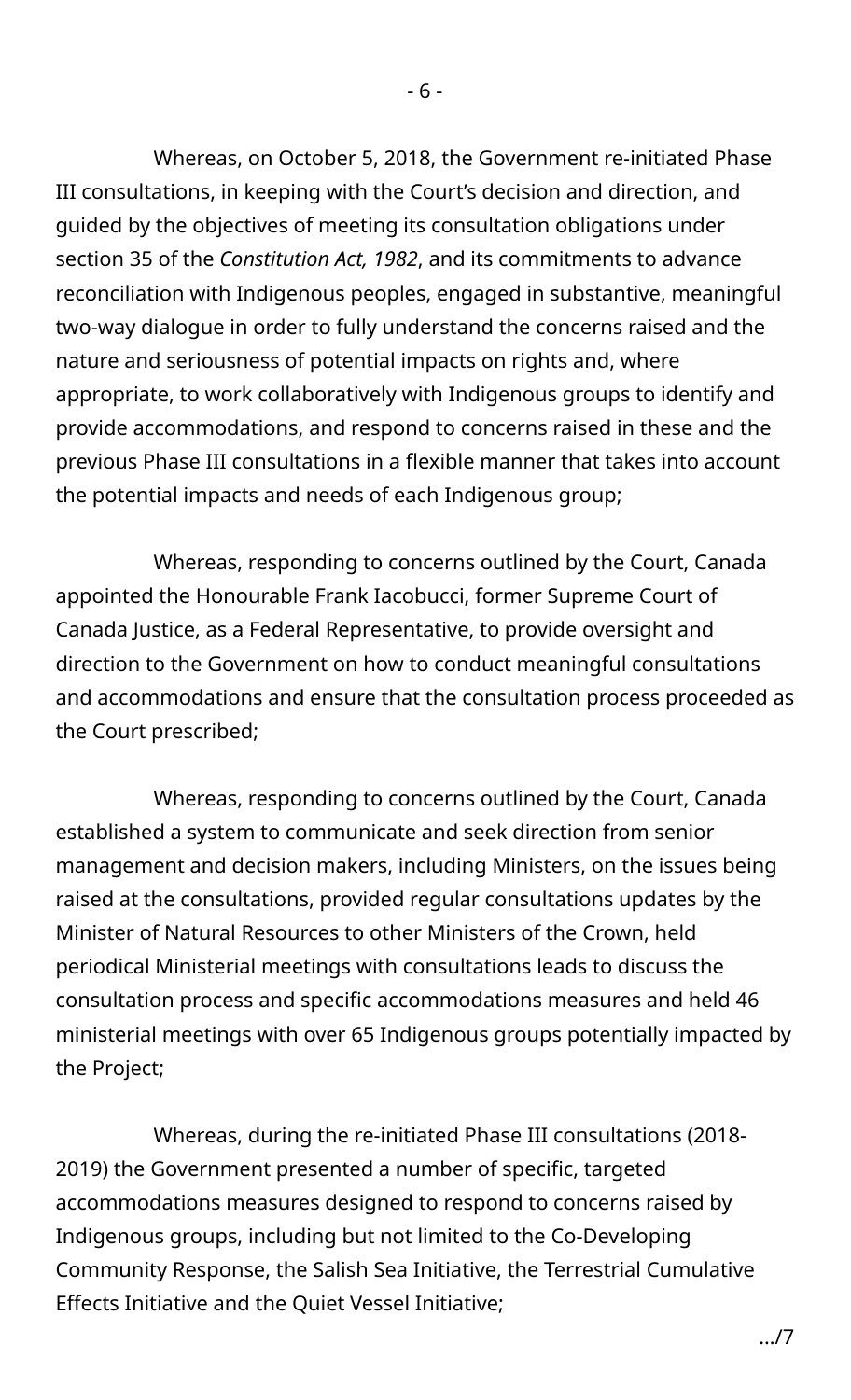Whereas, on October 5, 2018, the Government re-initiated Phase III consultations, in keeping with the Court's decision and direction, and guided by the objectives of meeting its consultation obligations under section 35 of the *Constitution Act, 1982*, and its commitments to advance reconciliation with Indigenous peoples, engaged in substantive, meaningful two-way dialogue in order to fully understand the concerns raised and the nature and seriousness of potential impacts on rights and, where appropriate, to work collaboratively with Indigenous groups to identify and provide accommodations, and respond to concerns raised in these and the previous Phase III consultations in a flexible manner that takes into account the potential impacts and needs of each Indigenous group;

Whereas, responding to concerns outlined by the Court, Canada appointed the Honourable Frank Iacobucci, former Supreme Court of Canada Justice, as a Federal Representative, to provide oversight and direction to the Government on how to conduct meaningful consultations and accommodations and ensure that the consultation process proceeded as the Court prescribed;

Whereas, responding to concerns outlined by the Court, Canada established a system to communicate and seek direction from senior management and decision makers, including Ministers, on the issues being raised at the consultations, provided regular consultations updates by the Minister of Natural Resources to other Ministers of the Crown, held periodical Ministerial meetings with consultations leads to discuss the consultation process and specific accommodations measures and held 46 ministerial meetings with over 65 Indigenous groups potentially impacted by the Project;

Whereas, during the re-initiated Phase III consultations (2018- 2019) the Government presented a number of specific, targeted accommodations measures designed to respond to concerns raised by Indigenous groups, including but not limited to the Co-Developing Community Response, the Salish Sea Initiative, the Terrestrial Cumulative Effects Initiative and the Quiet Vessel Initiative;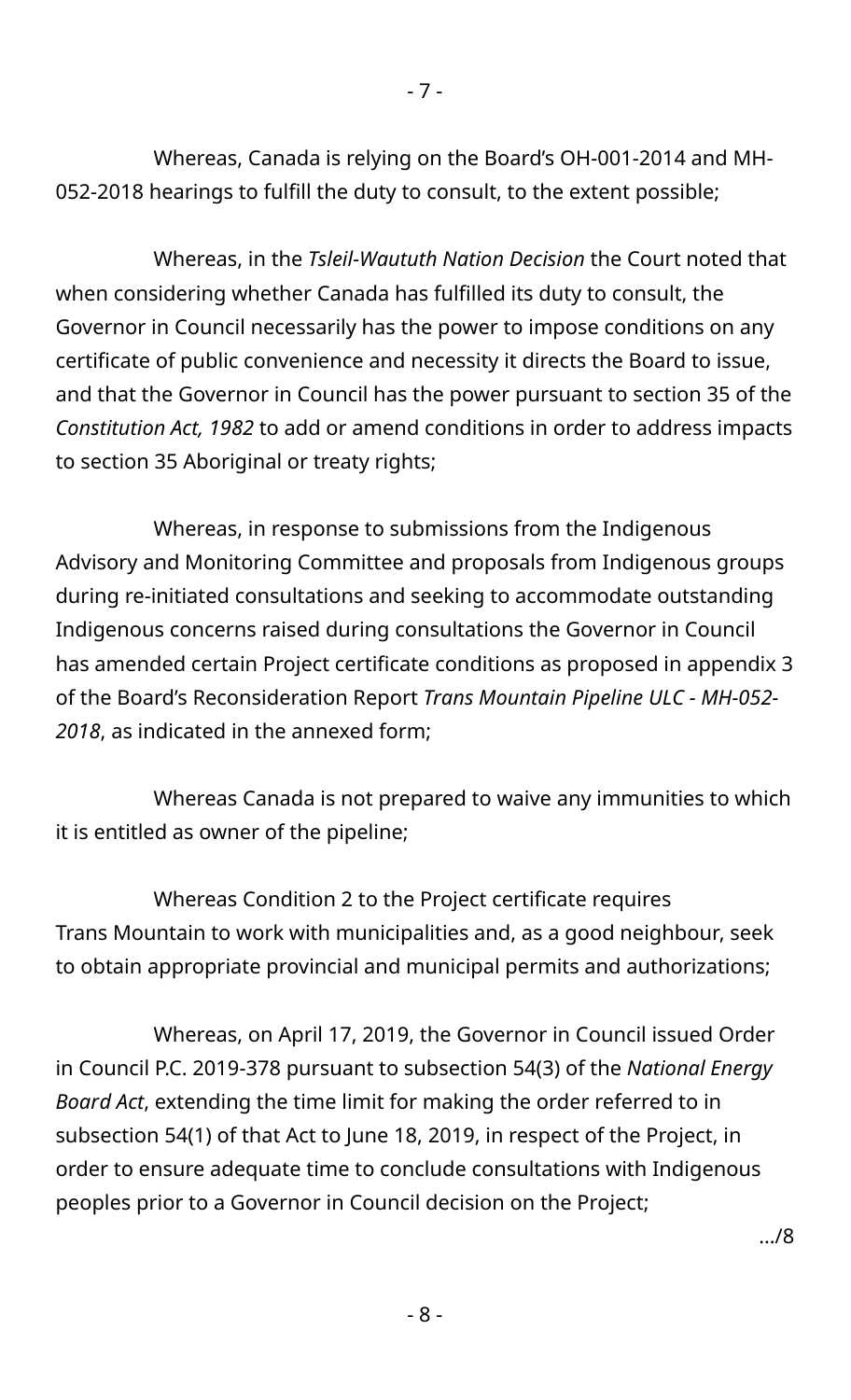Whereas, Canada is relying on the Board's OH-001-2014 and MH-052-2018 hearings to fulfill the duty to consult, to the extent possible;

Whereas, in the *Tsleil-Waututh Nation Decision* the Court noted that when considering whether Canada has fulfilled its duty to consult, the Governor in Council necessarily has the power to impose conditions on any certificate of public convenience and necessity it directs the Board to issue, and that the Governor in Council has the power pursuant to section 35 of the *Constitution Act, 1982* to add or amend conditions in order to address impacts to section 35 Aboriginal or treaty rights;

Whereas, in response to submissions from the Indigenous Advisory and Monitoring Committee and proposals from Indigenous groups during re-initiated consultations and seeking to accommodate outstanding Indigenous concerns raised during consultations the Governor in Council has amended certain Project certificate conditions as proposed in appendix 3 of the Board's Reconsideration Report *Trans Mountain Pipeline ULC - MH-052- 2018*, as indicated in the annexed form;

Whereas Canada is not prepared to waive any immunities to which it is entitled as owner of the pipeline;

Whereas Condition 2 to the Project certificate requires Trans Mountain to work with municipalities and, as a good neighbour, seek to obtain appropriate provincial and municipal permits and authorizations;

Whereas, on April 17, 2019, the Governor in Council issued Order in Council P.C. 2019-378 pursuant to subsection 54(3) of the *National Energy Board Act*, extending the time limit for making the order referred to in subsection 54(1) of that Act to June 18, 2019, in respect of the Project, in order to ensure adequate time to conclude consultations with Indigenous peoples prior to a Governor in Council decision on the Project;

…/8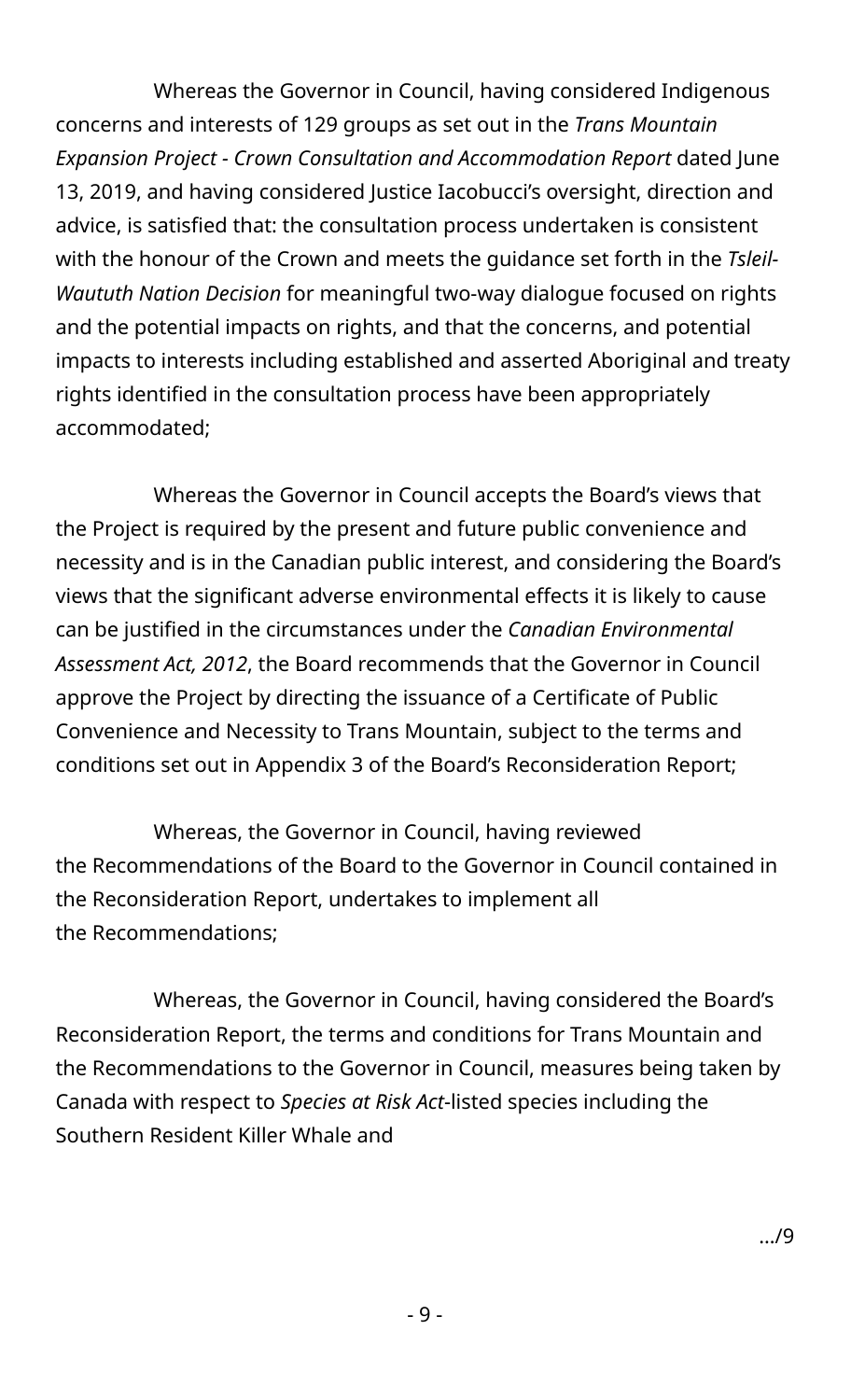Whereas the Governor in Council, having considered Indigenous concerns and interests of 129 groups as set out in the *Trans Mountain Expansion Project - Crown Consultation and Accommodation Report* dated June 13, 2019, and having considered Justice Iacobucci's oversight, direction and advice, is satisfied that: the consultation process undertaken is consistent with the honour of the Crown and meets the guidance set forth in the *Tsleil-Waututh Nation Decision* for meaningful two-way dialogue focused on rights and the potential impacts on rights, and that the concerns, and potential impacts to interests including established and asserted Aboriginal and treaty rights identified in the consultation process have been appropriately accommodated;

Whereas the Governor in Council accepts the Board's views that the Project is required by the present and future public convenience and necessity and is in the Canadian public interest, and considering the Board's views that the significant adverse environmental effects it is likely to cause can be justified in the circumstances under the *Canadian Environmental Assessment Act, 2012*, the Board recommends that the Governor in Council approve the Project by directing the issuance of a Certificate of Public Convenience and Necessity to Trans Mountain, subject to the terms and conditions set out in Appendix 3 of the Board's Reconsideration Report;

Whereas, the Governor in Council, having reviewed the Recommendations of the Board to the Governor in Council contained in the Reconsideration Report, undertakes to implement all the Recommendations;

Whereas, the Governor in Council, having considered the Board's Reconsideration Report, the terms and conditions for Trans Mountain and the Recommendations to the Governor in Council, measures being taken by Canada with respect to *Species at Risk Act*-listed species including the Southern Resident Killer Whale and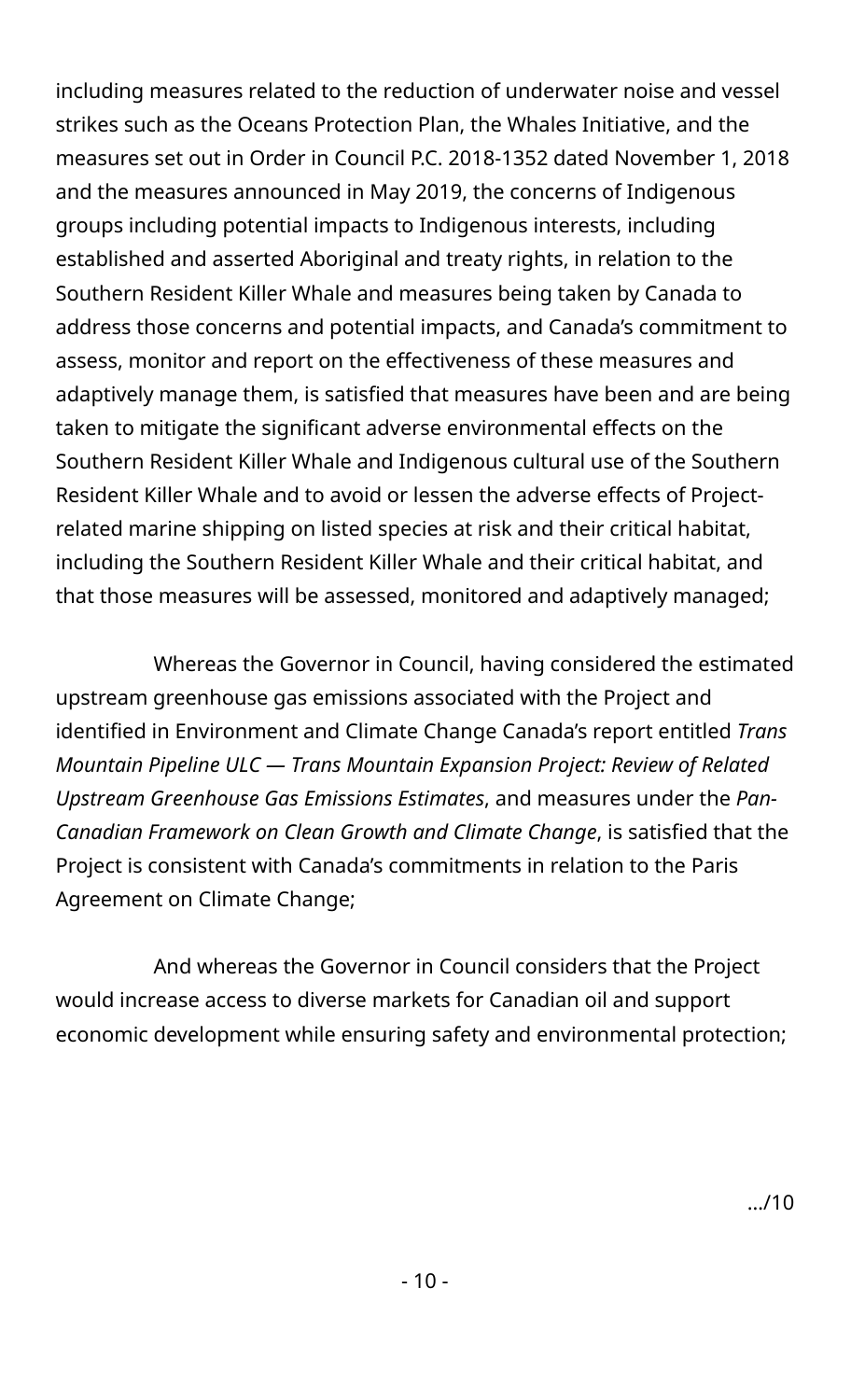including measures related to the reduction of underwater noise and vessel strikes such as the Oceans Protection Plan, the Whales Initiative, and the measures set out in Order in Council P.C. 2018-1352 dated November 1, 2018 and the measures announced in May 2019, the concerns of Indigenous groups including potential impacts to Indigenous interests, including established and asserted Aboriginal and treaty rights, in relation to the Southern Resident Killer Whale and measures being taken by Canada to address those concerns and potential impacts, and Canada's commitment to assess, monitor and report on the effectiveness of these measures and adaptively manage them, is satisfied that measures have been and are being taken to mitigate the significant adverse environmental effects on the Southern Resident Killer Whale and Indigenous cultural use of the Southern Resident Killer Whale and to avoid or lessen the adverse effects of Projectrelated marine shipping on listed species at risk and their critical habitat, including the Southern Resident Killer Whale and their critical habitat, and that those measures will be assessed, monitored and adaptively managed;

Whereas the Governor in Council, having considered the estimated upstream greenhouse gas emissions associated with the Project and identified in Environment and Climate Change Canada's report entitled *Trans Mountain Pipeline ULC — Trans Mountain Expansion Project: Review of Related Upstream Greenhouse Gas Emissions Estimates*, and measures under the *Pan-Canadian Framework on Clean Growth and Climate Change*, is satisfied that the Project is consistent with Canada's commitments in relation to the Paris Agreement on Climate Change;

And whereas the Governor in Council considers that the Project would increase access to diverse markets for Canadian oil and support economic development while ensuring safety and environmental protection;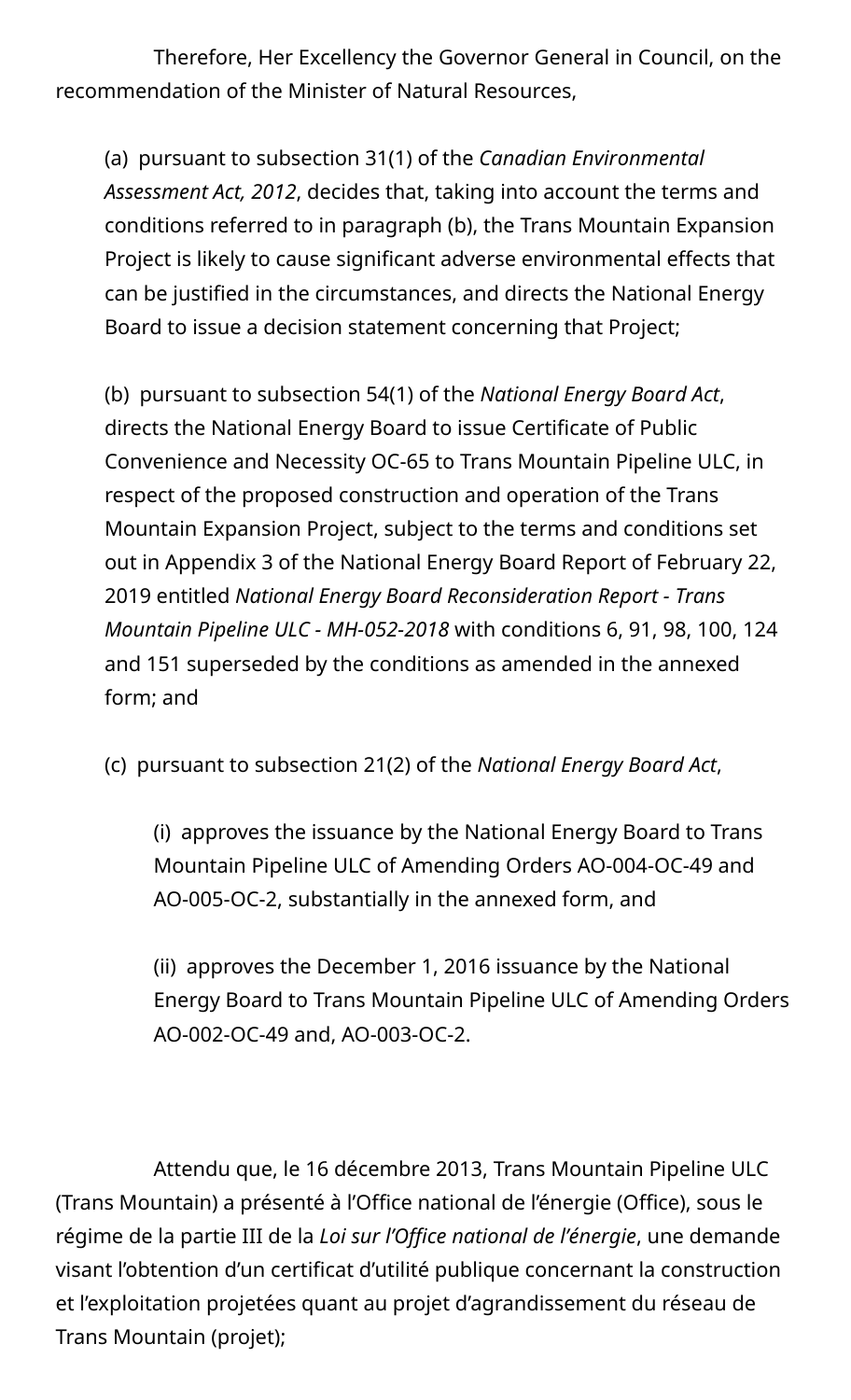Therefore, Her Excellency the Governor General in Council, on the recommendation of the Minister of Natural Resources,

(a) pursuant to subsection 31(1) of the *Canadian Environmental Assessment Act, 2012*, decides that, taking into account the terms and conditions referred to in paragraph (b), the Trans Mountain Expansion Project is likely to cause significant adverse environmental effects that can be justified in the circumstances, and directs the National Energy Board to issue a decision statement concerning that Project;

(b) pursuant to subsection 54(1) of the *National Energy Board Act*, directs the National Energy Board to issue Certificate of Public Convenience and Necessity OC-65 to Trans Mountain Pipeline ULC, in respect of the proposed construction and operation of the Trans Mountain Expansion Project, subject to the terms and conditions set out in Appendix 3 of the National Energy Board Report of February 22, 2019 entitled *National Energy Board Reconsideration Report - Trans Mountain Pipeline ULC - MH-052-2018* with conditions 6, 91, 98, 100, 124 and 151 superseded by the conditions as amended in the annexed form; and

(c) pursuant to subsection 21(2) of the *National Energy Board Act*,

(i) approves the issuance by the National Energy Board to Trans Mountain Pipeline ULC of Amending Orders AO-004-OC-49 and AO-005-OC-2, substantially in the annexed form, and

(ii) approves the December 1, 2016 issuance by the National Energy Board to Trans Mountain Pipeline ULC of Amending Orders AO-002-OC-49 and, AO-003-OC-2.

Attendu que, le 16 décembre 2013, Trans Mountain Pipeline ULC (Trans Mountain) a présenté à l'Office national de l'énergie (Office), sous le régime de la partie III de la *Loi sur l'Office national de l'énergie*, une demande visant l'obtention d'un certificat d'utilité publique concernant la construction et l'exploitation projetées quant au projet d'agrandissement du réseau de Trans Mountain (projet);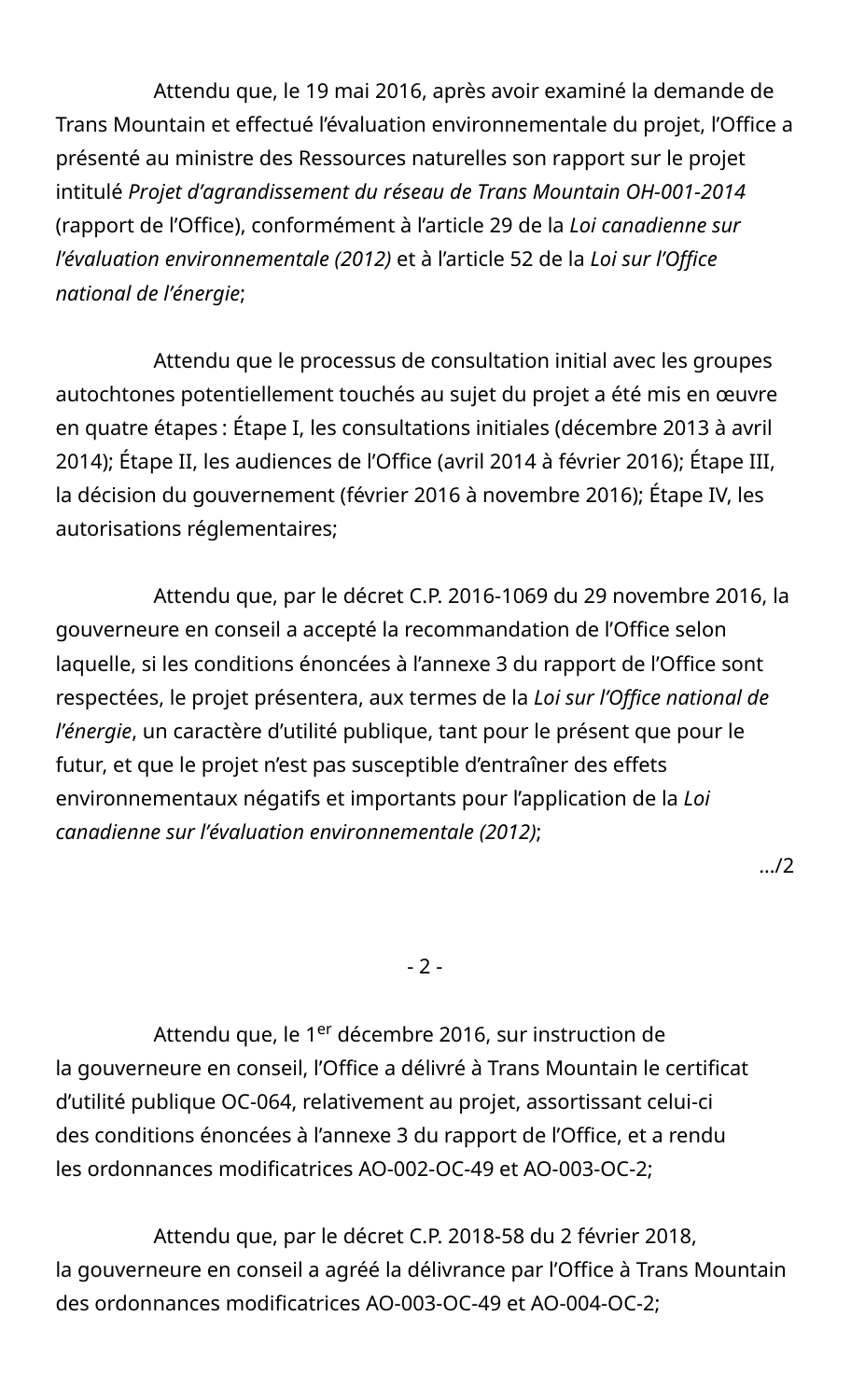Attendu que, le 19 mai 2016, après avoir examiné la demande de Trans Mountain et effectué l'évaluation environnementale du projet, l'Office a présenté au ministre des Ressources naturelles son rapport sur le projet intitulé *Projet d'agrandissement du réseau de Trans Mountain OH-001-2014* (rapport de l'Office), conformément à l'article 29 de la *Loi canadienne sur l'évaluation environnementale (2012)* et à l'article 52 de la *Loi sur l'Office national de l'énergie*;

Attendu que le processus de consultation initial avec les groupes autochtones potentiellement touchés au sujet du projet a été mis en œuvre en quatre étapes : Étape I, les consultations initiales (décembre 2013 à avril 2014); Étape II, les audiences de l'Office (avril 2014 à février 2016); Étape III, la décision du gouvernement (février 2016 à novembre 2016); Étape IV, les autorisations réglementaires;

Attendu que, par le décret C.P. 2016-1069 du 29 novembre 2016, la gouverneure en conseil a accepté la recommandation de l'Office selon laquelle, si les conditions énoncées à l'annexe 3 du rapport de l'Office sont respectées, le projet présentera, aux termes de la *Loi sur l'Office national de l'énergie*, un caractère d'utilité publique, tant pour le présent que pour le futur, et que le projet n'est pas susceptible d'entraîner des effets environnementaux négatifs et importants pour l'application de la *Loi canadienne sur l'évaluation environnementale (2012)*;

…/2

- 2 -

Attendu que, le 1<sup>er</sup> décembre 2016, sur instruction de la gouverneure en conseil, l'Office a délivré à Trans Mountain le certificat d'utilité publique OC-064, relativement au projet, assortissant celui-ci des conditions énoncées à l'annexe 3 du rapport de l'Office, et a rendu les ordonnances modificatrices AO-002-OC-49 et AO-003-OC-2;

Attendu que, par le décret C.P. 2018-58 du 2 février 2018, la gouverneure en conseil a agréé la délivrance par l'Office à Trans Mountain des ordonnances modificatrices AO-003-OC-49 et AO-004-OC-2;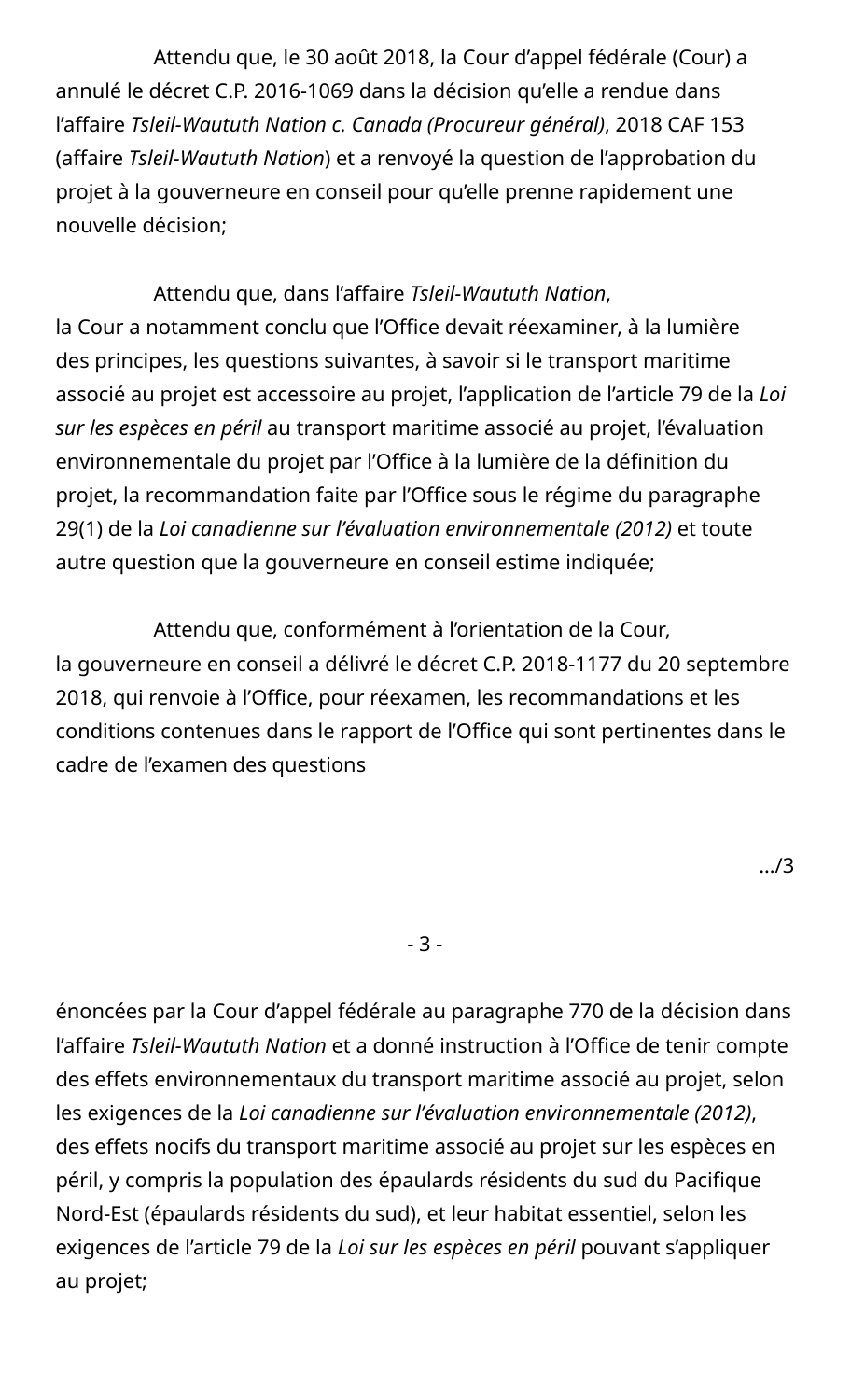Attendu que, le 30 août 2018, la Cour d'appel fédérale (Cour) a annulé le décret C.P. 2016-1069 dans la décision qu'elle a rendue dans l'affaire *Tsleil-Waututh Nation c. Canada (Procureur général)*, 2018 CAF 153 (affaire *Tsleil-Waututh Nation*) et a renvoyé la question de l'approbation du projet à la gouverneure en conseil pour qu'elle prenne rapidement une nouvelle décision;

Attendu que, dans l'affaire *Tsleil-Waututh Nation*, la Cour a notamment conclu que l'Office devait réexaminer, à la lumière des principes, les questions suivantes, à savoir si le transport maritime associé au projet est accessoire au projet, l'application de l'article 79 de la *Loi sur les espèces en péril* au transport maritime associé au projet, l'évaluation environnementale du projet par l'Office à la lumière de la définition du projet, la recommandation faite par l'Office sous le régime du paragraphe 29(1) de la *Loi canadienne sur l'évaluation environnementale (2012)* et toute autre question que la gouverneure en conseil estime indiquée;

Attendu que, conformément à l'orientation de la Cour, la gouverneure en conseil a délivré le décret C.P. 2018-1177 du 20 septembre 2018, qui renvoie à l'Office, pour réexamen, les recommandations et les conditions contenues dans le rapport de l'Office qui sont pertinentes dans le cadre de l'examen des questions

- 3 -

énoncées par la Cour d'appel fédérale au paragraphe 770 de la décision dans l'affaire *Tsleil-Waututh Nation* et a donné instruction à l'Office de tenir compte des effets environnementaux du transport maritime associé au projet, selon les exigences de la *Loi canadienne sur l'évaluation environnementale (2012)*, des effets nocifs du transport maritime associé au projet sur les espèces en péril, y compris la population des épaulards résidents du sud du Pacifique Nord-Est (épaulards résidents du sud), et leur habitat essentiel, selon les exigences de l'article 79 de la *Loi sur les espèces en péril* pouvant s'appliquer au projet;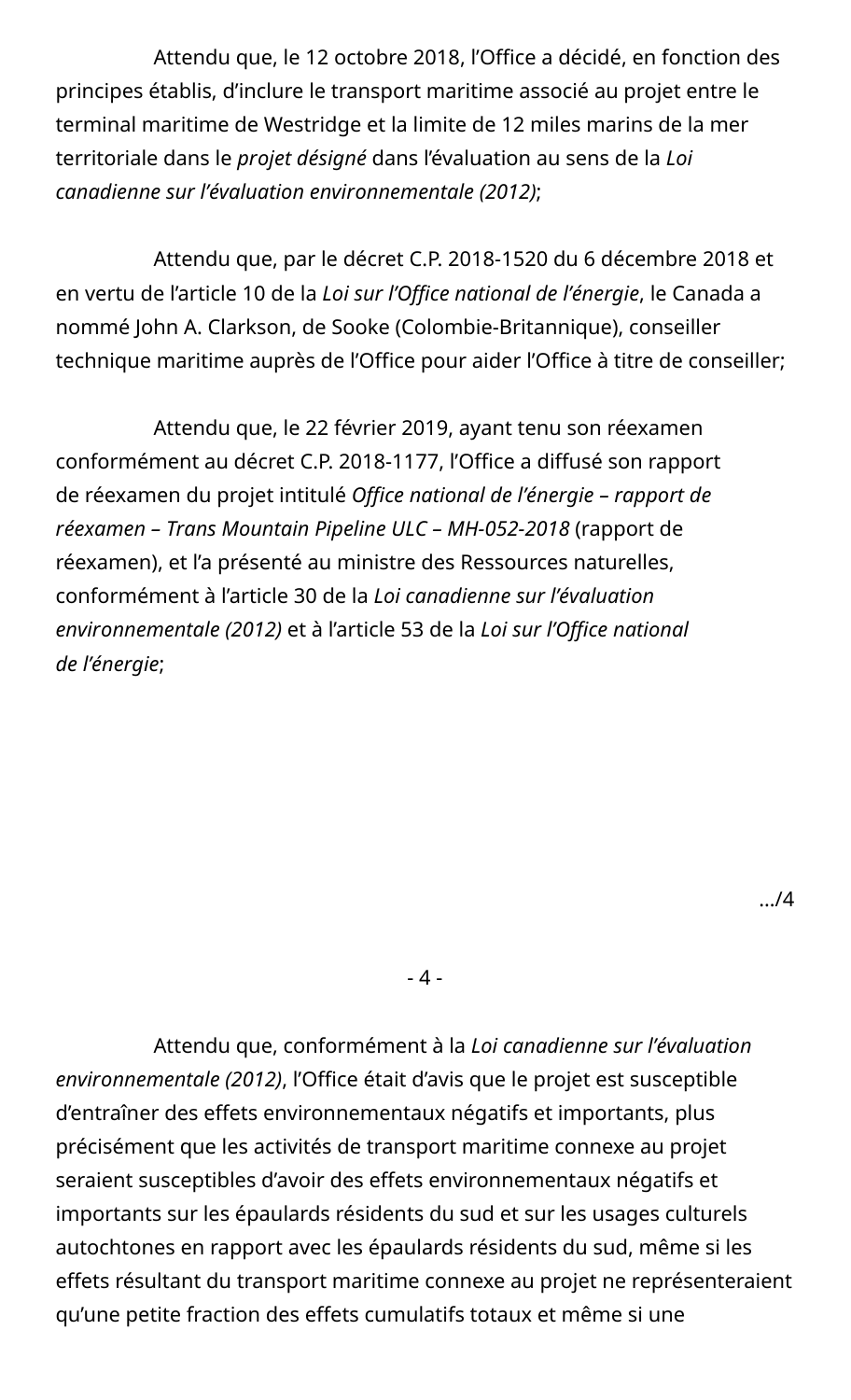Attendu que, le 12 octobre 2018, l'Office a décidé, en fonction des principes établis, d'inclure le transport maritime associé au projet entre le terminal maritime de Westridge et la limite de 12 miles marins de la mer territoriale dans le *projet désigné* dans l'évaluation au sens de la *Loi canadienne sur l'évaluation environnementale (2012)*;

Attendu que, par le décret C.P. 2018-1520 du 6 décembre 2018 et en vertu de l'article 10 de la *Loi sur l'Office national de l'énergie*, le Canada a nommé John A. Clarkson, de Sooke (Colombie-Britannique), conseiller technique maritime auprès de l'Office pour aider l'Office à titre de conseiller;

Attendu que, le 22 février 2019, ayant tenu son réexamen conformément au décret C.P. 2018-1177, l'Office a diffusé son rapport de réexamen du projet intitulé *Office national de l'énergie – rapport de réexamen – Trans Mountain Pipeline ULC – MH-052-2018* (rapport de réexamen), et l'a présenté au ministre des Ressources naturelles, conformément à l'article 30 de la *Loi canadienne sur l'évaluation environnementale (2012)* et à l'article 53 de la *Loi sur l'Office national de l'énergie*;

 $-4-$ 

Attendu que, conformément à la *Loi canadienne sur l'évaluation environnementale (2012)*, l'Office était d'avis que le projet est susceptible d'entraîner des effets environnementaux négatifs et importants, plus précisément que les activités de transport maritime connexe au projet seraient susceptibles d'avoir des effets environnementaux négatifs et importants sur les épaulards résidents du sud et sur les usages culturels autochtones en rapport avec les épaulards résidents du sud, même si les effets résultant du transport maritime connexe au projet ne représenteraient qu'une petite fraction des effets cumulatifs totaux et même si une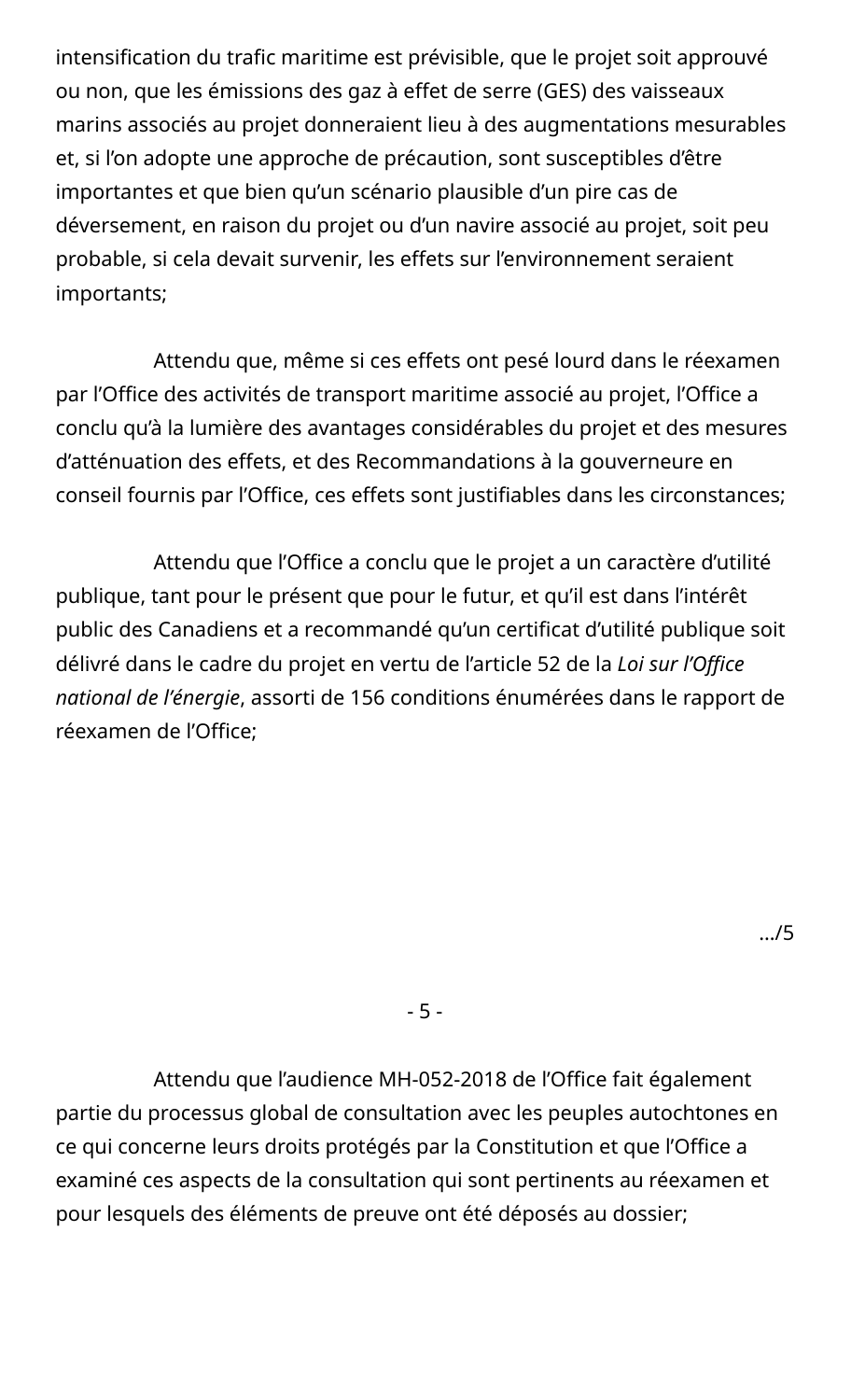intensification du trafic maritime est prévisible, que le projet soit approuvé ou non, que les émissions des gaz à effet de serre (GES) des vaisseaux marins associés au projet donneraient lieu à des augmentations mesurables et, si l'on adopte une approche de précaution, sont susceptibles d'être importantes et que bien qu'un scénario plausible d'un pire cas de déversement, en raison du projet ou d'un navire associé au projet, soit peu probable, si cela devait survenir, les effets sur l'environnement seraient importants;

Attendu que, même si ces effets ont pesé lourd dans le réexamen par l'Office des activités de transport maritime associé au projet, l'Office a conclu qu'à la lumière des avantages considérables du projet et des mesures d'atténuation des effets, et des Recommandations à la gouverneure en conseil fournis par l'Office, ces effets sont justifiables dans les circonstances;

Attendu que l'Office a conclu que le projet a un caractère d'utilité publique, tant pour le présent que pour le futur, et qu'il est dans l'intérêt public des Canadiens et a recommandé qu'un certificat d'utilité publique soit délivré dans le cadre du projet en vertu de l'article 52 de la *Loi sur l'Office national de l'énergie*, assorti de 156 conditions énumérées dans le rapport de réexamen de l'Office;

- 5 -

Attendu que l'audience MH-052-2018 de l'Office fait également partie du processus global de consultation avec les peuples autochtones en ce qui concerne leurs droits protégés par la Constitution et que l'Office a examiné ces aspects de la consultation qui sont pertinents au réexamen et pour lesquels des éléments de preuve ont été déposés au dossier;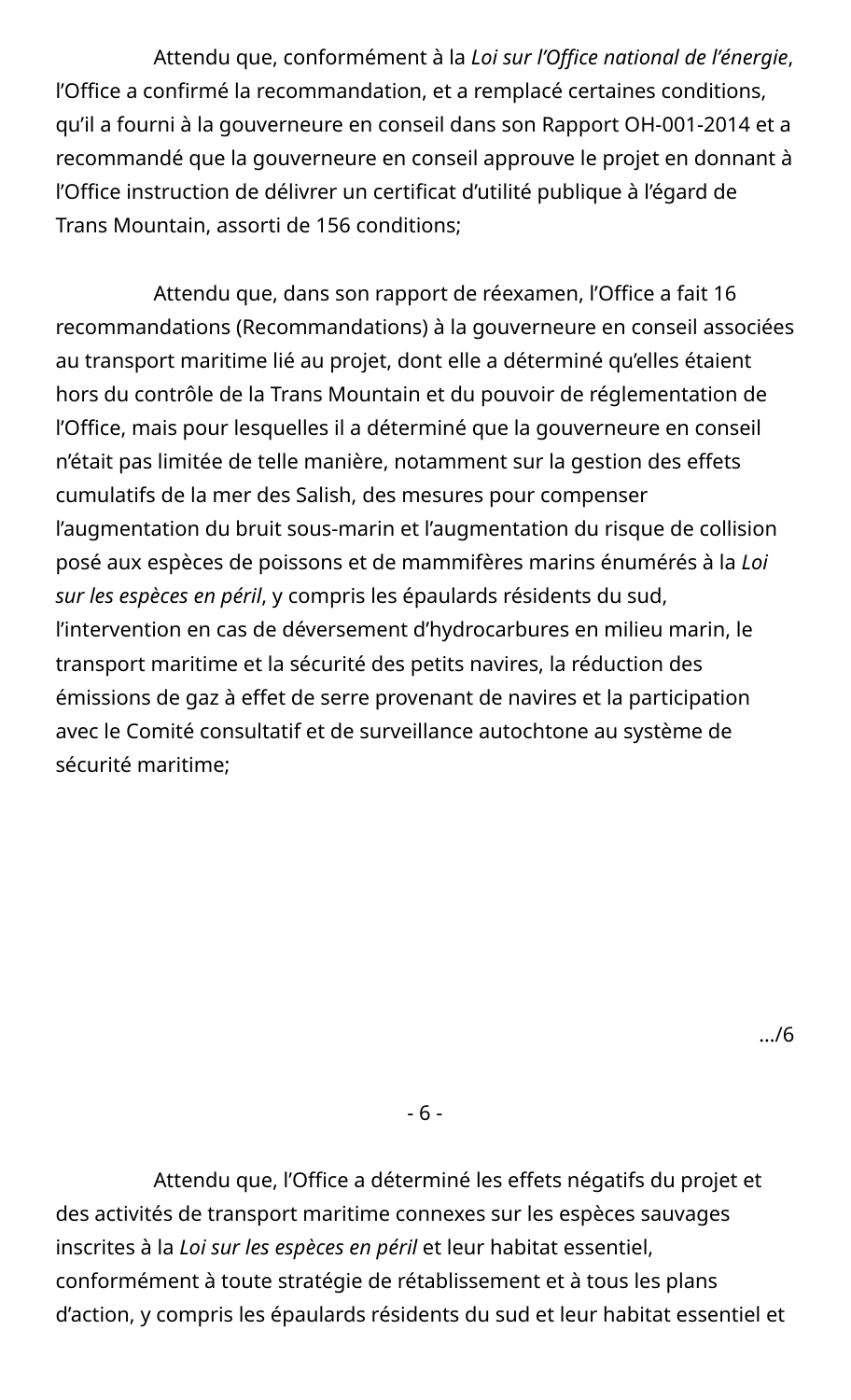Attendu que, conformément à la *Loi sur l'Office national de l'énergie*, l'Office a confirmé la recommandation, et a remplacé certaines conditions, qu'il a fourni à la gouverneure en conseil dans son Rapport OH-001-2014 et a recommandé que la gouverneure en conseil approuve le projet en donnant à l'Office instruction de délivrer un certificat d'utilité publique à l'égard de Trans Mountain, assorti de 156 conditions;

Attendu que, dans son rapport de réexamen, l'Office a fait 16 recommandations (Recommandations) à la gouverneure en conseil associées au transport maritime lié au projet, dont elle a déterminé qu'elles étaient hors du contrôle de la Trans Mountain et du pouvoir de réglementation de l'Office, mais pour lesquelles il a déterminé que la gouverneure en conseil n'était pas limitée de telle manière, notamment sur la gestion des effets cumulatifs de la mer des Salish, des mesures pour compenser l'augmentation du bruit sous-marin et l'augmentation du risque de collision posé aux espèces de poissons et de mammifères marins énumérés à la *Loi sur les espèces en péril*, y compris les épaulards résidents du sud, l'intervention en cas de déversement d'hydrocarbures en milieu marin, le transport maritime et la sécurité des petits navires, la réduction des émissions de gaz à effet de serre provenant de navires et la participation avec le Comité consultatif et de surveillance autochtone au système de sécurité maritime;

…/6

- 6 -

Attendu que, l'Office a déterminé les effets négatifs du projet et des activités de transport maritime connexes sur les espèces sauvages inscrites à la *Loi sur les espèces en péril* et leur habitat essentiel, conformément à toute stratégie de rétablissement et à tous les plans d'action, y compris les épaulards résidents du sud et leur habitat essentiel et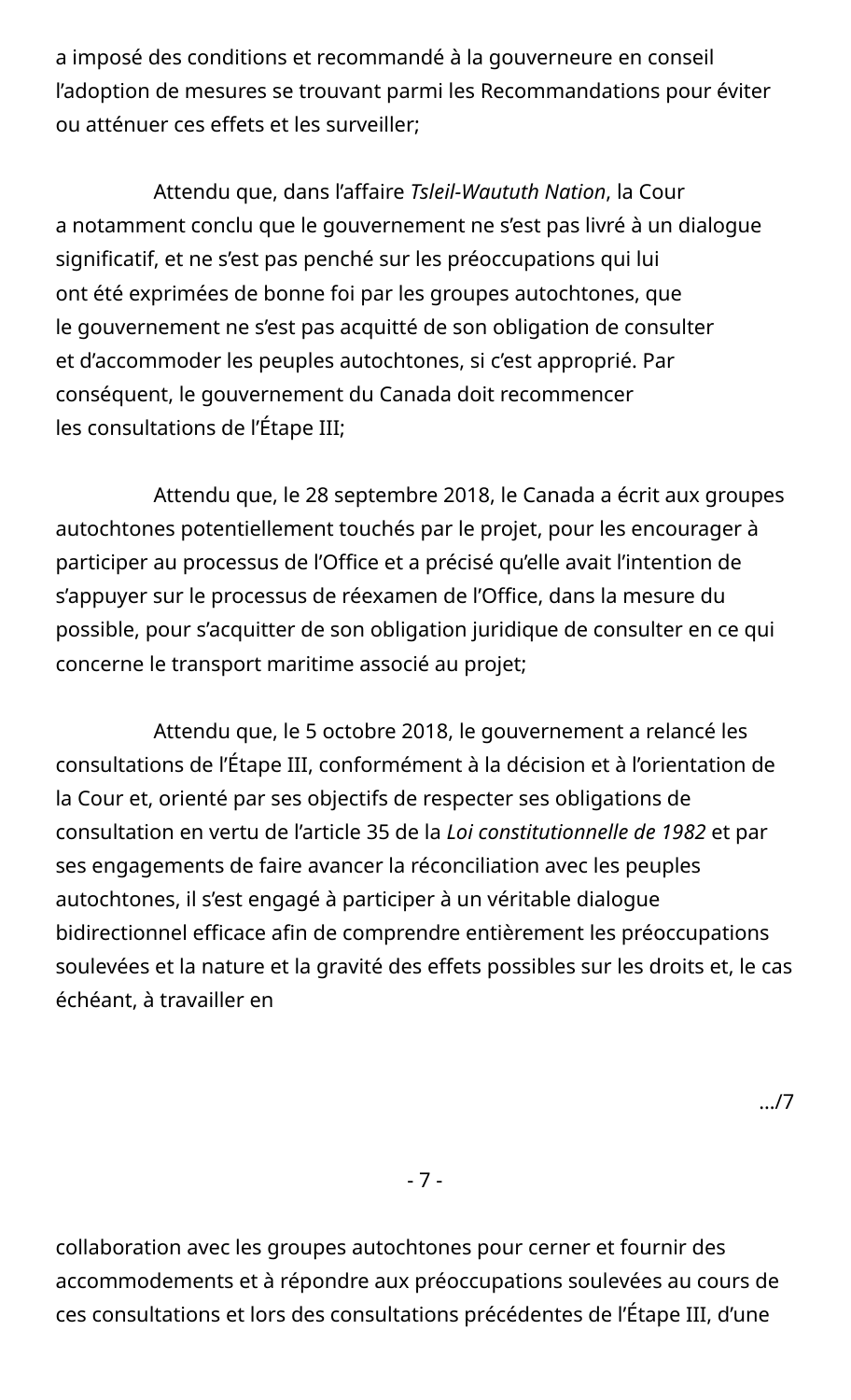a imposé des conditions et recommandé à la gouverneure en conseil l'adoption de mesures se trouvant parmi les Recommandations pour éviter ou atténuer ces effets et les surveiller;

Attendu que, dans l'affaire *Tsleil-Waututh Nation*, la Cour a notamment conclu que le gouvernement ne s'est pas livré à un dialogue significatif, et ne s'est pas penché sur les préoccupations qui lui ont été exprimées de bonne foi par les groupes autochtones, que le gouvernement ne s'est pas acquitté de son obligation de consulter et d'accommoder les peuples autochtones, si c'est approprié. Par conséquent, le gouvernement du Canada doit recommencer les consultations de l'Étape III;

Attendu que, le 28 septembre 2018, le Canada a écrit aux groupes autochtones potentiellement touchés par le projet, pour les encourager à participer au processus de l'Office et a précisé qu'elle avait l'intention de s'appuyer sur le processus de réexamen de l'Office, dans la mesure du possible, pour s'acquitter de son obligation juridique de consulter en ce qui concerne le transport maritime associé au projet;

Attendu que, le 5 octobre 2018, le gouvernement a relancé les consultations de l'Étape III, conformément à la décision et à l'orientation de la Cour et, orienté par ses objectifs de respecter ses obligations de consultation en vertu de l'article 35 de la *Loi constitutionnelle de 1982* et par ses engagements de faire avancer la réconciliation avec les peuples autochtones, il s'est engagé à participer à un véritable dialogue bidirectionnel efficace afin de comprendre entièrement les préoccupations soulevées et la nature et la gravité des effets possibles sur les droits et, le cas échéant, à travailler en

- 7 -

collaboration avec les groupes autochtones pour cerner et fournir des accommodements et à répondre aux préoccupations soulevées au cours de ces consultations et lors des consultations précédentes de l'Étape III, d'une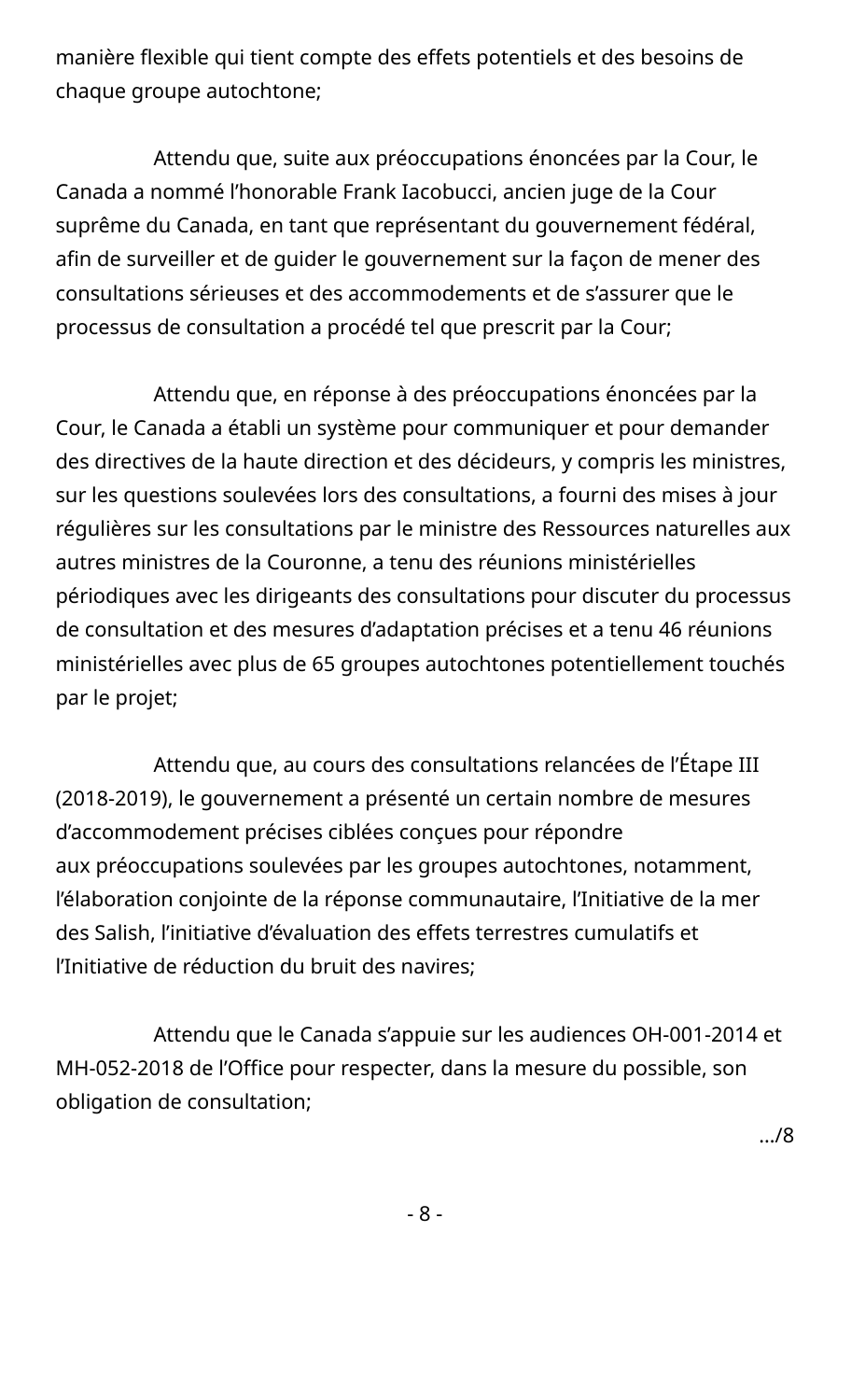manière flexible qui tient compte des effets potentiels et des besoins de chaque groupe autochtone;

Attendu que, suite aux préoccupations énoncées par la Cour, le Canada a nommé l'honorable Frank Iacobucci, ancien juge de la Cour suprême du Canada, en tant que représentant du gouvernement fédéral, afin de surveiller et de guider le gouvernement sur la façon de mener des consultations sérieuses et des accommodements et de s'assurer que le processus de consultation a procédé tel que prescrit par la Cour;

Attendu que, en réponse à des préoccupations énoncées par la Cour, le Canada a établi un système pour communiquer et pour demander des directives de la haute direction et des décideurs, y compris les ministres, sur les questions soulevées lors des consultations, a fourni des mises à jour régulières sur les consultations par le ministre des Ressources naturelles aux autres ministres de la Couronne, a tenu des réunions ministérielles périodiques avec les dirigeants des consultations pour discuter du processus de consultation et des mesures d'adaptation précises et a tenu 46 réunions ministérielles avec plus de 65 groupes autochtones potentiellement touchés par le projet;

Attendu que, au cours des consultations relancées de l'Étape III (2018-2019), le gouvernement a présenté un certain nombre de mesures d'accommodement précises ciblées conçues pour répondre aux préoccupations soulevées par les groupes autochtones, notamment, l'élaboration conjointe de la réponse communautaire, l'Initiative de la mer des Salish, l'initiative d'évaluation des effets terrestres cumulatifs et l'Initiative de réduction du bruit des navires;

Attendu que le Canada s'appuie sur les audiences OH-001-2014 et MH-052-2018 de l'Office pour respecter, dans la mesure du possible, son obligation de consultation;

…/8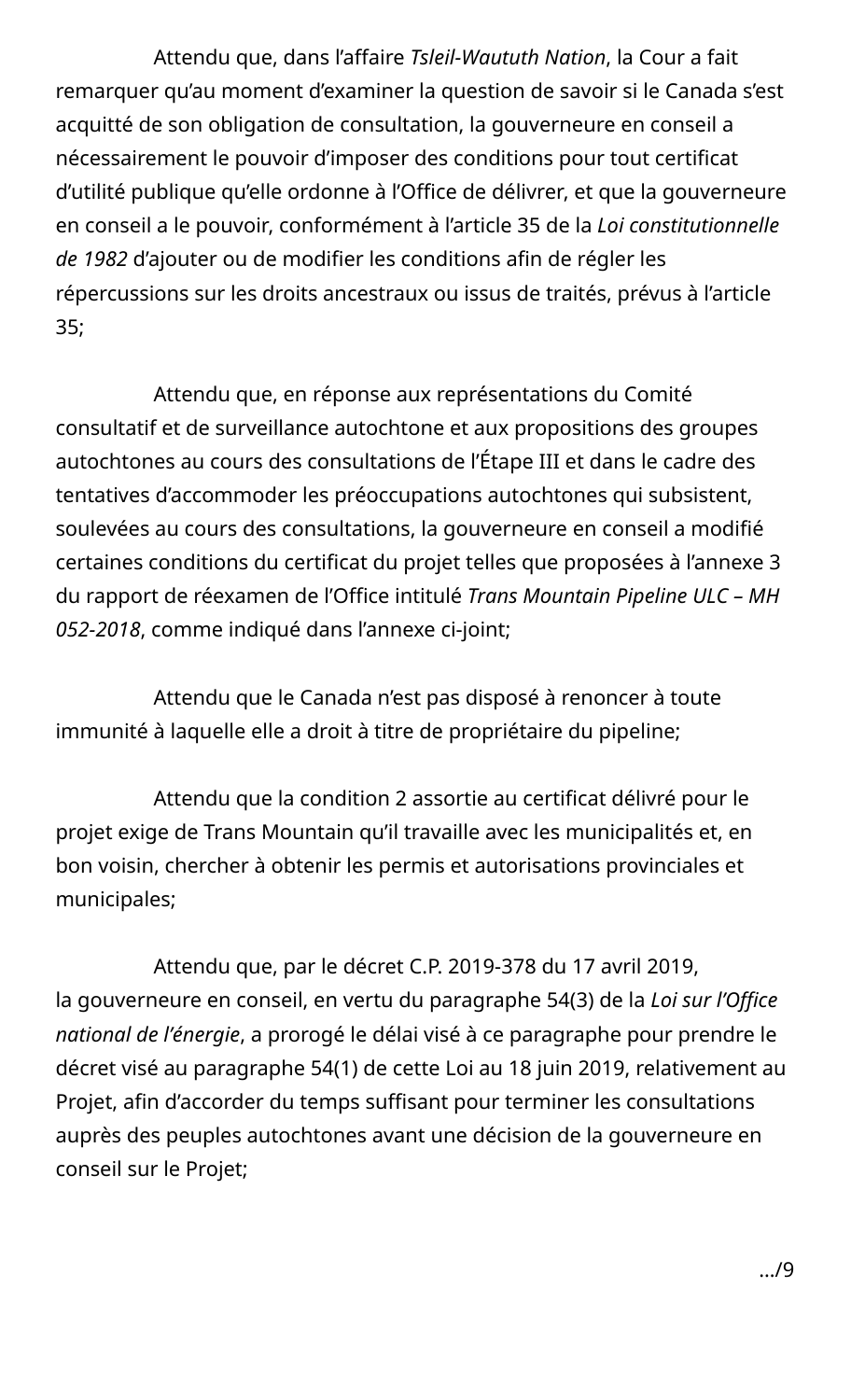Attendu que, dans l'affaire *Tsleil-Waututh Nation*, la Cour a fait remarquer qu'au moment d'examiner la question de savoir si le Canada s'est acquitté de son obligation de consultation, la gouverneure en conseil a nécessairement le pouvoir d'imposer des conditions pour tout certificat d'utilité publique qu'elle ordonne à l'Office de délivrer, et que la gouverneure en conseil a le pouvoir, conformément à l'article 35 de la *Loi constitutionnelle de 1982* d'ajouter ou de modifier les conditions afin de régler les répercussions sur les droits ancestraux ou issus de traités, prévus à l'article 35;

Attendu que, en réponse aux représentations du Comité consultatif et de surveillance autochtone et aux propositions des groupes autochtones au cours des consultations de l'Étape III et dans le cadre des tentatives d'accommoder les préoccupations autochtones qui subsistent, soulevées au cours des consultations, la gouverneure en conseil a modifié certaines conditions du certificat du projet telles que proposées à l'annexe 3 du rapport de réexamen de l'Office intitulé *Trans Mountain Pipeline ULC – MH 052-2018*, comme indiqué dans l'annexe ci-joint;

Attendu que le Canada n'est pas disposé à renoncer à toute immunité à laquelle elle a droit à titre de propriétaire du pipeline;

Attendu que la condition 2 assortie au certificat délivré pour le projet exige de Trans Mountain qu'il travaille avec les municipalités et, en bon voisin, chercher à obtenir les permis et autorisations provinciales et municipales;

Attendu que, par le décret C.P. 2019-378 du 17 avril 2019, la gouverneure en conseil, en vertu du paragraphe 54(3) de la *Loi sur l'Office national de l'énergie*, a prorogé le délai visé à ce paragraphe pour prendre le décret visé au paragraphe 54(1) de cette Loi au 18 juin 2019, relativement au Projet, afin d'accorder du temps suffisant pour terminer les consultations auprès des peuples autochtones avant une décision de la gouverneure en conseil sur le Projet;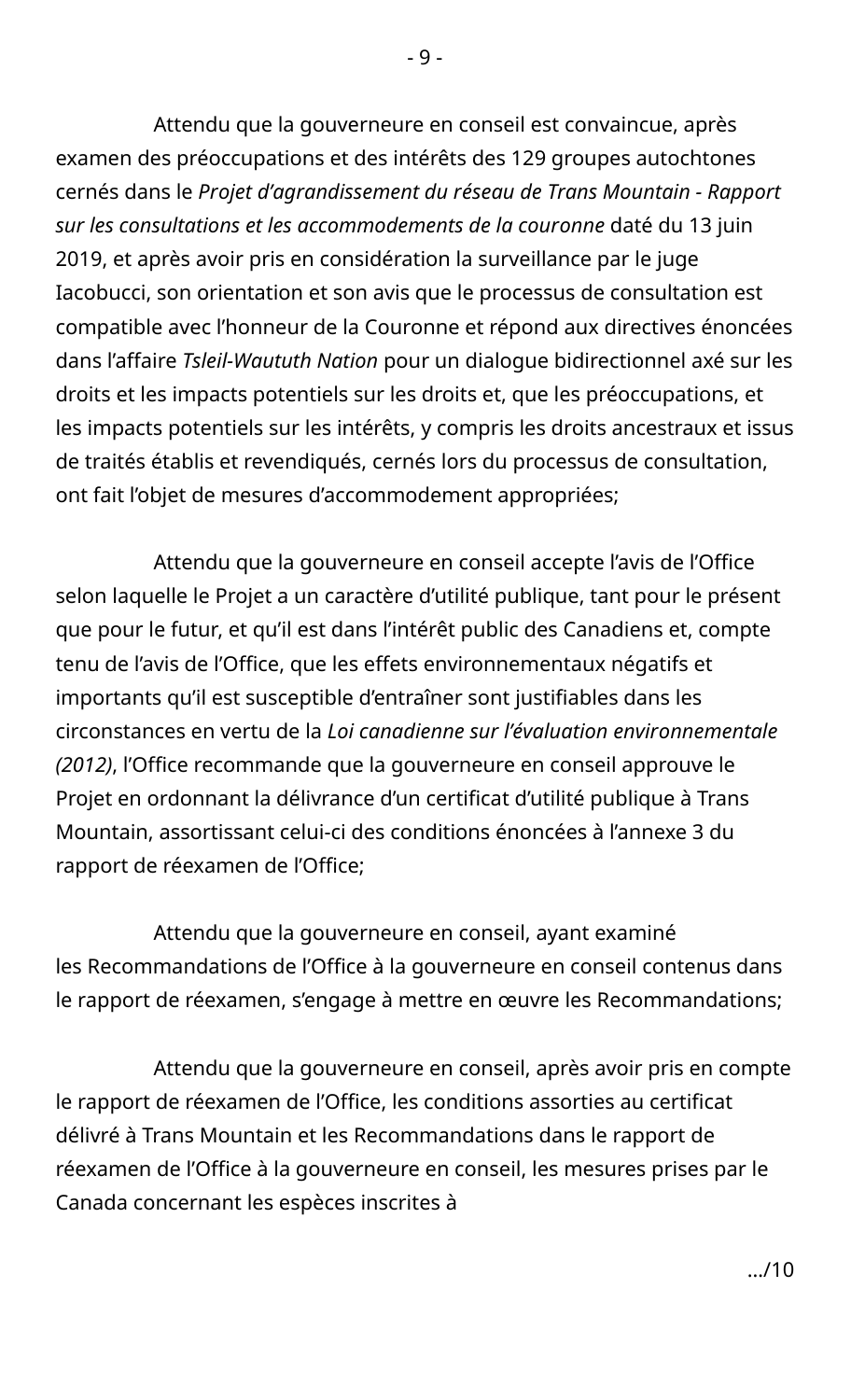Attendu que la gouverneure en conseil est convaincue, après examen des préoccupations et des intérêts des 129 groupes autochtones cernés dans le *Projet d'agrandissement du réseau de Trans Mountain - Rapport sur les consultations et les accommodements de la couronne* daté du 13 juin 2019, et après avoir pris en considération la surveillance par le juge Iacobucci, son orientation et son avis que le processus de consultation est compatible avec l'honneur de la Couronne et répond aux directives énoncées dans l'affaire *Tsleil-Waututh Nation* pour un dialogue bidirectionnel axé sur les droits et les impacts potentiels sur les droits et, que les préoccupations, et les impacts potentiels sur les intérêts, y compris les droits ancestraux et issus de traités établis et revendiqués, cernés lors du processus de consultation, ont fait l'objet de mesures d'accommodement appropriées;

Attendu que la gouverneure en conseil accepte l'avis de l'Office selon laquelle le Projet a un caractère d'utilité publique, tant pour le présent que pour le futur, et qu'il est dans l'intérêt public des Canadiens et, compte tenu de l'avis de l'Office, que les effets environnementaux négatifs et importants qu'il est susceptible d'entraîner sont justifiables dans les circonstances en vertu de la *Loi canadienne sur l'évaluation environnementale (2012)*, l'Office recommande que la gouverneure en conseil approuve le Projet en ordonnant la délivrance d'un certificat d'utilité publique à Trans Mountain, assortissant celui-ci des conditions énoncées à l'annexe 3 du rapport de réexamen de l'Office;

Attendu que la gouverneure en conseil, ayant examiné les Recommandations de l'Office à la gouverneure en conseil contenus dans le rapport de réexamen, s'engage à mettre en œuvre les Recommandations;

Attendu que la gouverneure en conseil, après avoir pris en compte le rapport de réexamen de l'Office, les conditions assorties au certificat délivré à Trans Mountain et les Recommandations dans le rapport de réexamen de l'Office à la gouverneure en conseil, les mesures prises par le Canada concernant les espèces inscrites à

- 9 -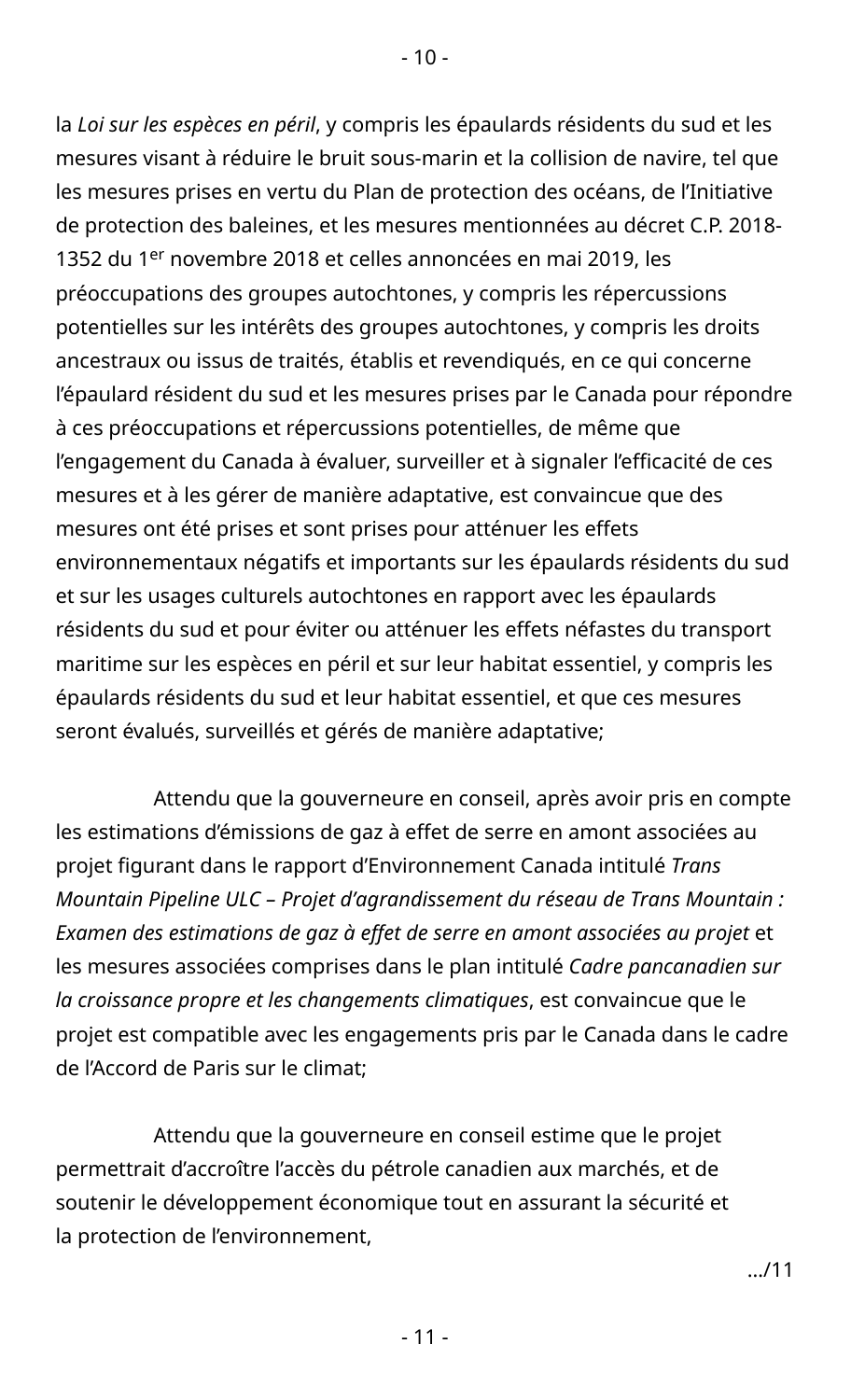la *Loi sur les espèces en péril*, y compris les épaulards résidents du sud et les mesures visant à réduire le bruit sous-marin et la collision de navire, tel que les mesures prises en vertu du Plan de protection des océans, de l'Initiative de protection des baleines, et les mesures mentionnées au décret C.P. 2018- 1352 du 1<sup>er</sup> novembre 2018 et celles annoncées en mai 2019, les préoccupations des groupes autochtones, y compris les répercussions potentielles sur les intérêts des groupes autochtones, y compris les droits ancestraux ou issus de traités, établis et revendiqués, en ce qui concerne l'épaulard résident du sud et les mesures prises par le Canada pour répondre à ces préoccupations et répercussions potentielles, de même que l'engagement du Canada à évaluer, surveiller et à signaler l'efficacité de ces mesures et à les gérer de manière adaptative, est convaincue que des mesures ont été prises et sont prises pour atténuer les effets environnementaux négatifs et importants sur les épaulards résidents du sud et sur les usages culturels autochtones en rapport avec les épaulards résidents du sud et pour éviter ou atténuer les effets néfastes du transport maritime sur les espèces en péril et sur leur habitat essentiel, y compris les épaulards résidents du sud et leur habitat essentiel, et que ces mesures seront évalués, surveillés et gérés de manière adaptative;

Attendu que la gouverneure en conseil, après avoir pris en compte les estimations d'émissions de gaz à effet de serre en amont associées au projet figurant dans le rapport d'Environnement Canada intitulé *Trans Mountain Pipeline ULC – Projet d'agrandissement du réseau de Trans Mountain : Examen des estimations de gaz à effet de serre en amont associées au projet* et les mesures associées comprises dans le plan intitulé *Cadre pancanadien sur la croissance propre et les changements climatiques*, est convaincue que le projet est compatible avec les engagements pris par le Canada dans le cadre de l'Accord de Paris sur le climat;

Attendu que la gouverneure en conseil estime que le projet permettrait d'accroître l'accès du pétrole canadien aux marchés, et de soutenir le développement économique tout en assurant la sécurité et la protection de l'environnement,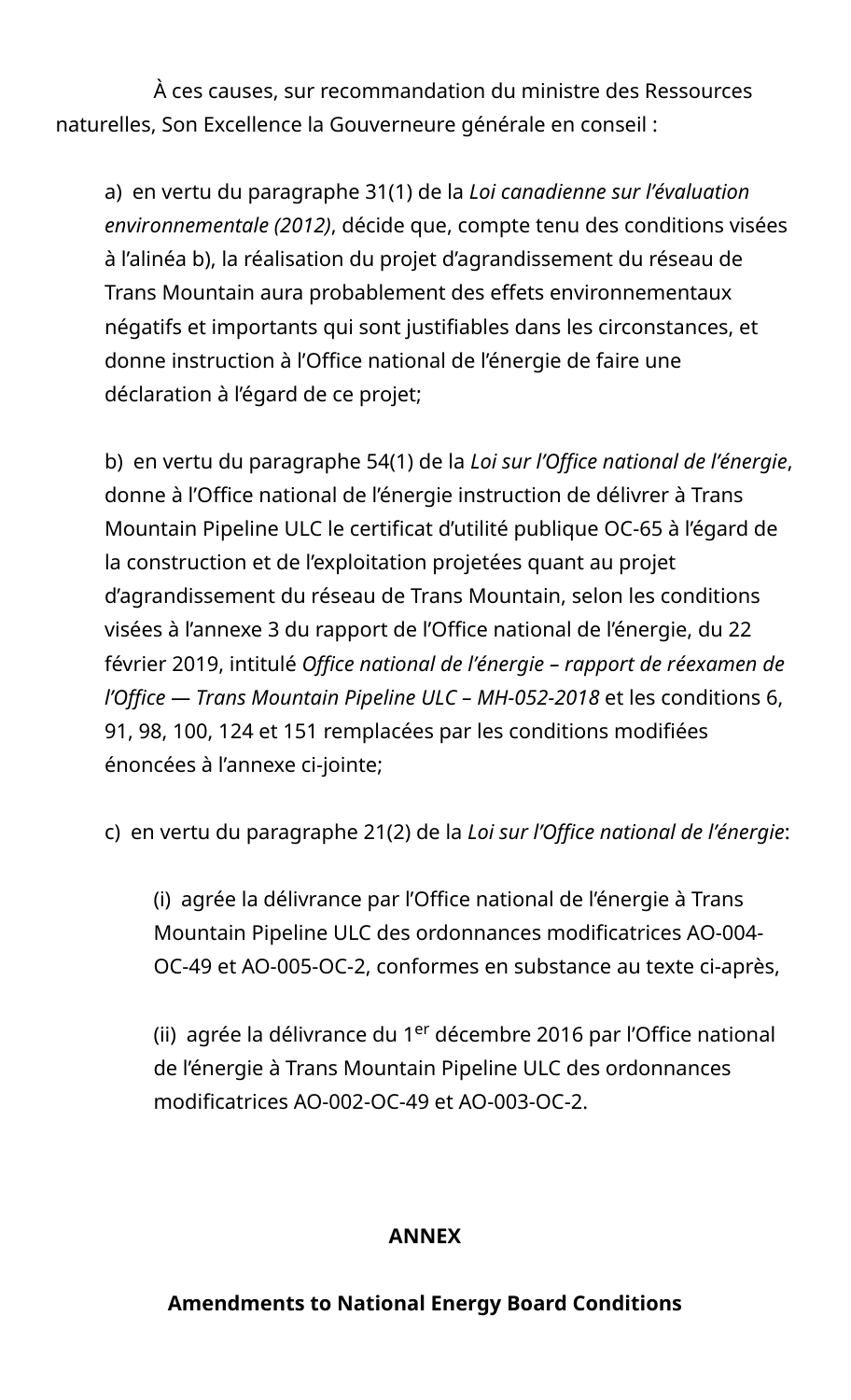À ces causes, sur recommandation du ministre des Ressources naturelles, Son Excellence la Gouverneure générale en conseil :

a) en vertu du paragraphe 31(1) de la *Loi canadienne sur l'évaluation environnementale (2012)*, décide que, compte tenu des conditions visées à l'alinéa b), la réalisation du projet d'agrandissement du réseau de Trans Mountain aura probablement des effets environnementaux négatifs et importants qui sont justifiables dans les circonstances, et donne instruction à l'Office national de l'énergie de faire une déclaration à l'égard de ce projet;

b) en vertu du paragraphe 54(1) de la *Loi sur l'Office national de l'énergie*, donne à l'Office national de l'énergie instruction de délivrer à Trans Mountain Pipeline ULC le certificat d'utilité publique OC-65 à l'égard de la construction et de l'exploitation projetées quant au projet d'agrandissement du réseau de Trans Mountain, selon les conditions visées à l'annexe 3 du rapport de l'Office national de l'énergie, du 22 février 2019, intitulé *Office national de l'énergie – rapport de réexamen de l'Office — Trans Mountain Pipeline ULC – MH-052-2018* et les conditions 6, 91, 98, 100, 124 et 151 remplacées par les conditions modifiées énoncées à l'annexe ci-jointe;

c) en vertu du paragraphe 21(2) de la *Loi sur l'Office national de l'énergie*:

(i) agrée la délivrance par l'Office national de l'énergie à Trans Mountain Pipeline ULC des ordonnances modificatrices AO-004- OC-49 et AO-005-OC-2, conformes en substance au texte ci-après,

(ii) agrée la délivrance du 1<sup>er</sup> décembre 2016 par l'Office national de l'énergie à Trans Mountain Pipeline ULC des ordonnances modificatrices AO-002-OC-49 et AO-003-OC-2.

### **ANNEX**

### **Amendments to National Energy Board Conditions**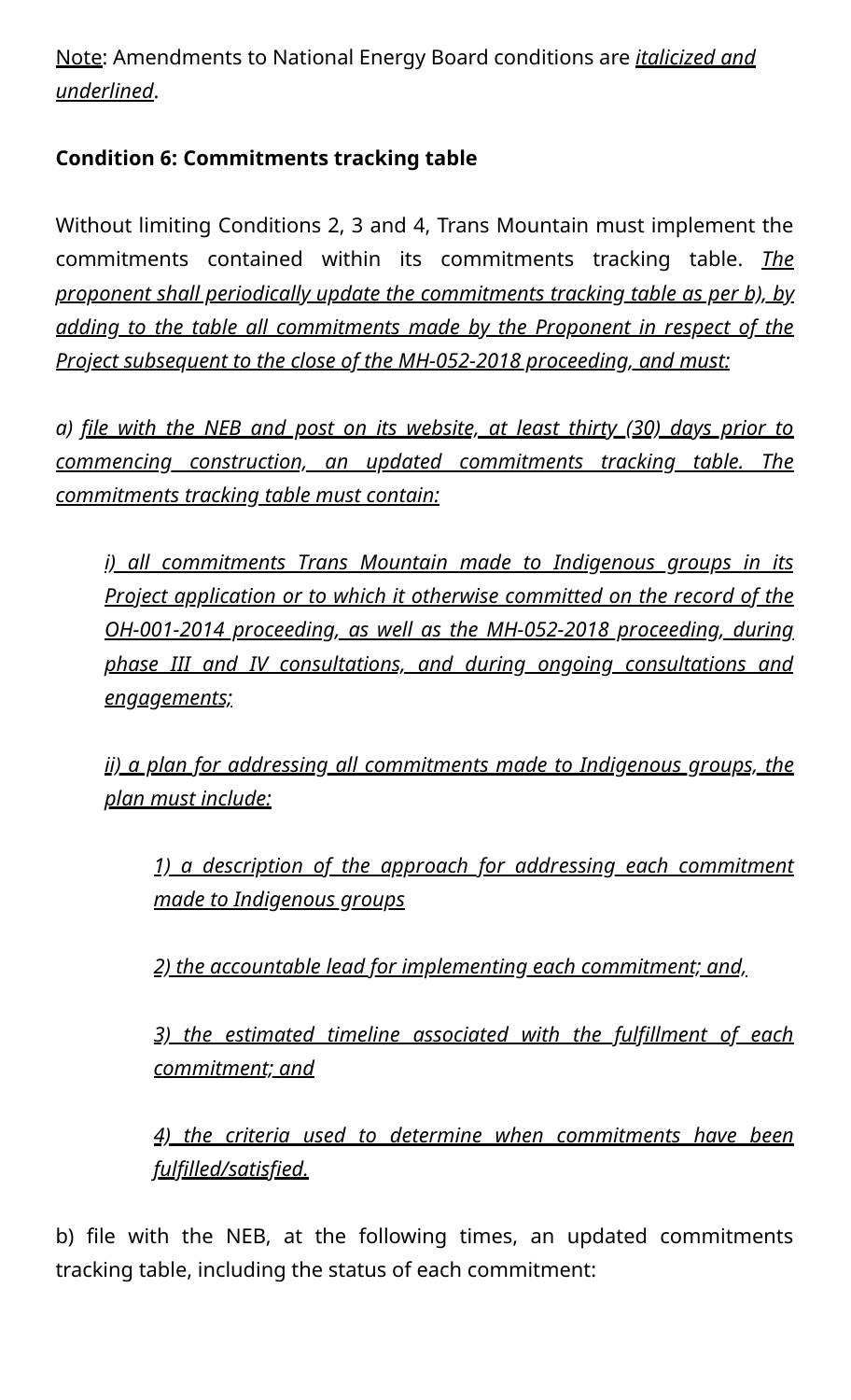Note: Amendments to National Energy Board conditions are *italicized and underlined*.

## **Condition 6: Commitments tracking table**

Without limiting Conditions 2, 3 and 4, Trans Mountain must implement the commitments contained within its commitments tracking table. *The proponent shall periodically update the commitments tracking table as per b), by adding to the table all commitments made by the Proponent in respect of the Project subsequent to the close of the MH-052-2018 proceeding, and must:*

*a) file with the NEB and post on its website, at least thirty (30) days prior to commencing construction, an updated commitments tracking table. The commitments tracking table must contain:*

*i) all commitments Trans Mountain made to Indigenous groups in its Project application or to which it otherwise committed on the record of the OH-001-2014 proceeding, as well as the MH-052-2018 proceeding, during phase III and IV consultations, and during ongoing consultations and engagements;*

*ii) a plan for addressing all commitments made to Indigenous groups, the plan must include:*

*1) a description of the approach for addressing each commitment made to Indigenous groups*

*2) the accountable lead for implementing each commitment; and,*

*3) the estimated timeline associated with the fulfillment of each commitment; and*

*4) the criteria used to determine when commitments have been fulfilled/satisfied.*

b) file with the NEB, at the following times, an updated commitments tracking table, including the status of each commitment: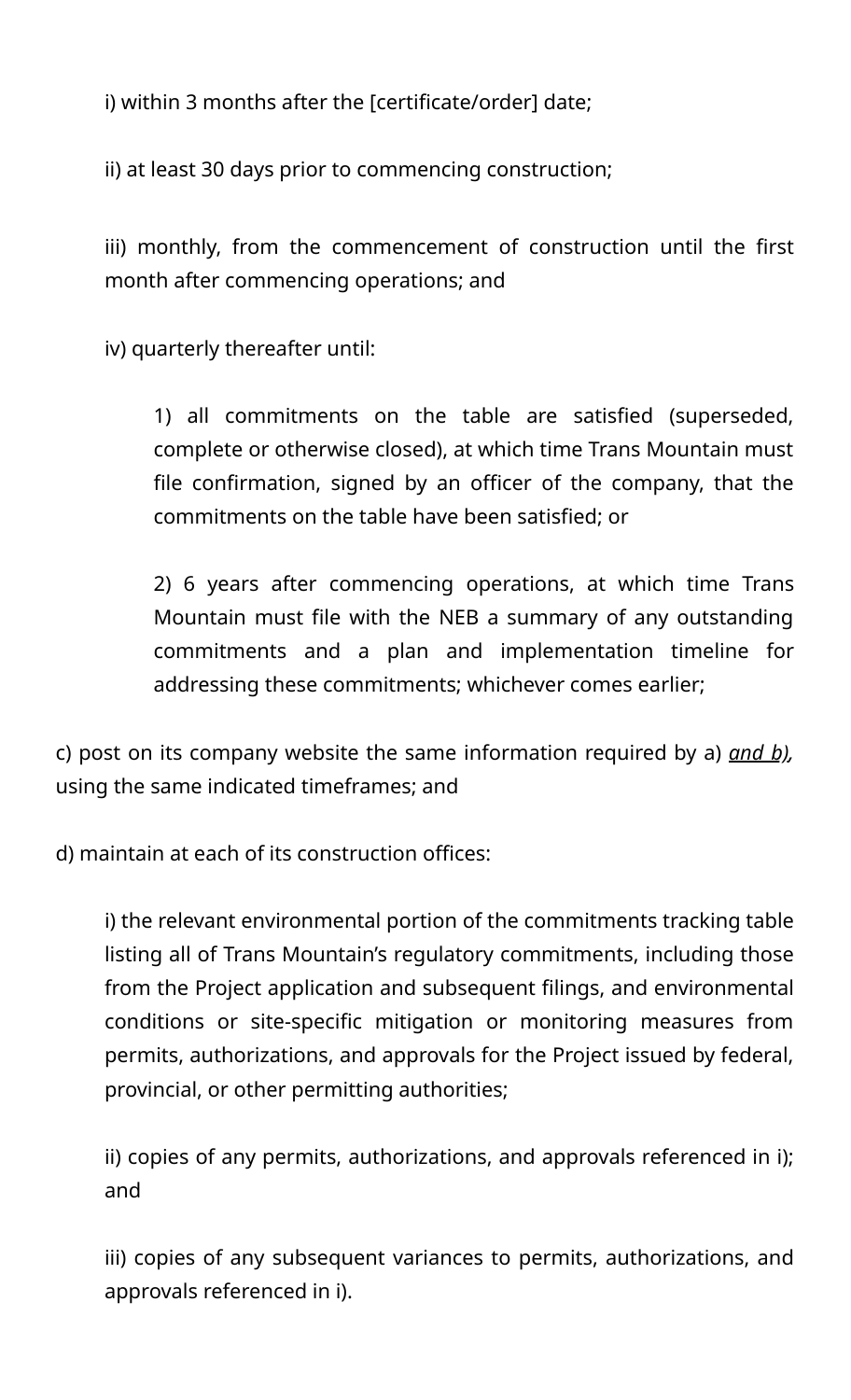i) within 3 months after the [certificate/order] date;

ii) at least 30 days prior to commencing construction;

iii) monthly, from the commencement of construction until the first month after commencing operations; and

iv) quarterly thereafter until:

1) all commitments on the table are satisfied (superseded, complete or otherwise closed), at which time Trans Mountain must file confirmation, signed by an officer of the company, that the commitments on the table have been satisfied; or

2) 6 years after commencing operations, at which time Trans Mountain must file with the NEB a summary of any outstanding commitments and a plan and implementation timeline for addressing these commitments; whichever comes earlier;

c) post on its company website the same information required by a) *and b),* using the same indicated timeframes; and

d) maintain at each of its construction offices:

i) the relevant environmental portion of the commitments tracking table listing all of Trans Mountain's regulatory commitments, including those from the Project application and subsequent filings, and environmental conditions or site-specific mitigation or monitoring measures from permits, authorizations, and approvals for the Project issued by federal, provincial, or other permitting authorities;

ii) copies of any permits, authorizations, and approvals referenced in i); and

iii) copies of any subsequent variances to permits, authorizations, and approvals referenced in i).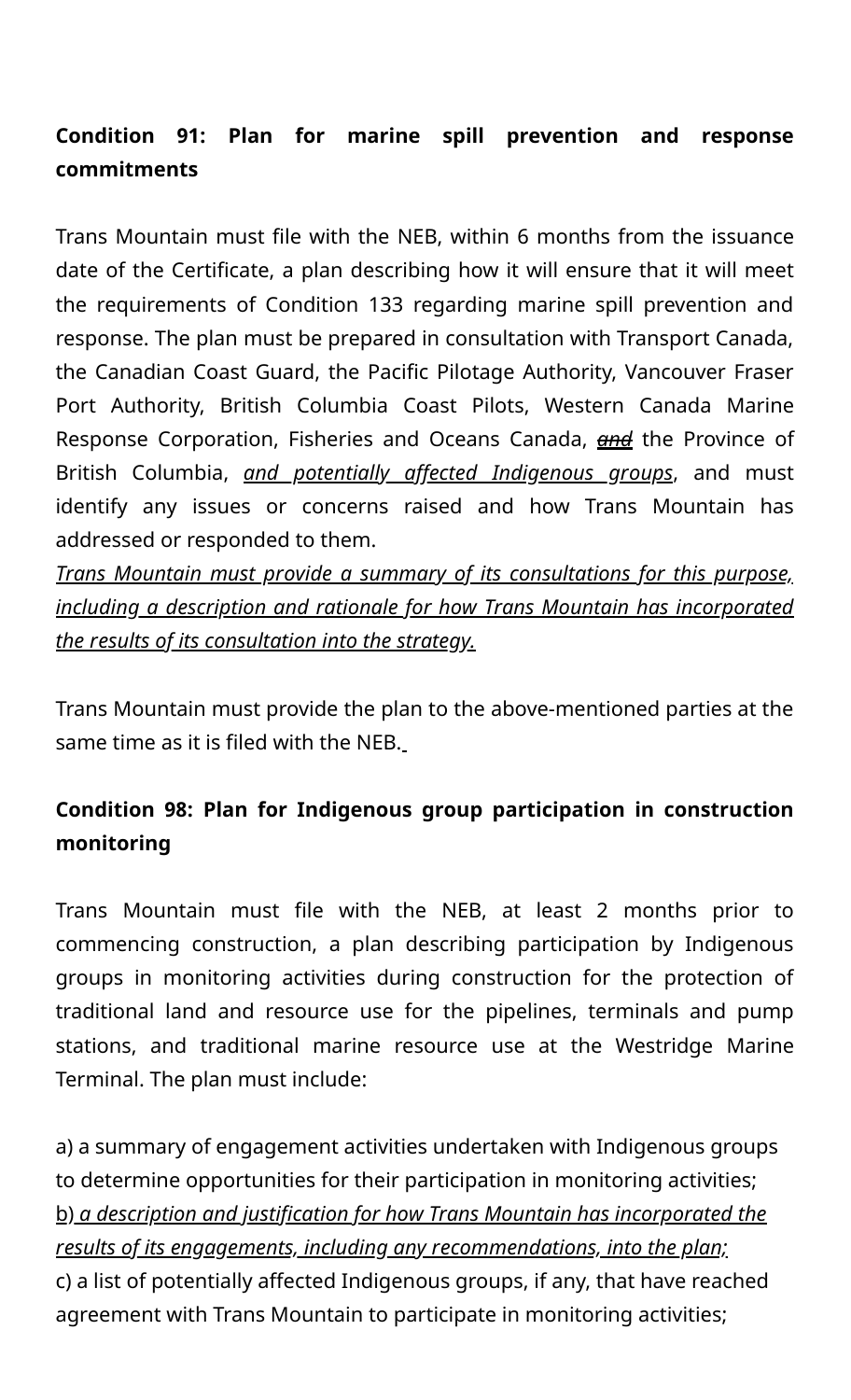# **Condition 91: Plan for marine spill prevention and response commitments**

Trans Mountain must file with the NEB, within 6 months from the issuance date of the Certificate, a plan describing how it will ensure that it will meet the requirements of Condition 133 regarding marine spill prevention and response. The plan must be prepared in consultation with Transport Canada, the Canadian Coast Guard, the Pacific Pilotage Authority, Vancouver Fraser Port Authority, British Columbia Coast Pilots, Western Canada Marine Response Corporation, Fisheries and Oceans Canada, *and* the Province of British Columbia, *and potentially affected Indigenous groups*, and must identify any issues or concerns raised and how Trans Mountain has addressed or responded to them.

*Trans Mountain must provide a summary of its consultations for this purpose, including a description and rationale for how Trans Mountain has incorporated the results of its consultation into the strategy.*

Trans Mountain must provide the plan to the above-mentioned parties at the same time as it is filed with the NEB.

# **Condition 98: Plan for Indigenous group participation in construction monitoring**

Trans Mountain must file with the NEB, at least 2 months prior to commencing construction, a plan describing participation by Indigenous groups in monitoring activities during construction for the protection of traditional land and resource use for the pipelines, terminals and pump stations, and traditional marine resource use at the Westridge Marine Terminal. The plan must include:

a) a summary of engagement activities undertaken with Indigenous groups to determine opportunities for their participation in monitoring activities; b) *a description and justification for how Trans Mountain has incorporated the results of its engagements, including any recommendations, into the plan;* c) a list of potentially affected Indigenous groups, if any, that have reached agreement with Trans Mountain to participate in monitoring activities;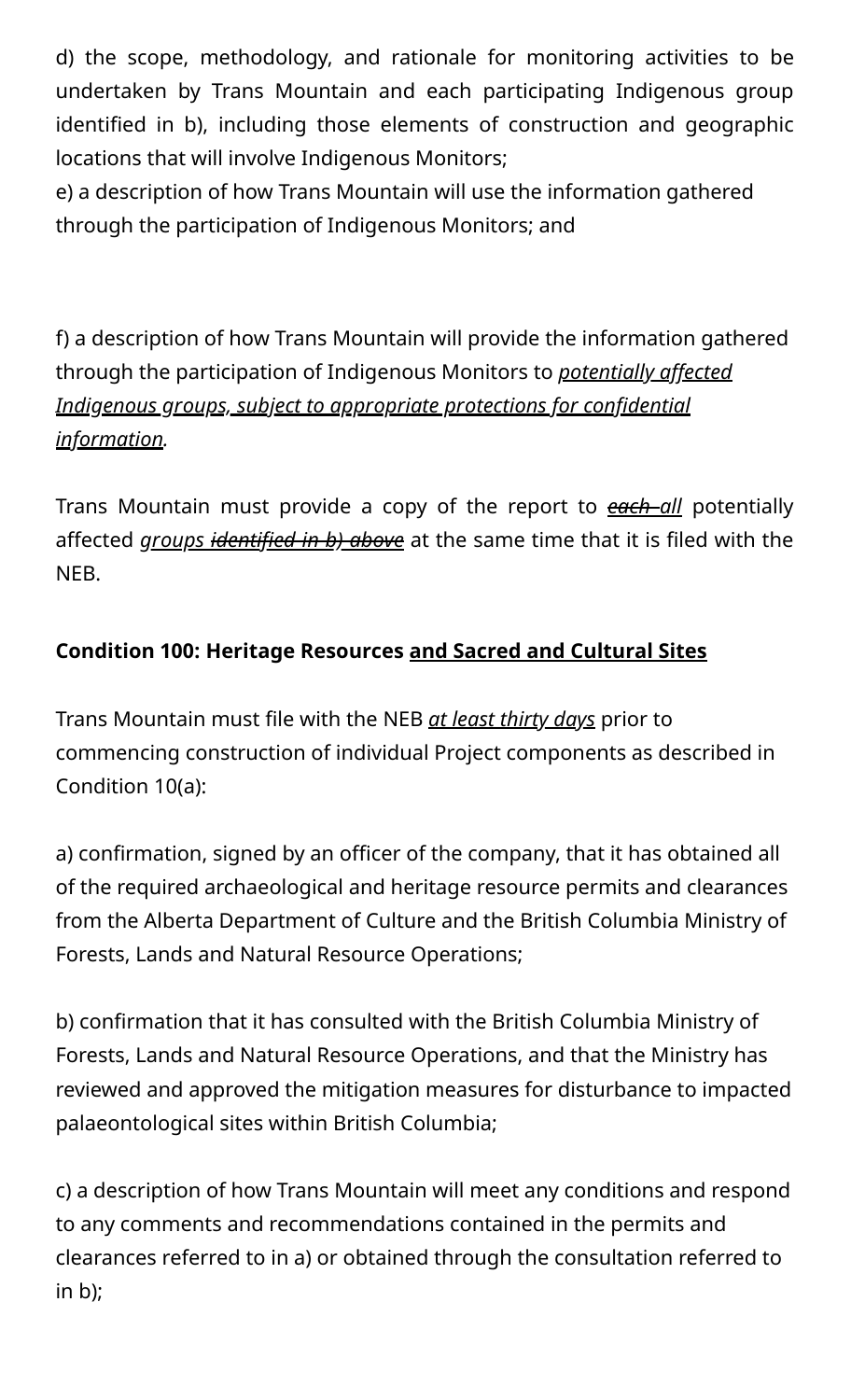d) the scope, methodology, and rationale for monitoring activities to be undertaken by Trans Mountain and each participating Indigenous group identified in b), including those elements of construction and geographic locations that will involve Indigenous Monitors;

e) a description of how Trans Mountain will use the information gathered through the participation of Indigenous Monitors; and

f) a description of how Trans Mountain will provide the information gathered through the participation of Indigenous Monitors to *potentially affected Indigenous groups, subject to appropriate protections for confidential information.*

Trans Mountain must provide a copy of the report to *each all* potentially affected *groups identified in b) above* at the same time that it is filed with the NEB.

# **Condition 100: Heritage Resources and Sacred and Cultural Sites**

Trans Mountain must file with the NEB *at least thirty days* prior to commencing construction of individual Project components as described in Condition 10(a):

a) confirmation, signed by an officer of the company, that it has obtained all of the required archaeological and heritage resource permits and clearances from the Alberta Department of Culture and the British Columbia Ministry of Forests, Lands and Natural Resource Operations;

b) confirmation that it has consulted with the British Columbia Ministry of Forests, Lands and Natural Resource Operations, and that the Ministry has reviewed and approved the mitigation measures for disturbance to impacted palaeontological sites within British Columbia;

c) a description of how Trans Mountain will meet any conditions and respond to any comments and recommendations contained in the permits and clearances referred to in a) or obtained through the consultation referred to in b);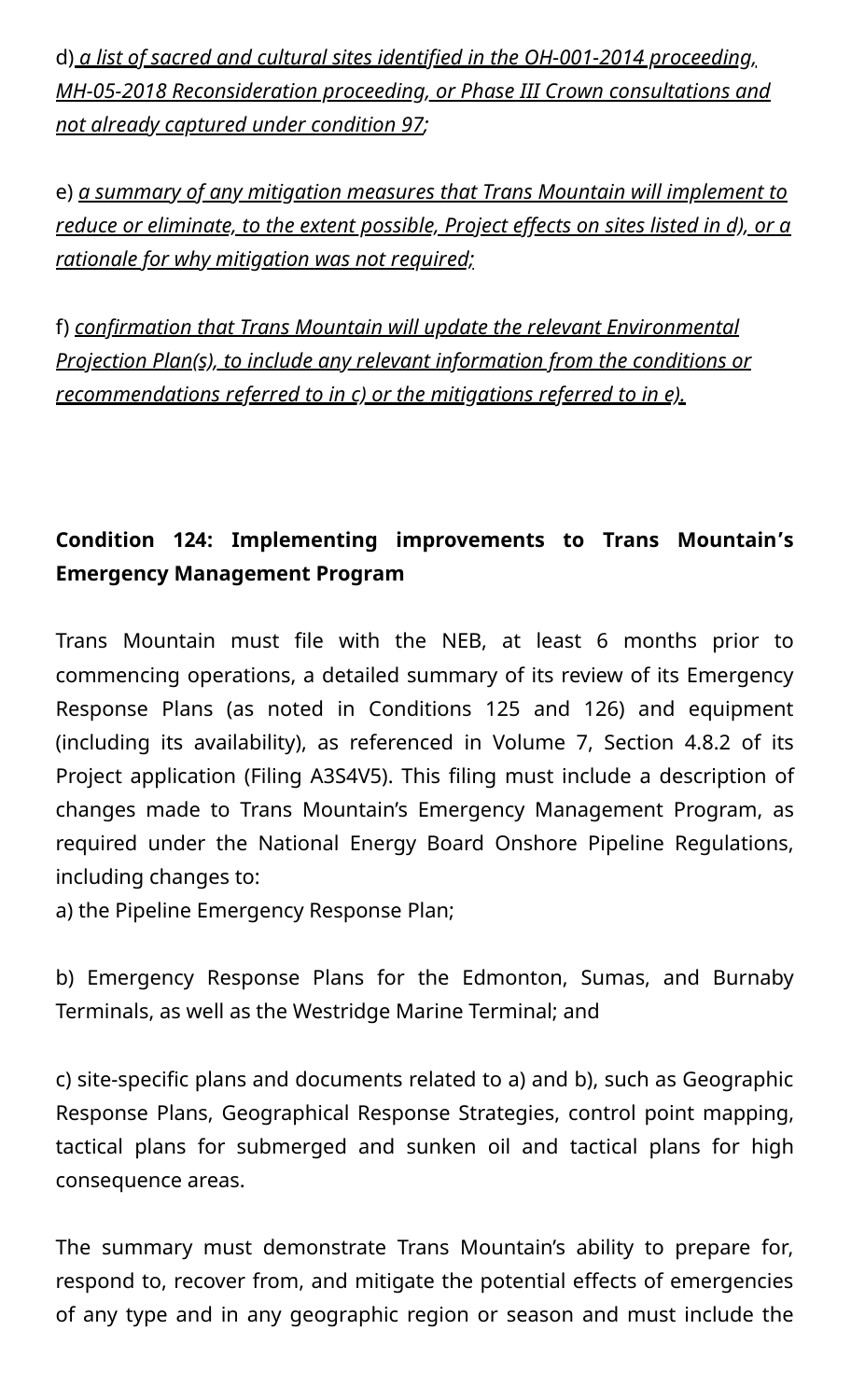d) *a list of sacred and cultural sites identified in the OH-001-2014 proceeding, MH-05-2018 Reconsideration proceeding, or Phase III Crown consultations and not already captured under condition 97;*

e) *a summary of any mitigation measures that Trans Mountain will implement to reduce or eliminate, to the extent possible, Project effects on sites listed in d), or a rationale for why mitigation was not required;*

f) *confirmation that Trans Mountain will update the relevant Environmental Projection Plan(s), to include any relevant information from the conditions or recommendations referred to in c) or the mitigations referred to in e).*

# **Condition 124: Implementing improvements to Trans Mountain's Emergency Management Program**

Trans Mountain must file with the NEB, at least 6 months prior to commencing operations, a detailed summary of its review of its Emergency Response Plans (as noted in Conditions 125 and 126) and equipment (including its availability), as referenced in Volume 7, Section 4.8.2 of its Project application (Filing A3S4V5). This filing must include a description of changes made to Trans Mountain's Emergency Management Program, as required under the National Energy Board Onshore Pipeline Regulations, including changes to:

a) the Pipeline Emergency Response Plan;

b) Emergency Response Plans for the Edmonton, Sumas, and Burnaby Terminals, as well as the Westridge Marine Terminal; and

c) site-specific plans and documents related to a) and b), such as Geographic Response Plans, Geographical Response Strategies, control point mapping, tactical plans for submerged and sunken oil and tactical plans for high consequence areas.

The summary must demonstrate Trans Mountain's ability to prepare for, respond to, recover from, and mitigate the potential effects of emergencies of any type and in any geographic region or season and must include the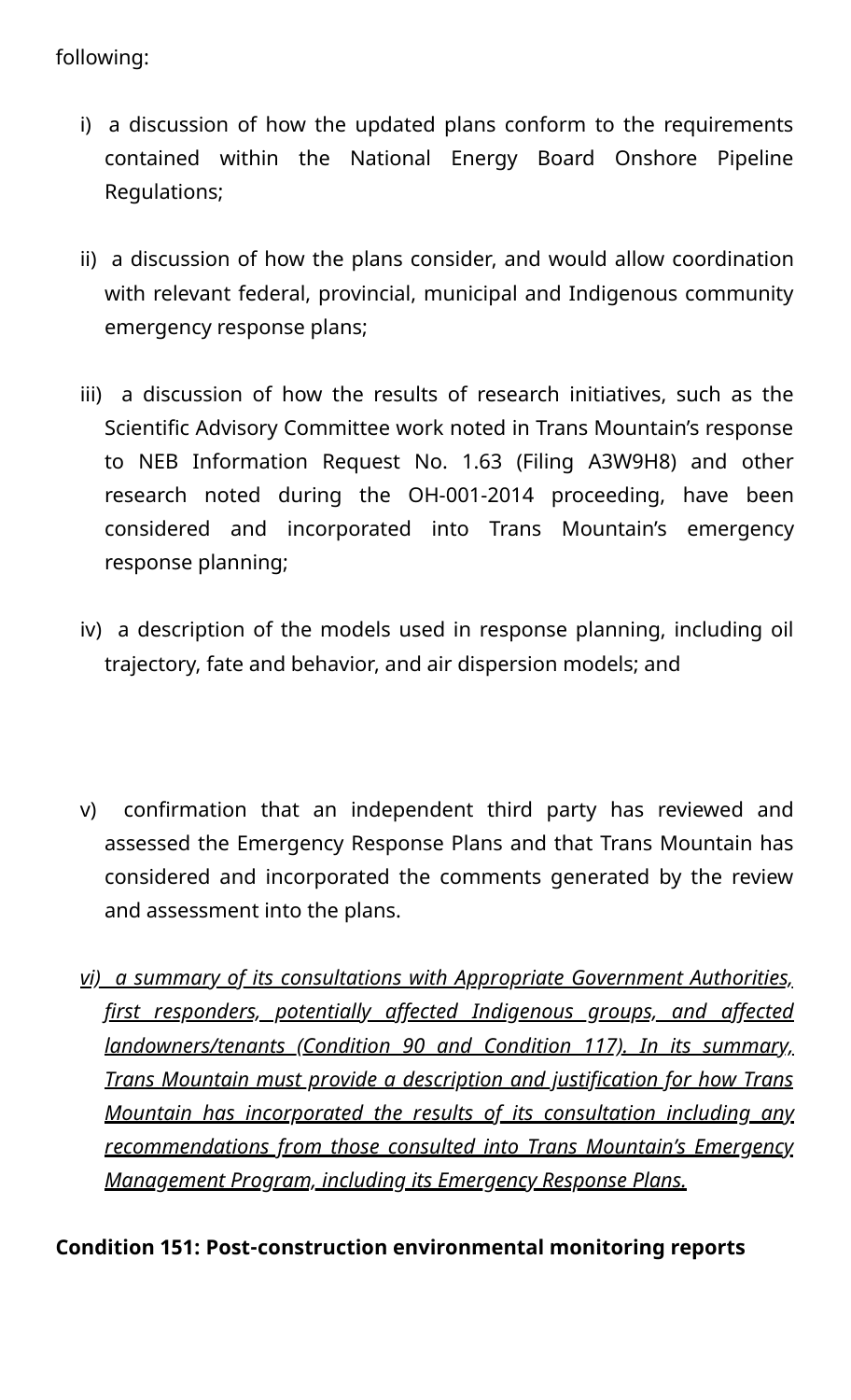#### following:

- i) a discussion of how the updated plans conform to the requirements contained within the National Energy Board Onshore Pipeline Regulations;
- ii) a discussion of how the plans consider, and would allow coordination with relevant federal, provincial, municipal and Indigenous community emergency response plans;
- iii) a discussion of how the results of research initiatives, such as the Scientific Advisory Committee work noted in Trans Mountain's response to NEB Information Request No. 1.63 (Filing A3W9H8) and other research noted during the OH-001-2014 proceeding, have been considered and incorporated into Trans Mountain's emergency response planning;
- iv) a description of the models used in response planning, including oil trajectory, fate and behavior, and air dispersion models; and
- v) confirmation that an independent third party has reviewed and assessed the Emergency Response Plans and that Trans Mountain has considered and incorporated the comments generated by the review and assessment into the plans.
- *vi) a summary of its consultations with Appropriate Government Authorities, first responders, potentially affected Indigenous groups, and affected landowners/tenants (Condition 90 and Condition 117). In its summary, Trans Mountain must provide a description and justification for how Trans Mountain has incorporated the results of its consultation including any recommendations from those consulted into Trans Mountain's Emergency Management Program, including its Emergency Response Plans.*

### **Condition 151: Post-construction environmental monitoring reports**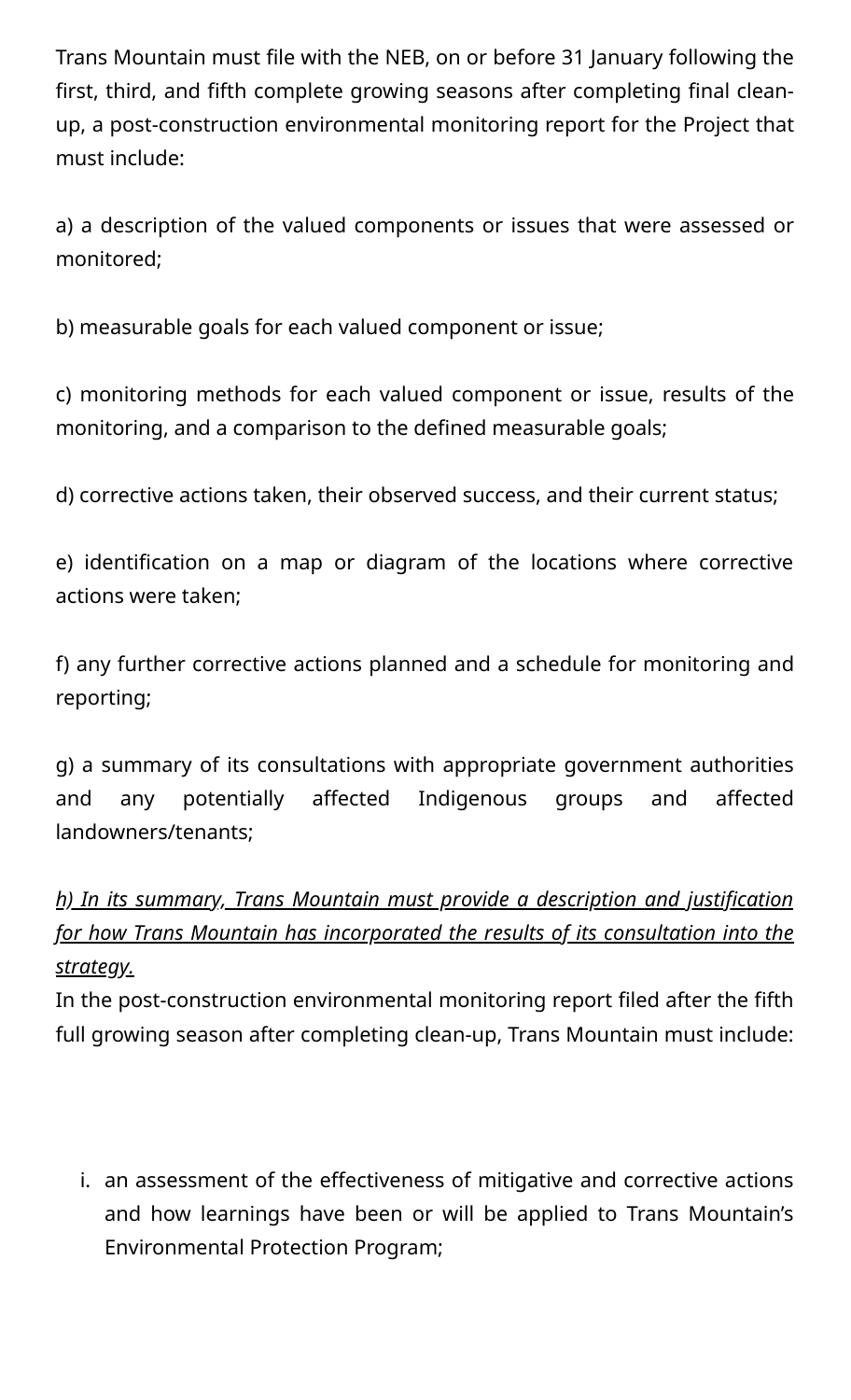Trans Mountain must file with the NEB, on or before 31 January following the first, third, and fifth complete growing seasons after completing final cleanup, a post-construction environmental monitoring report for the Project that must include:

a) a description of the valued components or issues that were assessed or monitored;

b) measurable goals for each valued component or issue;

c) monitoring methods for each valued component or issue, results of the monitoring, and a comparison to the defined measurable goals;

d) corrective actions taken, their observed success, and their current status;

e) identification on a map or diagram of the locations where corrective actions were taken;

f) any further corrective actions planned and a schedule for monitoring and reporting;

g) a summary of its consultations with appropriate government authorities and any potentially affected Indigenous groups and affected landowners/tenants;

# *h) In its summary, Trans Mountain must provide a description and justification for how Trans Mountain has incorporated the results of its consultation into the strategy.*

In the post-construction environmental monitoring report filed after the fifth full growing season after completing clean-up, Trans Mountain must include:

i. an assessment of the effectiveness of mitigative and corrective actions and how learnings have been or will be applied to Trans Mountain's Environmental Protection Program;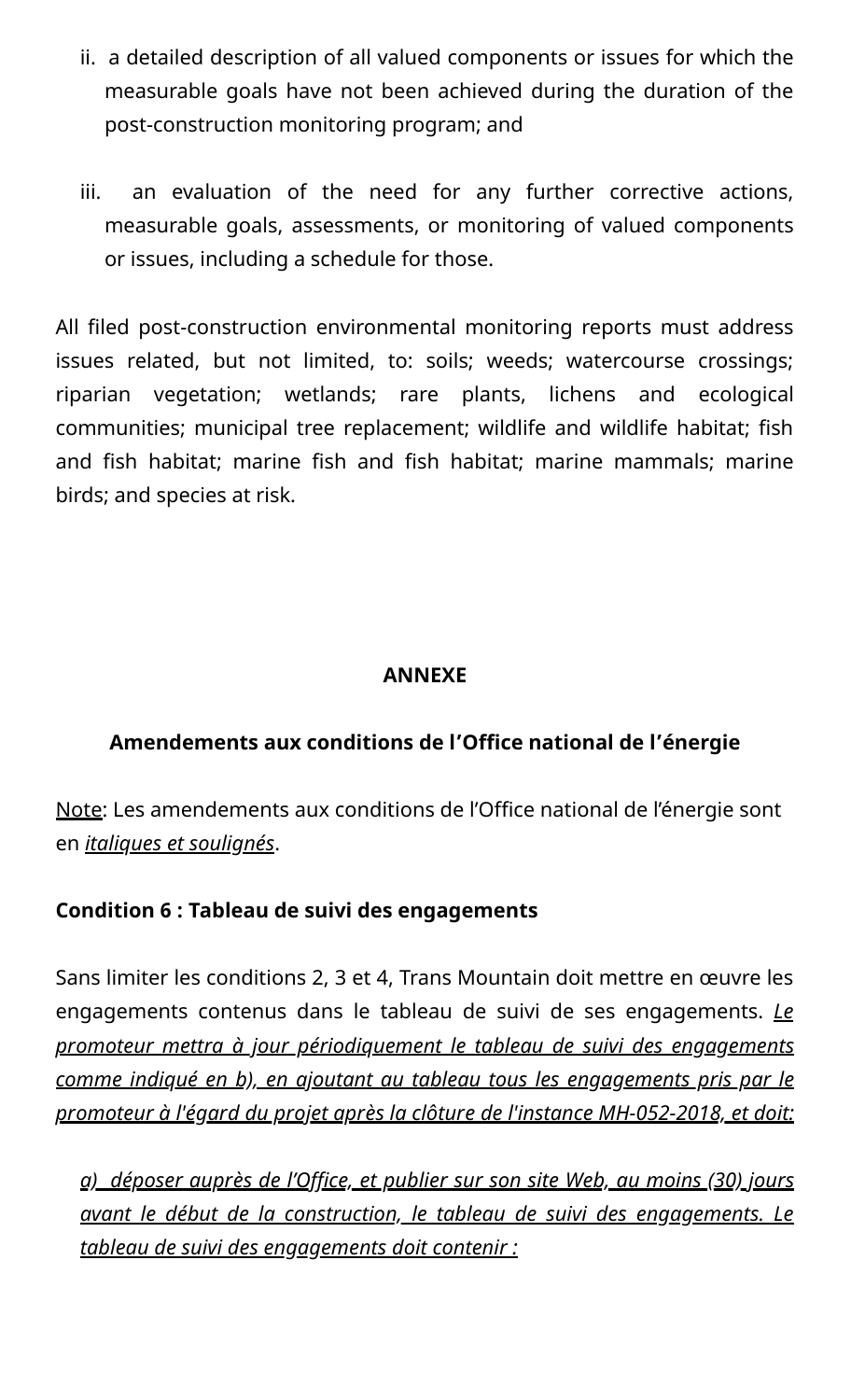- ii. a detailed description of all valued components or issues for which the measurable goals have not been achieved during the duration of the post-construction monitoring program; and
- iii. an evaluation of the need for any further corrective actions, measurable goals, assessments, or monitoring of valued components or issues, including a schedule for those.

All filed post-construction environmental monitoring reports must address issues related, but not limited, to: soils; weeds; watercourse crossings; riparian vegetation; wetlands; rare plants, lichens and ecological communities; municipal tree replacement; wildlife and wildlife habitat; fish and fish habitat; marine fish and fish habitat; marine mammals; marine birds; and species at risk.

### **ANNEXE**

### **Amendements aux conditions de l'Office national de l'énergie**

Note: Les amendements aux conditions de l'Office national de l'énergie sont en *italiques et soulignés*.

### **Condition 6 : Tableau de suivi des engagements**

Sans limiter les conditions 2, 3 et 4, Trans Mountain doit mettre en œuvre les engagements contenus dans le tableau de suivi de ses engagements. *Le promoteur mettra à jour périodiquement le tableau de suivi des engagements comme indiqué en b), en ajoutant au tableau tous les engagements pris par le promoteur à l'égard du projet après la clôture de l'instance MH-052-2018, et doit:*

*a) déposer auprès de l'Office, et publier sur son site Web, au moins (30) jours avant le début de la construction, le tableau de suivi des engagements. Le tableau de suivi des engagements doit contenir :*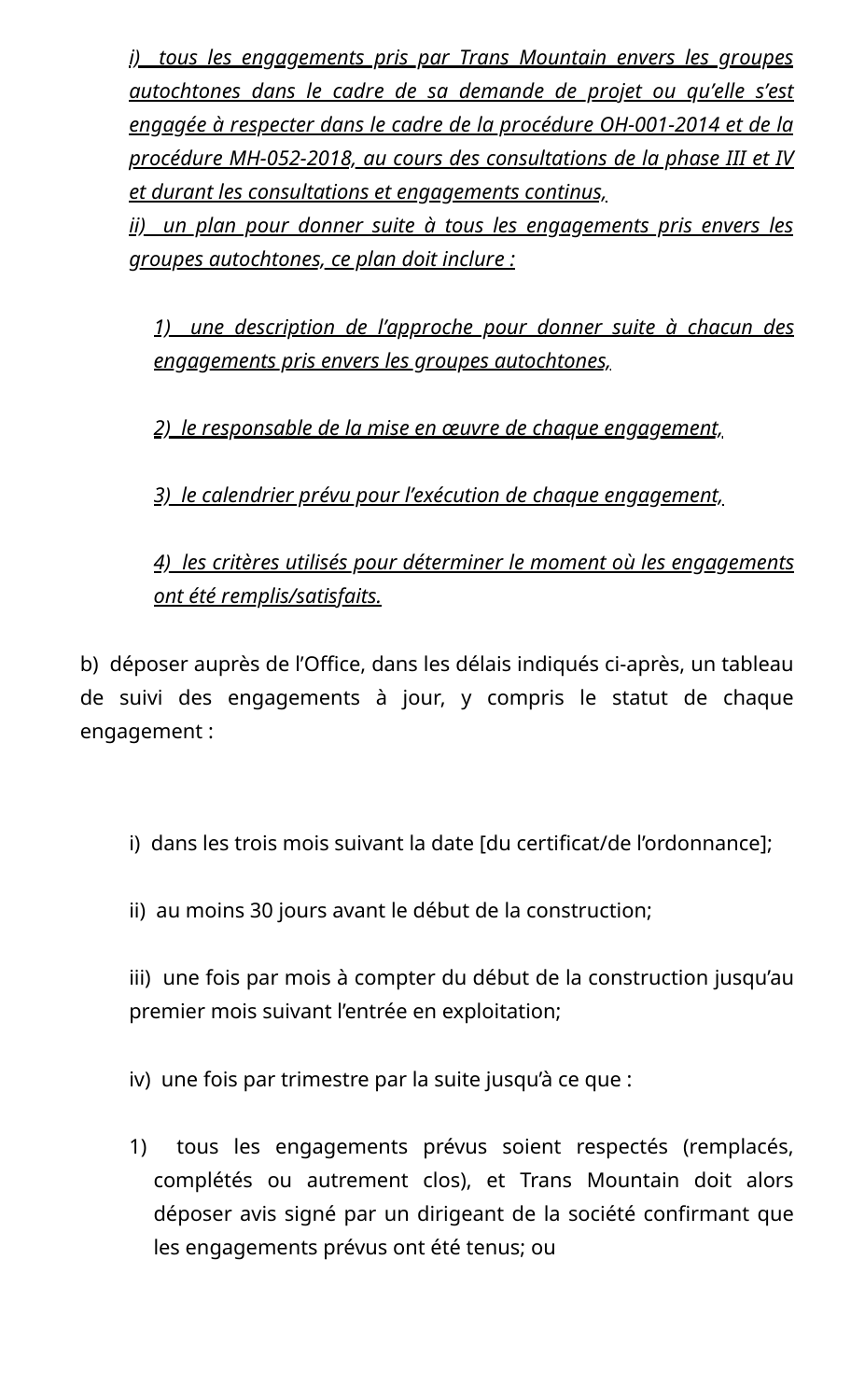*i) tous les engagements pris par Trans Mountain envers les groupes autochtones dans le cadre de sa demande de projet ou qu'elle s'est engagée à respecter dans le cadre de la procédure OH-001-2014 et de la procédure MH-052-2018, au cours des consultations de la phase III et IV et durant les consultations et engagements continus,*

*ii) un plan pour donner suite à tous les engagements pris envers les groupes autochtones, ce plan doit inclure :*

*1) une description de l'approche pour donner suite à chacun des engagements pris envers les groupes autochtones,*

*2) le responsable de la mise en œuvre de chaque engagement,*

*3) le calendrier prévu pour l'exécution de chaque engagement,*

## *4) les critères utilisés pour déterminer le moment où les engagements ont été remplis/satisfaits.*

b) déposer auprès de l'Office, dans les délais indiqués ci-après, un tableau de suivi des engagements à jour, y compris le statut de chaque engagement :

- i) dans les trois mois suivant la date [du certificat/de l'ordonnance];
- ii) au moins 30 jours avant le début de la construction;

iii) une fois par mois à compter du début de la construction jusqu'au premier mois suivant l'entrée en exploitation;

iv) une fois par trimestre par la suite jusqu'à ce que :

1) tous les engagements prévus soient respectés (remplacés, complétés ou autrement clos), et Trans Mountain doit alors déposer avis signé par un dirigeant de la société confirmant que les engagements prévus ont été tenus; ou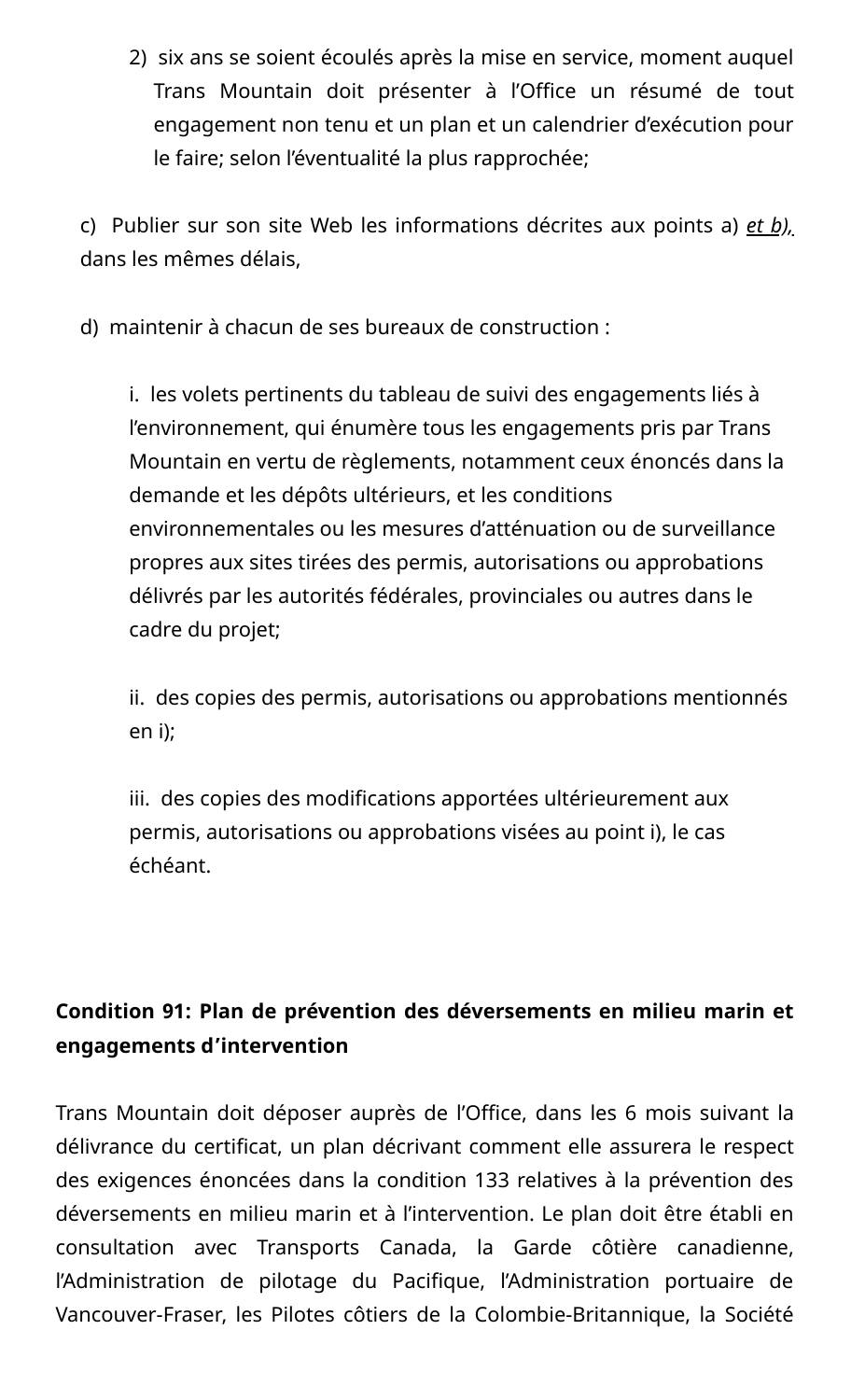2) six ans se soient écoulés après la mise en service, moment auquel Trans Mountain doit présenter à l'Office un résumé de tout engagement non tenu et un plan et un calendrier d'exécution pour le faire; selon l'éventualité la plus rapprochée;

c) Publier sur son site Web les informations décrites aux points a) *et b),* dans les mêmes délais,

d) maintenir à chacun de ses bureaux de construction :

i. les volets pertinents du tableau de suivi des engagements liés à l'environnement, qui énumère tous les engagements pris par Trans Mountain en vertu de règlements, notamment ceux énoncés dans la demande et les dépôts ultérieurs, et les conditions environnementales ou les mesures d'atténuation ou de surveillance propres aux sites tirées des permis, autorisations ou approbations délivrés par les autorités fédérales, provinciales ou autres dans le cadre du projet;

ii. des copies des permis, autorisations ou approbations mentionnés en i);

iii. des copies des modifications apportées ultérieurement aux permis, autorisations ou approbations visées au point i), le cas échéant.

# **Condition 91: Plan de prévention des déversements en milieu marin et engagements d'intervention**

Trans Mountain doit déposer auprès de l'Office, dans les 6 mois suivant la délivrance du certificat, un plan décrivant comment elle assurera le respect des exigences énoncées dans la condition 133 relatives à la prévention des déversements en milieu marin et à l'intervention. Le plan doit être établi en consultation avec Transports Canada, la Garde côtière canadienne, l'Administration de pilotage du Pacifique, l'Administration portuaire de Vancouver-Fraser, les Pilotes côtiers de la Colombie-Britannique, la Société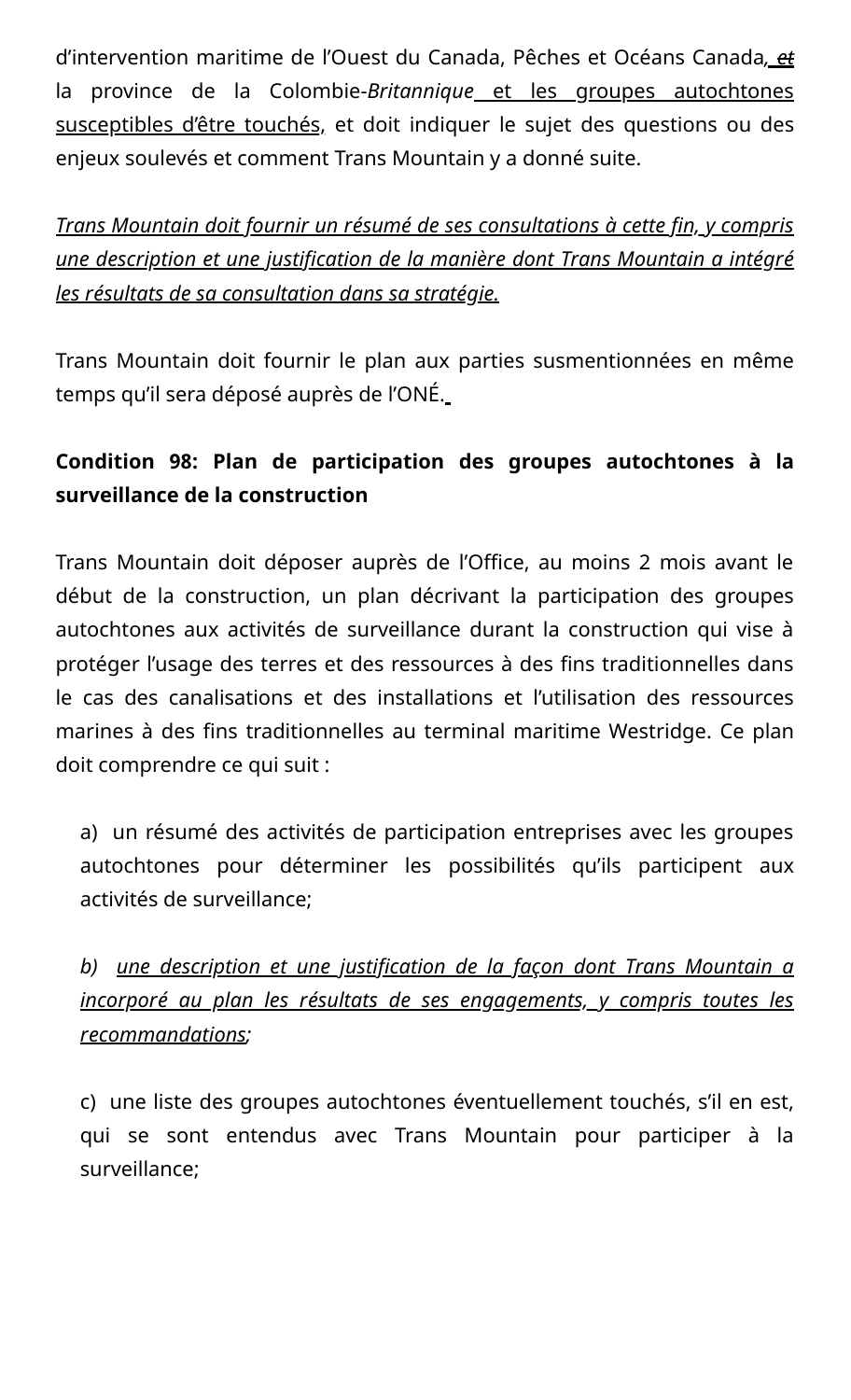d'intervention maritime de l'Ouest du Canada, Pêches et Océans Canada*, et* la province de la Colombie-*Britannique* et les groupes autochtones susceptibles d'être touchés, et doit indiquer le sujet des questions ou des enjeux soulevés et comment Trans Mountain y a donné suite.

*Trans Mountain doit fournir un résumé de ses consultations à cette fin, y compris une description et une justification de la manière dont Trans Mountain a intégré les résultats de sa consultation dans sa stratégie.*

Trans Mountain doit fournir le plan aux parties susmentionnées en même temps qu'il sera déposé auprès de l'ONÉ.

# **Condition 98: Plan de participation des groupes autochtones à la surveillance de la construction**

Trans Mountain doit déposer auprès de l'Office, au moins 2 mois avant le début de la construction, un plan décrivant la participation des groupes autochtones aux activités de surveillance durant la construction qui vise à protéger l'usage des terres et des ressources à des fins traditionnelles dans le cas des canalisations et des installations et l'utilisation des ressources marines à des fins traditionnelles au terminal maritime Westridge. Ce plan doit comprendre ce qui suit :

a) un résumé des activités de participation entreprises avec les groupes autochtones pour déterminer les possibilités qu'ils participent aux activités de surveillance;

*b) une description et une justification de la façon dont Trans Mountain a incorporé au plan les résultats de ses engagements, y compris toutes les recommandations;*

c) une liste des groupes autochtones éventuellement touchés, s'il en est, qui se sont entendus avec Trans Mountain pour participer à la surveillance;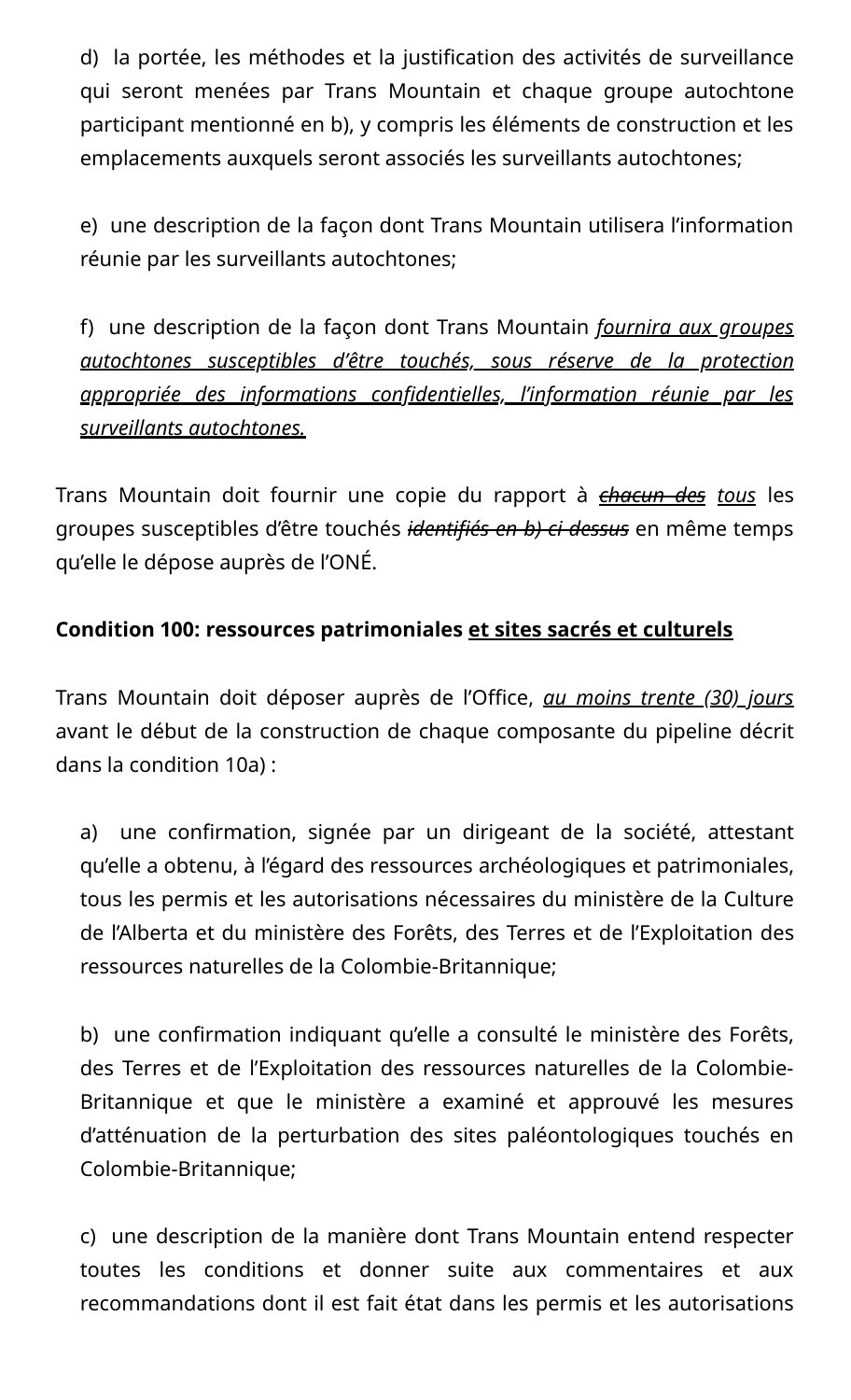d) la portée, les méthodes et la justification des activités de surveillance qui seront menées par Trans Mountain et chaque groupe autochtone participant mentionné en b), y compris les éléments de construction et les emplacements auxquels seront associés les surveillants autochtones;

e) une description de la façon dont Trans Mountain utilisera l'information réunie par les surveillants autochtones;

f) une description de la façon dont Trans Mountain *fournira aux groupes autochtones susceptibles d'être touchés, sous réserve de la protection appropriée des informations confidentielles, l'information réunie par les surveillants autochtones.*

Trans Mountain doit fournir une copie du rapport à *chacun des tous* les groupes susceptibles d'être touchés *identifiés en b) ci-dessus* en même temps qu'elle le dépose auprès de l'ONÉ.

## **Condition 100: ressources patrimoniales et sites sacrés et culturels**

Trans Mountain doit déposer auprès de l'Office, *au moins trente (30) jours* avant le début de la construction de chaque composante du pipeline décrit dans la condition 10a) :

a) une confirmation, signée par un dirigeant de la société, attestant qu'elle a obtenu, à l'égard des ressources archéologiques et patrimoniales, tous les permis et les autorisations nécessaires du ministère de la Culture de l'Alberta et du ministère des Forêts, des Terres et de l'Exploitation des ressources naturelles de la Colombie-Britannique;

b) une confirmation indiquant qu'elle a consulté le ministère des Forêts, des Terres et de l'Exploitation des ressources naturelles de la Colombie-Britannique et que le ministère a examiné et approuvé les mesures d'atténuation de la perturbation des sites paléontologiques touchés en Colombie-Britannique;

c) une description de la manière dont Trans Mountain entend respecter toutes les conditions et donner suite aux commentaires et aux recommandations dont il est fait état dans les permis et les autorisations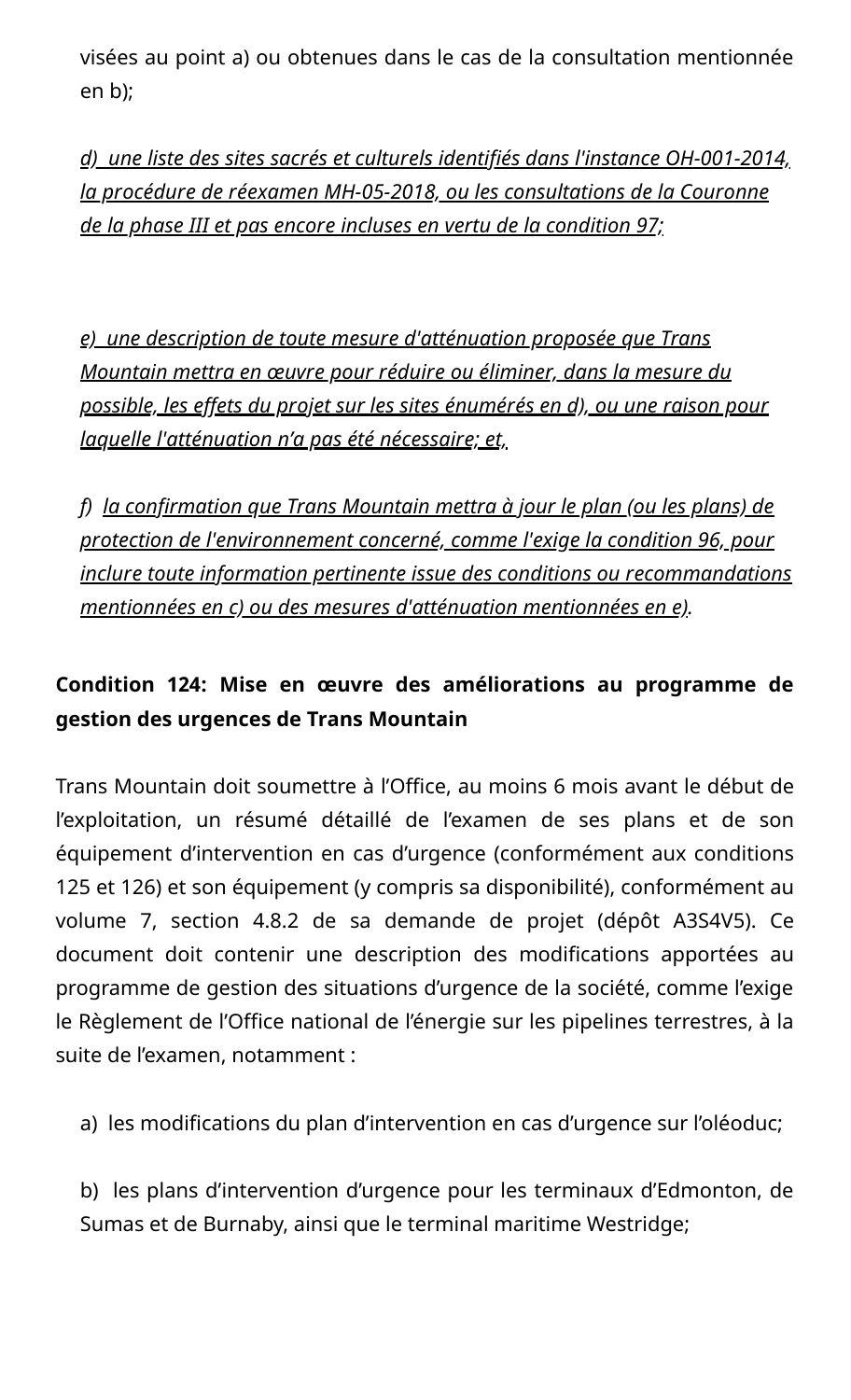visées au point a) ou obtenues dans le cas de la consultation mentionnée en b);

*d) une liste des sites sacrés et culturels identifiés dans l'instance OH-001-2014, la procédure de réexamen MH-05-2018, ou les consultations de la Couronne de la phase III et pas encore incluses en vertu de la condition 97;*

*e) une description de toute mesure d'atténuation proposée que Trans Mountain mettra en œuvre pour réduire ou éliminer, dans la mesure du possible, les effets du projet sur les sites énumérés en d), ou une raison pour laquelle l'atténuation n'a pas été nécessaire; et,*

*f) la confirmation que Trans Mountain mettra à jour le plan (ou les plans) de protection de l'environnement concerné, comme l'exige la condition 96, pour inclure toute information pertinente issue des conditions ou recommandations mentionnées en c) ou des mesures d'atténuation mentionnées en e).*

# **Condition 124: Mise en œuvre des améliorations au programme de gestion des urgences de Trans Mountain**

Trans Mountain doit soumettre à l'Office, au moins 6 mois avant le début de l'exploitation, un résumé détaillé de l'examen de ses plans et de son équipement d'intervention en cas d'urgence (conformément aux conditions 125 et 126) et son équipement (y compris sa disponibilité), conformément au volume 7, section 4.8.2 de sa demande de projet (dépôt A3S4V5). Ce document doit contenir une description des modifications apportées au programme de gestion des situations d'urgence de la société, comme l'exige le Règlement de l'Office national de l'énergie sur les pipelines terrestres, à la suite de l'examen, notamment :

a) les modifications du plan d'intervention en cas d'urgence sur l'oléoduc;

b) les plans d'intervention d'urgence pour les terminaux d'Edmonton, de Sumas et de Burnaby, ainsi que le terminal maritime Westridge;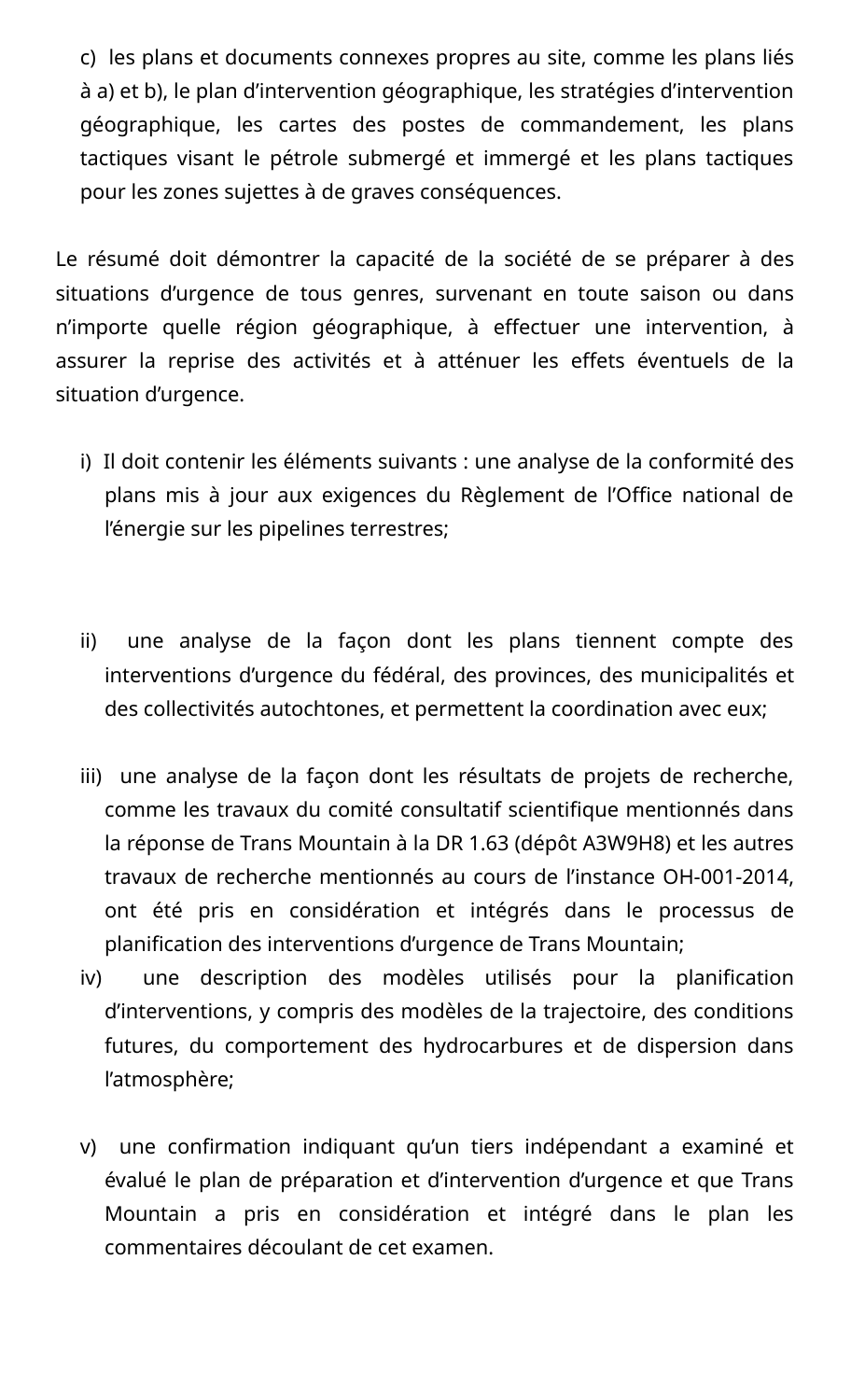c) les plans et documents connexes propres au site, comme les plans liés à a) et b), le plan d'intervention géographique, les stratégies d'intervention géographique, les cartes des postes de commandement, les plans tactiques visant le pétrole submergé et immergé et les plans tactiques pour les zones sujettes à de graves conséquences.

Le résumé doit démontrer la capacité de la société de se préparer à des situations d'urgence de tous genres, survenant en toute saison ou dans n'importe quelle région géographique, à effectuer une intervention, à assurer la reprise des activités et à atténuer les effets éventuels de la situation d'urgence.

- i) Il doit contenir les éléments suivants : une analyse de la conformité des plans mis à jour aux exigences du Règlement de l'Office national de l'énergie sur les pipelines terrestres;
- ii) une analyse de la façon dont les plans tiennent compte des interventions d'urgence du fédéral, des provinces, des municipalités et des collectivités autochtones, et permettent la coordination avec eux;
- iii) une analyse de la façon dont les résultats de projets de recherche, comme les travaux du comité consultatif scientifique mentionnés dans la réponse de Trans Mountain à la DR 1.63 (dépôt A3W9H8) et les autres travaux de recherche mentionnés au cours de l'instance OH-001-2014, ont été pris en considération et intégrés dans le processus de planification des interventions d'urgence de Trans Mountain;
- iv) une description des modèles utilisés pour la planification d'interventions, y compris des modèles de la trajectoire, des conditions futures, du comportement des hydrocarbures et de dispersion dans l'atmosphère;
- v) une confirmation indiquant qu'un tiers indépendant a examiné et évalué le plan de préparation et d'intervention d'urgence et que Trans Mountain a pris en considération et intégré dans le plan les commentaires découlant de cet examen.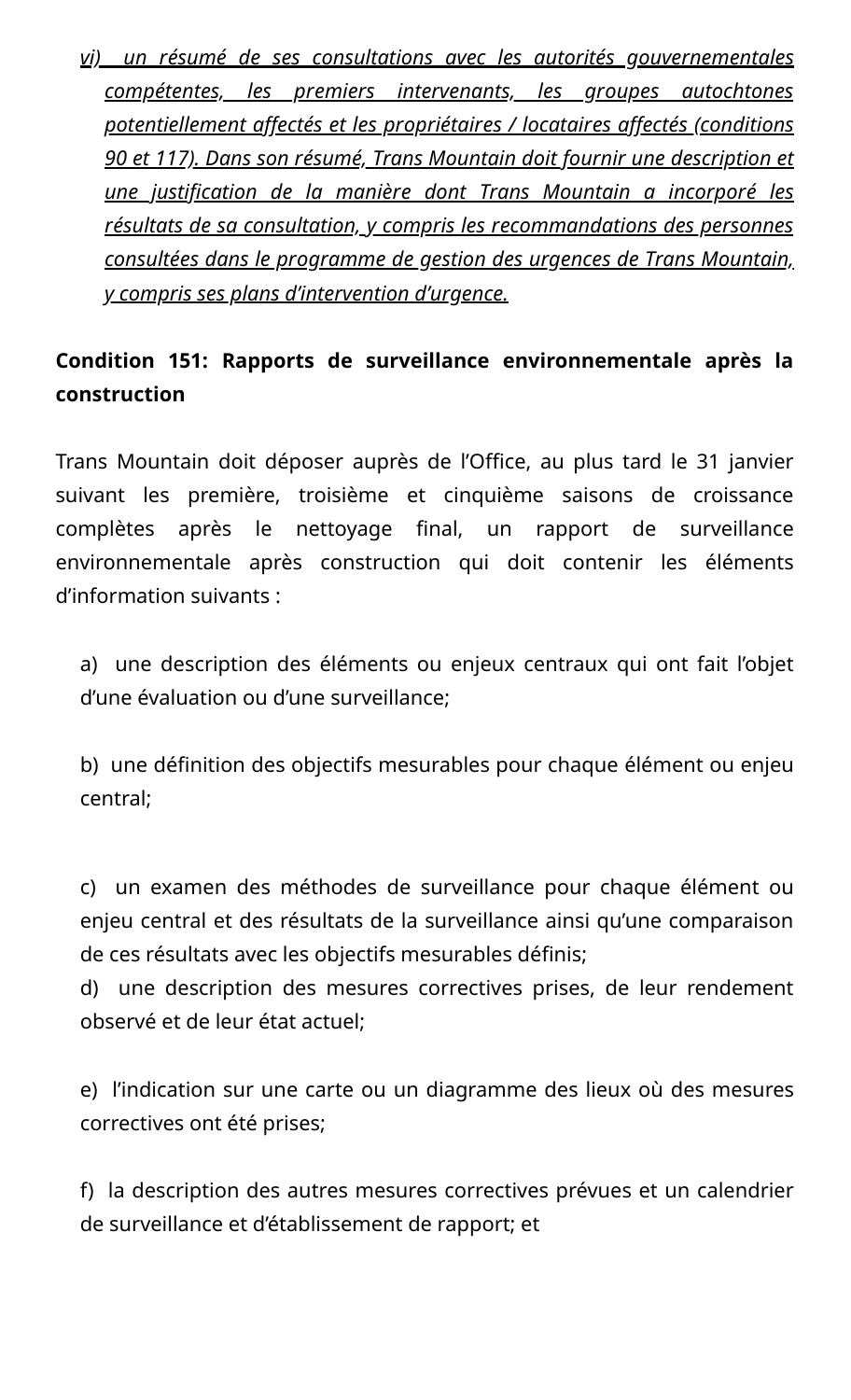*vi) un résumé de ses consultations avec les autorités gouvernementales compétentes, les premiers intervenants, les groupes autochtones potentiellement affectés et les propriétaires / locataires affectés (conditions 90 et 117). Dans son résumé, Trans Mountain doit fournir une description et une justification de la manière dont Trans Mountain a incorporé les résultats de sa consultation, y compris les recommandations des personnes consultées dans le programme de gestion des urgences de Trans Mountain, y compris ses plans d'intervention d'urgence.*

# **Condition 151: Rapports de surveillance environnementale après la construction**

Trans Mountain doit déposer auprès de l'Office, au plus tard le 31 janvier suivant les première, troisième et cinquième saisons de croissance complètes après le nettoyage final, un rapport de surveillance environnementale après construction qui doit contenir les éléments d'information suivants :

a) une description des éléments ou enjeux centraux qui ont fait l'objet d'une évaluation ou d'une surveillance;

b) une définition des objectifs mesurables pour chaque élément ou enjeu central;

c) un examen des méthodes de surveillance pour chaque élément ou enjeu central et des résultats de la surveillance ainsi qu'une comparaison de ces résultats avec les objectifs mesurables définis;

d) une description des mesures correctives prises, de leur rendement observé et de leur état actuel;

e) l'indication sur une carte ou un diagramme des lieux où des mesures correctives ont été prises;

f) la description des autres mesures correctives prévues et un calendrier de surveillance et d'établissement de rapport; et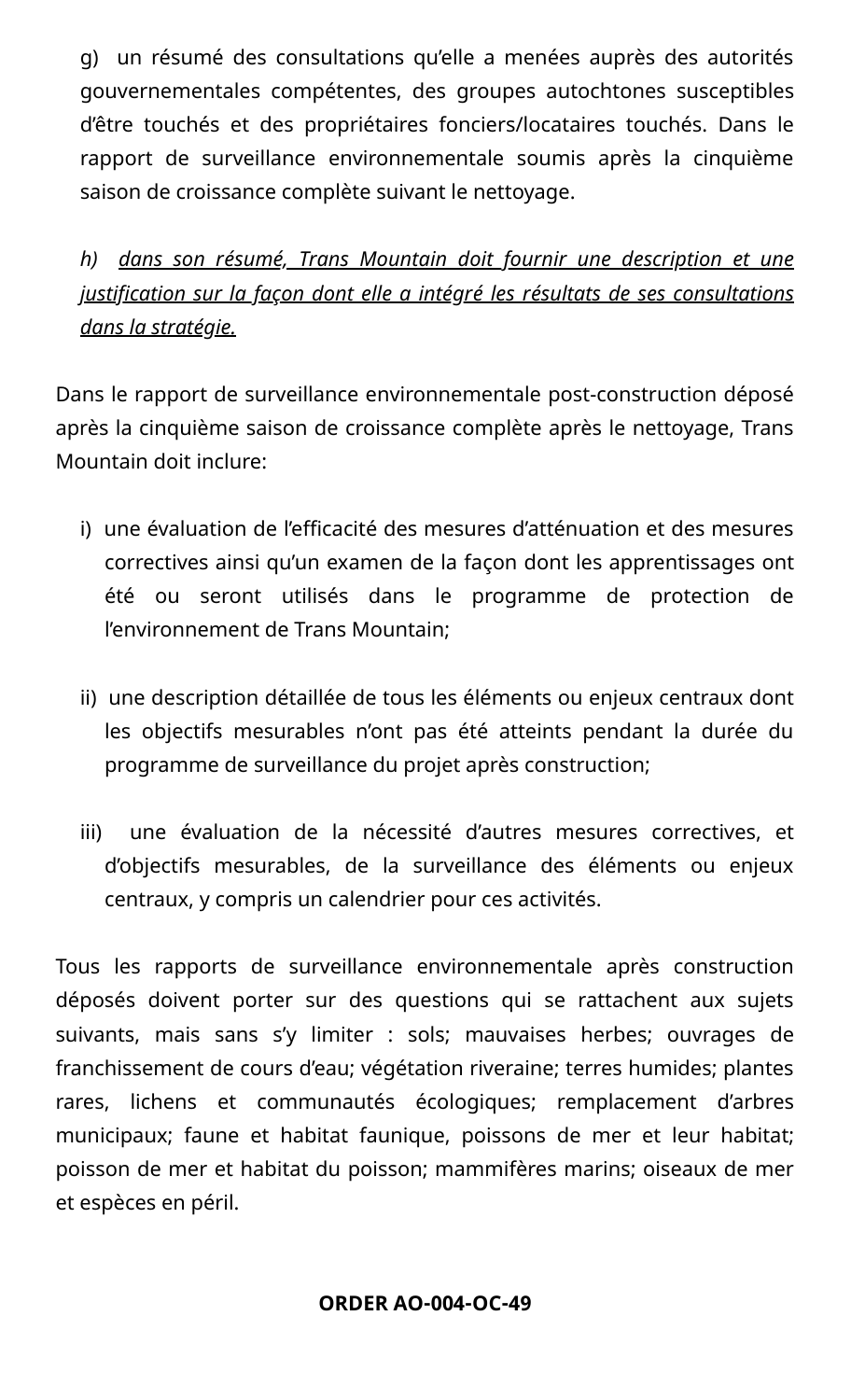g) un résumé des consultations qu'elle a menées auprès des autorités gouvernementales compétentes, des groupes autochtones susceptibles d'être touchés et des propriétaires fonciers/locataires touchés. Dans le rapport de surveillance environnementale soumis après la cinquième saison de croissance complète suivant le nettoyage.

# *h) dans son résumé, Trans Mountain doit fournir une description et une justification sur la façon dont elle a intégré les résultats de ses consultations dans la stratégie.*

Dans le rapport de surveillance environnementale post-construction déposé après la cinquième saison de croissance complète après le nettoyage, Trans Mountain doit inclure:

- i) une évaluation de l'efficacité des mesures d'atténuation et des mesures correctives ainsi qu'un examen de la façon dont les apprentissages ont été ou seront utilisés dans le programme de protection de l'environnement de Trans Mountain;
- ii) une description détaillée de tous les éléments ou enjeux centraux dont les objectifs mesurables n'ont pas été atteints pendant la durée du programme de surveillance du projet après construction;
- iii) une évaluation de la nécessité d'autres mesures correctives, et d'objectifs mesurables, de la surveillance des éléments ou enjeux centraux, y compris un calendrier pour ces activités.

Tous les rapports de surveillance environnementale après construction déposés doivent porter sur des questions qui se rattachent aux sujets suivants, mais sans s'y limiter : sols; mauvaises herbes; ouvrages de franchissement de cours d'eau; végétation riveraine; terres humides; plantes rares, lichens et communautés écologiques; remplacement d'arbres municipaux; faune et habitat faunique, poissons de mer et leur habitat; poisson de mer et habitat du poisson; mammifères marins; oiseaux de mer et espèces en péril.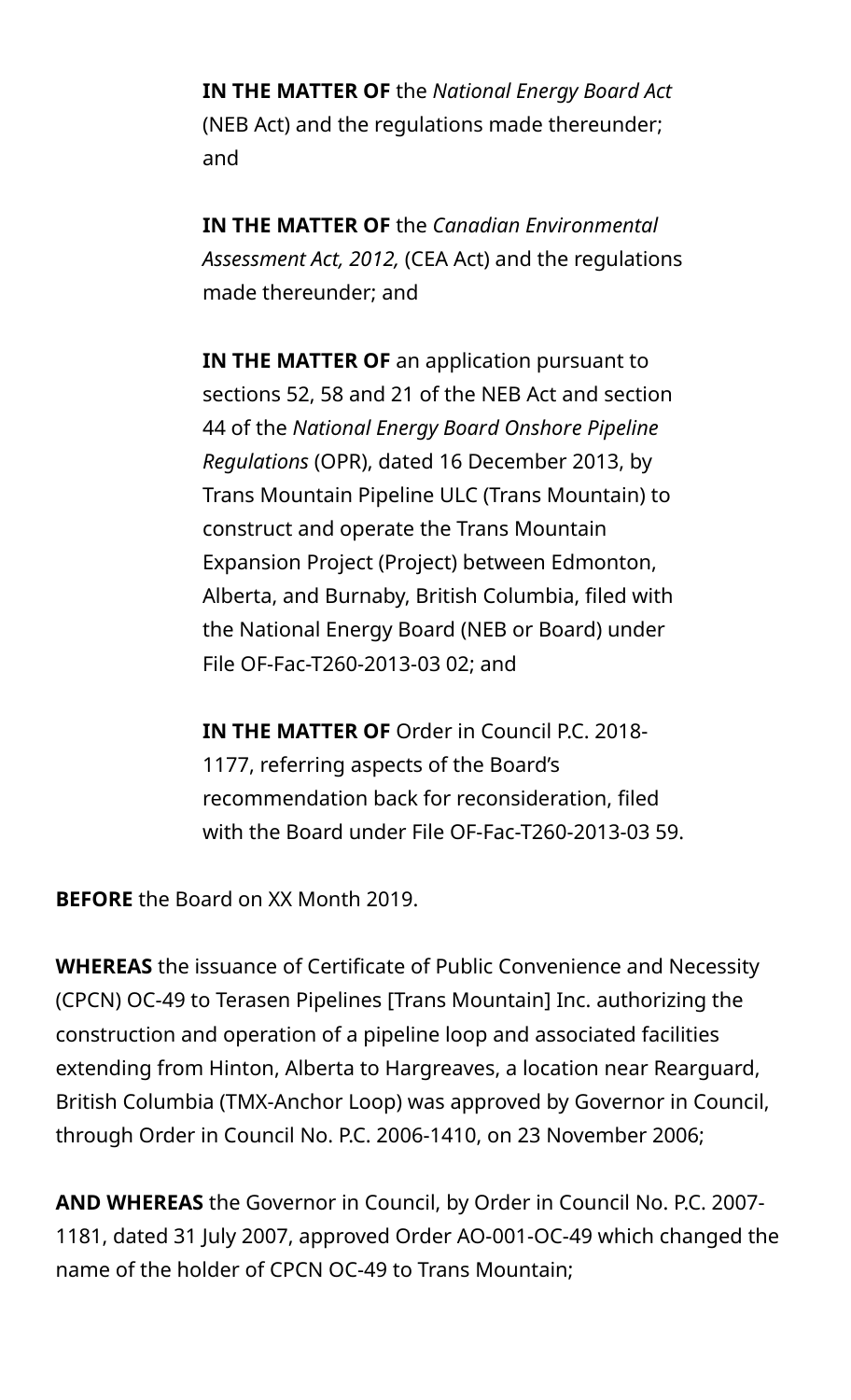**IN THE MATTER OF** the *National Energy Board Act* (NEB Act) and the regulations made thereunder; and

**IN THE MATTER OF** the *Canadian Environmental Assessment Act, 2012,* (CEA Act) and the regulations made thereunder; and

**IN THE MATTER OF** an application pursuant to sections 52, 58 and 21 of the NEB Act and section 44 of the *National Energy Board Onshore Pipeline Regulations* (OPR), dated 16 December 2013, by Trans Mountain Pipeline ULC (Trans Mountain) to construct and operate the Trans Mountain Expansion Project (Project) between Edmonton, Alberta, and Burnaby, British Columbia, filed with the National Energy Board (NEB or Board) under File OF-Fac-T260-2013-03 02; and

**IN THE MATTER OF** Order in Council P.C. 2018- 1177, referring aspects of the Board's recommendation back for reconsideration, filed with the Board under File OF-Fac-T260-2013-03 59.

**BEFORE** the Board on XX Month 2019.

**WHEREAS** the issuance of Certificate of Public Convenience and Necessity (CPCN) OC-49 to Terasen Pipelines [Trans Mountain] Inc. authorizing the construction and operation of a pipeline loop and associated facilities extending from Hinton, Alberta to Hargreaves, a location near Rearguard, British Columbia (TMX-Anchor Loop) was approved by Governor in Council, through Order in Council No. P.C. 2006-1410, on 23 November 2006;

**AND WHEREAS** the Governor in Council, by Order in Council No. P.C. 2007- 1181, dated 31 July 2007, approved Order AO-001-OC-49 which changed the name of the holder of CPCN OC-49 to Trans Mountain;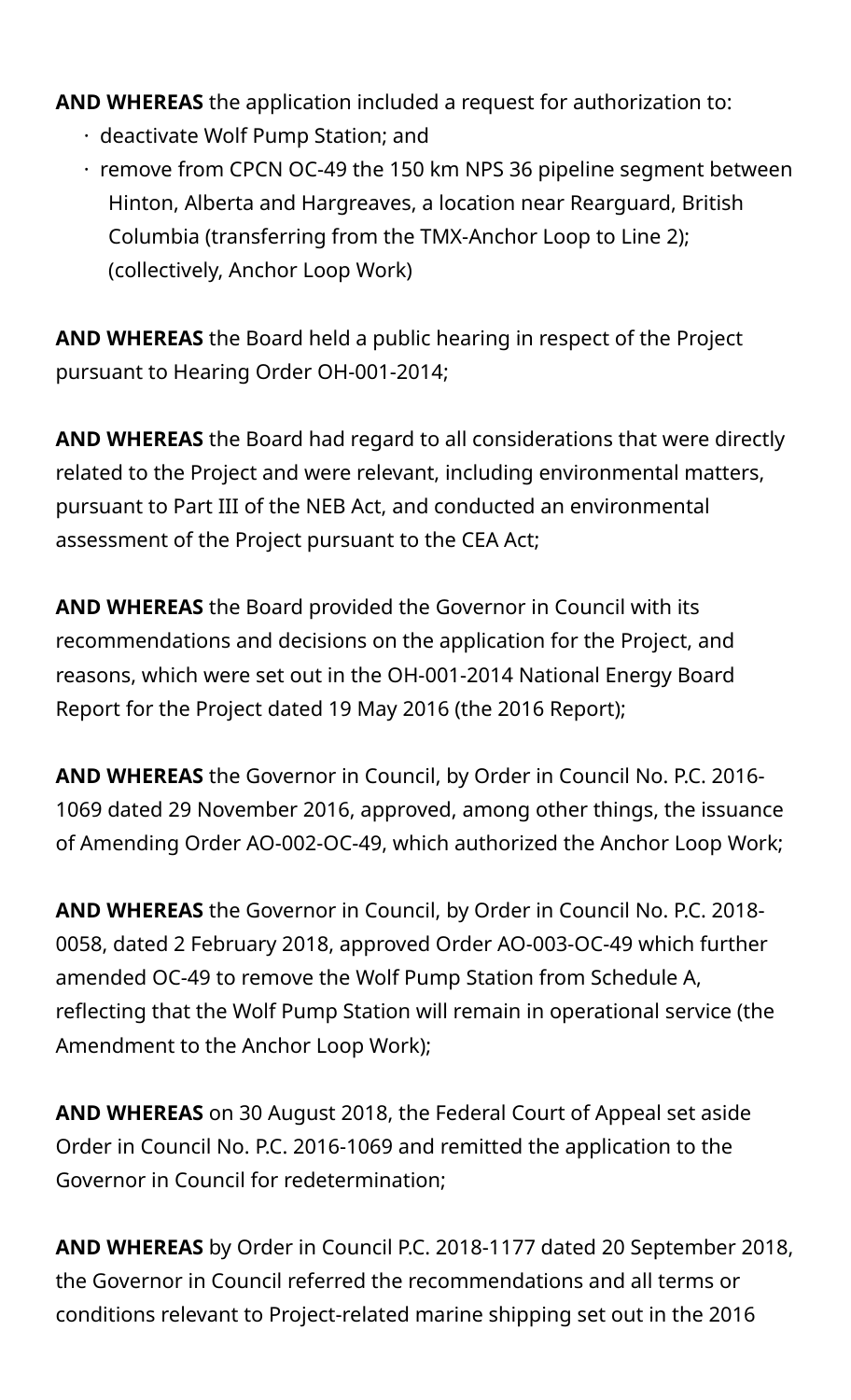**AND WHEREAS** the application included a request for authorization to:

- · deactivate Wolf Pump Station; and
- · remove from CPCN OC-49 the 150 km NPS 36 pipeline segment between Hinton, Alberta and Hargreaves, a location near Rearguard, British Columbia (transferring from the TMX-Anchor Loop to Line 2); (collectively, Anchor Loop Work)

**AND WHEREAS** the Board held a public hearing in respect of the Project pursuant to Hearing Order OH-001-2014;

**AND WHEREAS** the Board had regard to all considerations that were directly related to the Project and were relevant, including environmental matters, pursuant to Part III of the NEB Act, and conducted an environmental assessment of the Project pursuant to the CEA Act;

**AND WHEREAS** the Board provided the Governor in Council with its recommendations and decisions on the application for the Project, and reasons, which were set out in the OH-001-2014 National Energy Board Report for the Project dated 19 May 2016 (the 2016 Report);

**AND WHEREAS** the Governor in Council, by Order in Council No. P.C. 2016- 1069 dated 29 November 2016, approved, among other things, the issuance of Amending Order AO-002-OC-49, which authorized the Anchor Loop Work;

**AND WHEREAS** the Governor in Council, by Order in Council No. P.C. 2018- 0058, dated 2 February 2018, approved Order AO-003-OC-49 which further amended OC-49 to remove the Wolf Pump Station from Schedule A, reflecting that the Wolf Pump Station will remain in operational service (the Amendment to the Anchor Loop Work);

**AND WHEREAS** on 30 August 2018, the Federal Court of Appeal set aside Order in Council No. P.C. 2016-1069 and remitted the application to the Governor in Council for redetermination;

**AND WHEREAS** by Order in Council P.C. 2018-1177 dated 20 September 2018, the Governor in Council referred the recommendations and all terms or conditions relevant to Project-related marine shipping set out in the 2016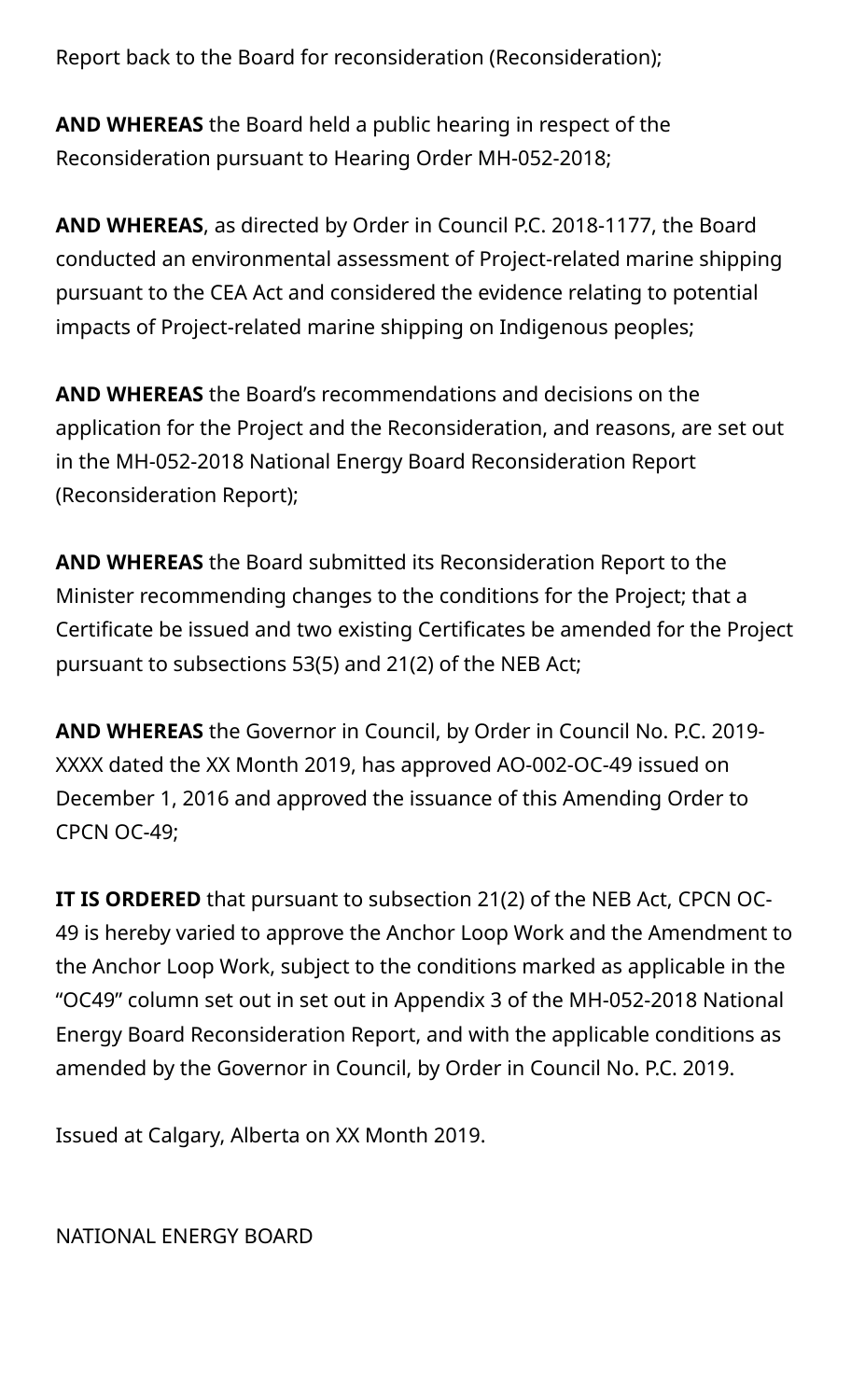Report back to the Board for reconsideration (Reconsideration);

**AND WHEREAS** the Board held a public hearing in respect of the Reconsideration pursuant to Hearing Order MH-052-2018;

**AND WHEREAS**, as directed by Order in Council P.C. 2018-1177, the Board conducted an environmental assessment of Project-related marine shipping pursuant to the CEA Act and considered the evidence relating to potential impacts of Project-related marine shipping on Indigenous peoples;

**AND WHEREAS** the Board's recommendations and decisions on the application for the Project and the Reconsideration, and reasons, are set out in the MH-052-2018 National Energy Board Reconsideration Report (Reconsideration Report);

**AND WHEREAS** the Board submitted its Reconsideration Report to the Minister recommending changes to the conditions for the Project; that a Certificate be issued and two existing Certificates be amended for the Project pursuant to subsections 53(5) and 21(2) of the NEB Act;

**AND WHEREAS** the Governor in Council, by Order in Council No. P.C. 2019- XXXX dated the XX Month 2019, has approved AO-002-OC-49 issued on December 1, 2016 and approved the issuance of this Amending Order to CPCN OC-49;

**IT IS ORDERED** that pursuant to subsection 21(2) of the NEB Act, CPCN OC-49 is hereby varied to approve the Anchor Loop Work and the Amendment to the Anchor Loop Work, subject to the conditions marked as applicable in the "OC49" column set out in set out in Appendix 3 of the MH-052-2018 National Energy Board Reconsideration Report, and with the applicable conditions as amended by the Governor in Council, by Order in Council No. P.C. 2019.

Issued at Calgary, Alberta on XX Month 2019.

NATIONAL ENERGY BOARD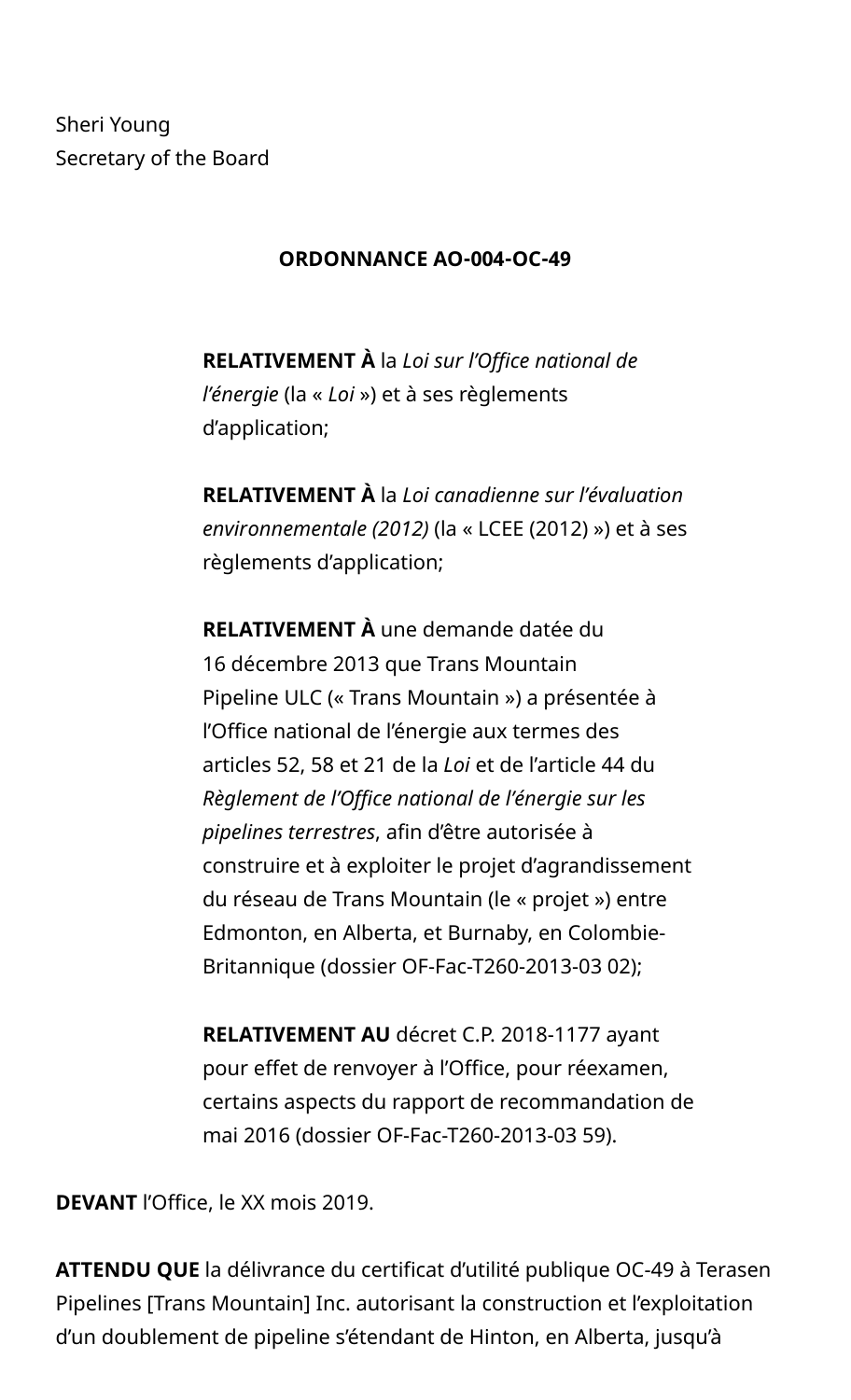Sheri Young Secretary of the Board

#### **ORDONNANCE AO-004-OC-49**

**RELATIVEMENT À** la *Loi sur l'Office national de l'énergie* (la « *Loi* ») et à ses règlements d'application;

**RELATIVEMENT À** la *Loi canadienne sur l'évaluation environnementale (2012)* (la « LCEE (2012) ») et à ses règlements d'application;

**RELATIVEMENT À** une demande datée du 16 décembre 2013 que Trans Mountain Pipeline ULC (« Trans Mountain ») a présentée à l'Office national de l'énergie aux termes des articles 52, 58 et 21 de la *Loi* et de l'article 44 du *Règlement de l'Office national de l'énergie sur les pipelines terrestres*, afin d'être autorisée à construire et à exploiter le projet d'agrandissement du réseau de Trans Mountain (le « projet ») entre Edmonton, en Alberta, et Burnaby, en Colombie-Britannique (dossier OF-Fac-T260-2013-03 02);

**RELATIVEMENT AU** décret C.P. 2018-1177 ayant pour effet de renvoyer à l'Office, pour réexamen, certains aspects du rapport de recommandation de mai 2016 (dossier OF-Fac-T260-2013-03 59).

**DEVANT** l'Office, le XX mois 2019.

**ATTENDU QUE** la délivrance du certificat d'utilité publique OC-49 à Terasen Pipelines [Trans Mountain] Inc. autorisant la construction et l'exploitation d'un doublement de pipeline s'étendant de Hinton, en Alberta, jusqu'à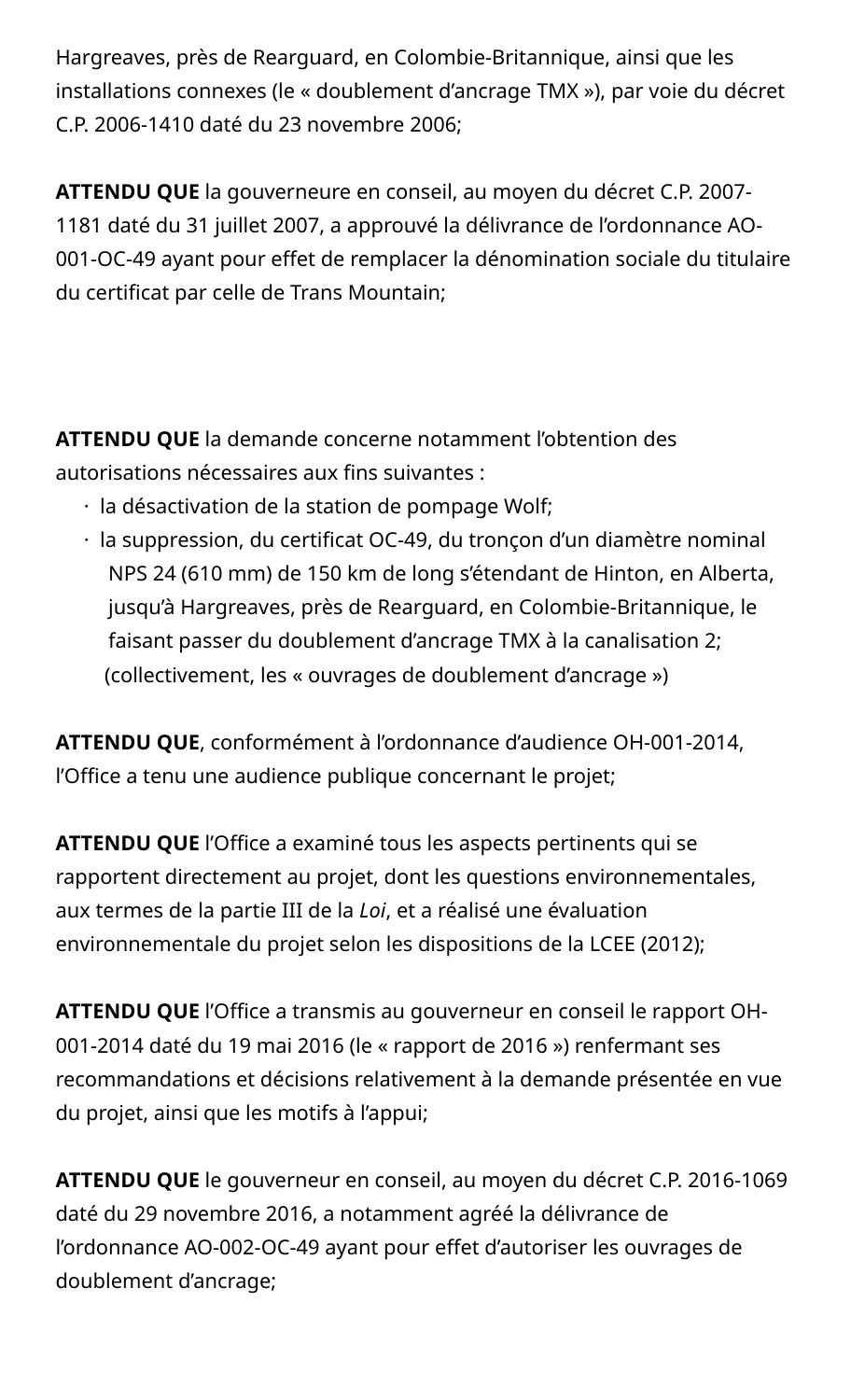Hargreaves, près de Rearguard, en Colombie-Britannique, ainsi que les installations connexes (le « doublement d'ancrage TMX »), par voie du décret C.P. 2006-1410 daté du 23 novembre 2006;

**ATTENDU QUE** la gouverneure en conseil, au moyen du décret C.P. 2007- 1181 daté du 31 juillet 2007, a approuvé la délivrance de l'ordonnance AO-001-OC-49 ayant pour effet de remplacer la dénomination sociale du titulaire du certificat par celle de Trans Mountain;

**ATTENDU QUE** la demande concerne notamment l'obtention des autorisations nécessaires aux fins suivantes :

- · la désactivation de la station de pompage Wolf;
- · la suppression, du certificat OC-49, du tronçon d'un diamètre nominal NPS 24 (610 mm) de 150 km de long s'étendant de Hinton, en Alberta, jusqu'à Hargreaves, près de Rearguard, en Colombie-Britannique, le faisant passer du doublement d'ancrage TMX à la canalisation 2; (collectivement, les « ouvrages de doublement d'ancrage »)

**ATTENDU QUE**, conformément à l'ordonnance d'audience OH-001-2014, l'Office a tenu une audience publique concernant le projet;

**ATTENDU QUE** l'Office a examiné tous les aspects pertinents qui se rapportent directement au projet, dont les questions environnementales, aux termes de la partie III de la *Loi*, et a réalisé une évaluation environnementale du projet selon les dispositions de la LCEE (2012);

**ATTENDU QUE** l'Office a transmis au gouverneur en conseil le rapport OH-001-2014 daté du 19 mai 2016 (le « rapport de 2016 ») renfermant ses recommandations et décisions relativement à la demande présentée en vue du projet, ainsi que les motifs à l'appui;

**ATTENDU QUE** le gouverneur en conseil, au moyen du décret C.P. 2016-1069 daté du 29 novembre 2016, a notamment agréé la délivrance de l'ordonnance AO-002-OC-49 ayant pour effet d'autoriser les ouvrages de doublement d'ancrage;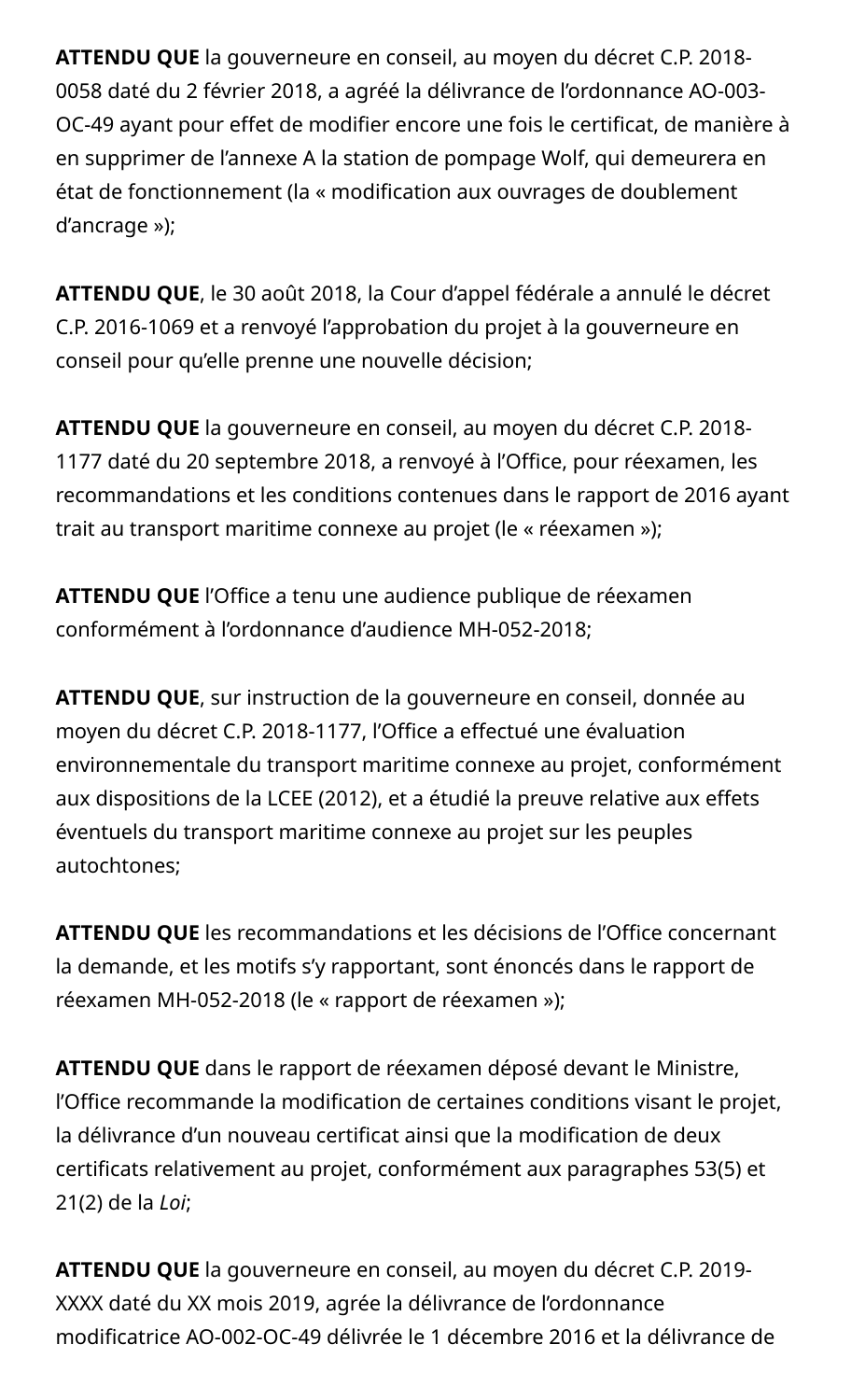**ATTENDU QUE** la gouverneure en conseil, au moyen du décret C.P. 2018- 0058 daté du 2 février 2018, a agréé la délivrance de l'ordonnance AO-003- OC-49 ayant pour effet de modifier encore une fois le certificat, de manière à en supprimer de l'annexe A la station de pompage Wolf, qui demeurera en état de fonctionnement (la « modification aux ouvrages de doublement d'ancrage »);

**ATTENDU QUE**, le 30 août 2018, la Cour d'appel fédérale a annulé le décret C.P. 2016-1069 et a renvoyé l'approbation du projet à la gouverneure en conseil pour qu'elle prenne une nouvelle décision;

**ATTENDU QUE** la gouverneure en conseil, au moyen du décret C.P. 2018- 1177 daté du 20 septembre 2018, a renvoyé à l'Office, pour réexamen, les recommandations et les conditions contenues dans le rapport de 2016 ayant trait au transport maritime connexe au projet (le « réexamen »);

**ATTENDU QUE** l'Office a tenu une audience publique de réexamen conformément à l'ordonnance d'audience MH-052-2018;

**ATTENDU QUE**, sur instruction de la gouverneure en conseil, donnée au moyen du décret C.P. 2018-1177, l'Office a effectué une évaluation environnementale du transport maritime connexe au projet, conformément aux dispositions de la LCEE (2012), et a étudié la preuve relative aux effets éventuels du transport maritime connexe au projet sur les peuples autochtones;

**ATTENDU QUE** les recommandations et les décisions de l'Office concernant la demande, et les motifs s'y rapportant, sont énoncés dans le rapport de réexamen MH-052-2018 (le « rapport de réexamen »);

**ATTENDU QUE** dans le rapport de réexamen déposé devant le Ministre, l'Office recommande la modification de certaines conditions visant le projet, la délivrance d'un nouveau certificat ainsi que la modification de deux certificats relativement au projet, conformément aux paragraphes 53(5) et 21(2) de la *Loi*;

**ATTENDU QUE** la gouverneure en conseil, au moyen du décret C.P. 2019- XXXX daté du XX mois 2019, agrée la délivrance de l'ordonnance modificatrice AO-002-OC-49 délivrée le 1 décembre 2016 et la délivrance de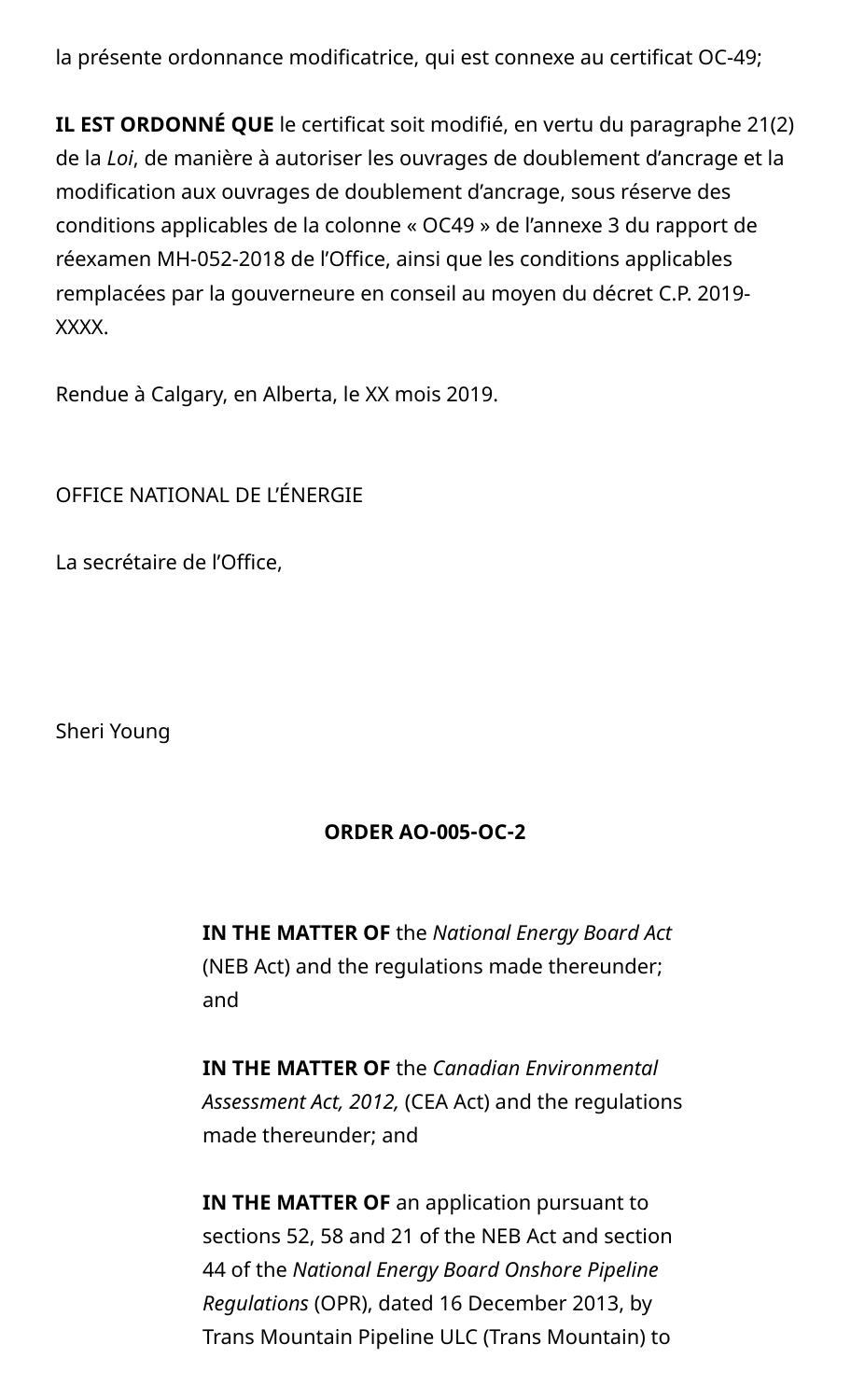la présente ordonnance modificatrice, qui est connexe au certificat OC-49;

**IL EST ORDONNÉ QUE** le certificat soit modifié, en vertu du paragraphe 21(2) de la *Loi*, de manière à autoriser les ouvrages de doublement d'ancrage et la modification aux ouvrages de doublement d'ancrage, sous réserve des conditions applicables de la colonne « OC49 » de l'annexe 3 du rapport de réexamen MH-052-2018 de l'Office, ainsi que les conditions applicables remplacées par la gouverneure en conseil au moyen du décret C.P. 2019- XXXX.

Rendue à Calgary, en Alberta, le XX mois 2019.

OFFICE NATIONAL DE L'ÉNERGIE

La secrétaire de l'Office,

Sheri Young

#### **ORDER AO-005-OC-2**

**IN THE MATTER OF** the *National Energy Board Act* (NEB Act) and the regulations made thereunder; and

**IN THE MATTER OF** the *Canadian Environmental Assessment Act, 2012,* (CEA Act) and the regulations made thereunder; and

**IN THE MATTER OF** an application pursuant to sections 52, 58 and 21 of the NEB Act and section 44 of the *National Energy Board Onshore Pipeline Regulations* (OPR), dated 16 December 2013, by Trans Mountain Pipeline ULC (Trans Mountain) to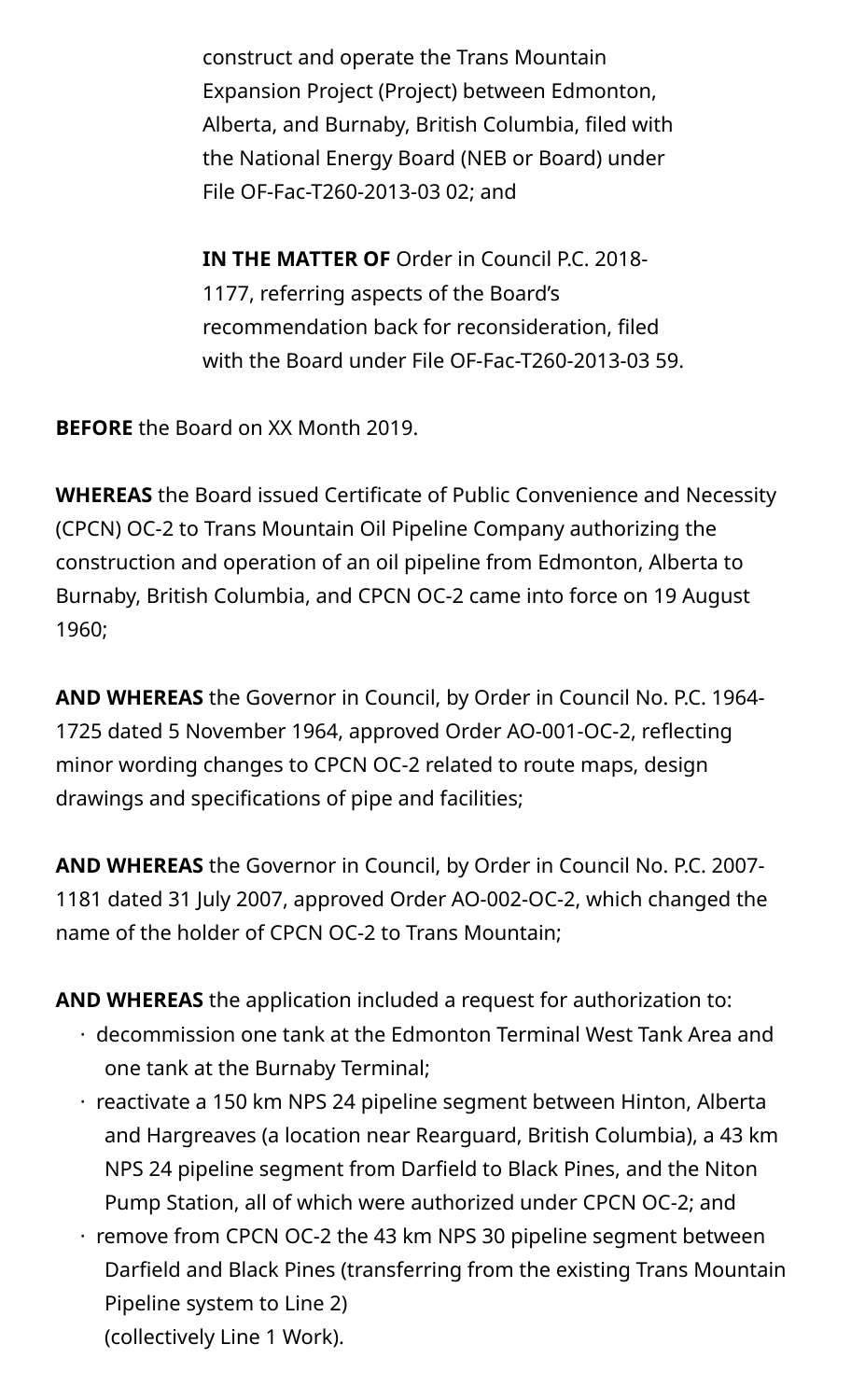construct and operate the Trans Mountain Expansion Project (Project) between Edmonton, Alberta, and Burnaby, British Columbia, filed with the National Energy Board (NEB or Board) under File OF-Fac-T260-2013-03 02; and

**IN THE MATTER OF** Order in Council P.C. 2018- 1177, referring aspects of the Board's recommendation back for reconsideration, filed with the Board under File OF-Fac-T260-2013-03 59.

**BEFORE** the Board on XX Month 2019.

**WHEREAS** the Board issued Certificate of Public Convenience and Necessity (CPCN) OC-2 to Trans Mountain Oil Pipeline Company authorizing the construction and operation of an oil pipeline from Edmonton, Alberta to Burnaby, British Columbia, and CPCN OC-2 came into force on 19 August 1960;

**AND WHEREAS** the Governor in Council, by Order in Council No. P.C. 1964- 1725 dated 5 November 1964, approved Order AO-001-OC-2, reflecting minor wording changes to CPCN OC-2 related to route maps, design drawings and specifications of pipe and facilities;

**AND WHEREAS** the Governor in Council, by Order in Council No. P.C. 2007- 1181 dated 31 July 2007, approved Order AO-002-OC-2, which changed the name of the holder of CPCN OC-2 to Trans Mountain;

**AND WHEREAS** the application included a request for authorization to:

- · decommission one tank at the Edmonton Terminal West Tank Area and one tank at the Burnaby Terminal;
- · reactivate a 150 km NPS 24 pipeline segment between Hinton, Alberta and Hargreaves (a location near Rearguard, British Columbia), a 43 km NPS 24 pipeline segment from Darfield to Black Pines, and the Niton Pump Station, all of which were authorized under CPCN OC-2; and
- · remove from CPCN OC-2 the 43 km NPS 30 pipeline segment between Darfield and Black Pines (transferring from the existing Trans Mountain Pipeline system to Line 2) (collectively Line 1 Work).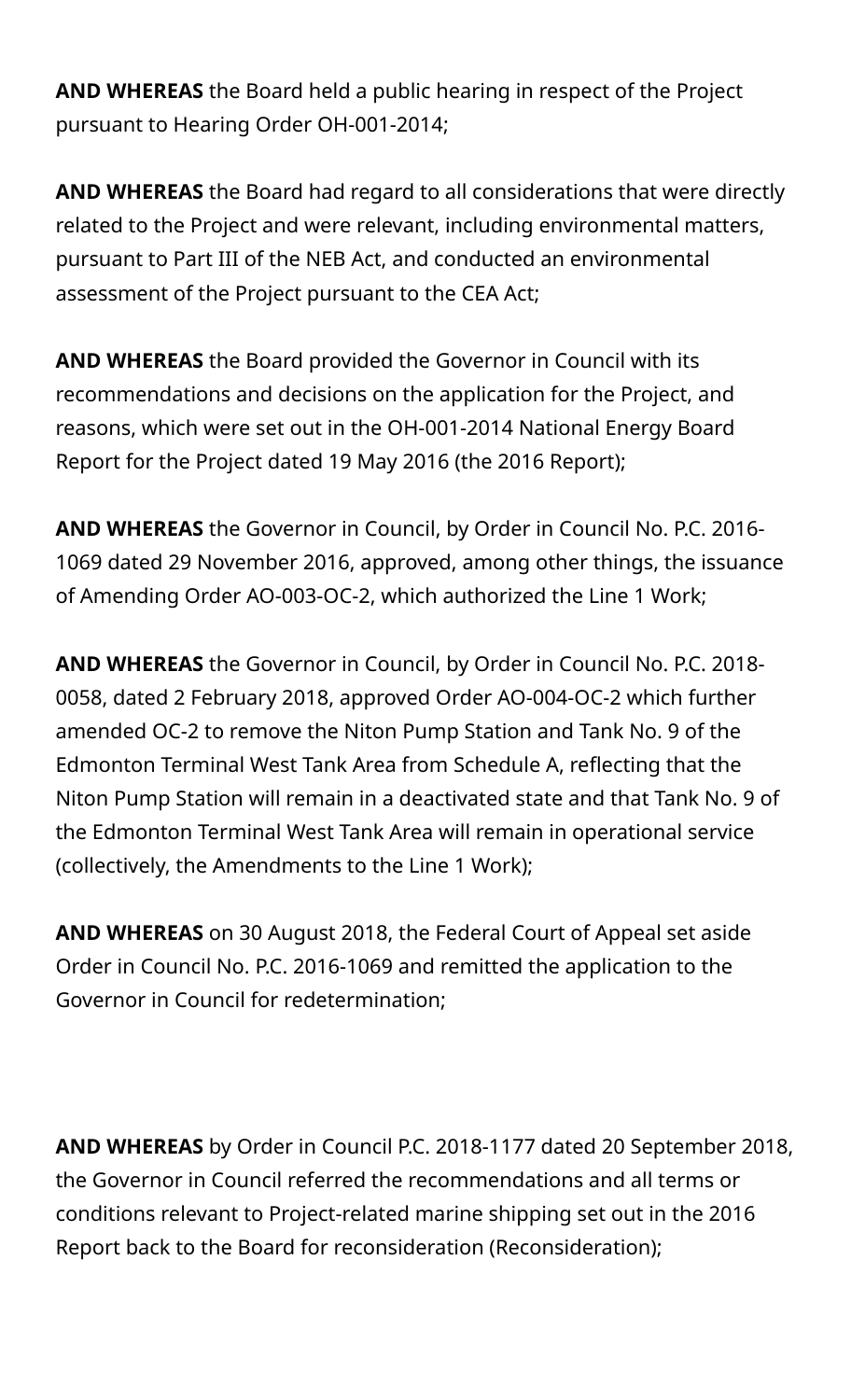**AND WHEREAS** the Board held a public hearing in respect of the Project pursuant to Hearing Order OH-001-2014;

**AND WHEREAS** the Board had regard to all considerations that were directly related to the Project and were relevant, including environmental matters, pursuant to Part III of the NEB Act, and conducted an environmental assessment of the Project pursuant to the CEA Act;

**AND WHEREAS** the Board provided the Governor in Council with its recommendations and decisions on the application for the Project, and reasons, which were set out in the OH-001-2014 National Energy Board Report for the Project dated 19 May 2016 (the 2016 Report);

**AND WHEREAS** the Governor in Council, by Order in Council No. P.C. 2016- 1069 dated 29 November 2016, approved, among other things, the issuance of Amending Order AO-003-OC-2, which authorized the Line 1 Work;

**AND WHEREAS** the Governor in Council, by Order in Council No. P.C. 2018- 0058, dated 2 February 2018, approved Order AO-004-OC-2 which further amended OC-2 to remove the Niton Pump Station and Tank No. 9 of the Edmonton Terminal West Tank Area from Schedule A, reflecting that the Niton Pump Station will remain in a deactivated state and that Tank No. 9 of the Edmonton Terminal West Tank Area will remain in operational service (collectively, the Amendments to the Line 1 Work);

**AND WHEREAS** on 30 August 2018, the Federal Court of Appeal set aside Order in Council No. P.C. 2016-1069 and remitted the application to the Governor in Council for redetermination;

**AND WHEREAS** by Order in Council P.C. 2018-1177 dated 20 September 2018, the Governor in Council referred the recommendations and all terms or conditions relevant to Project-related marine shipping set out in the 2016 Report back to the Board for reconsideration (Reconsideration);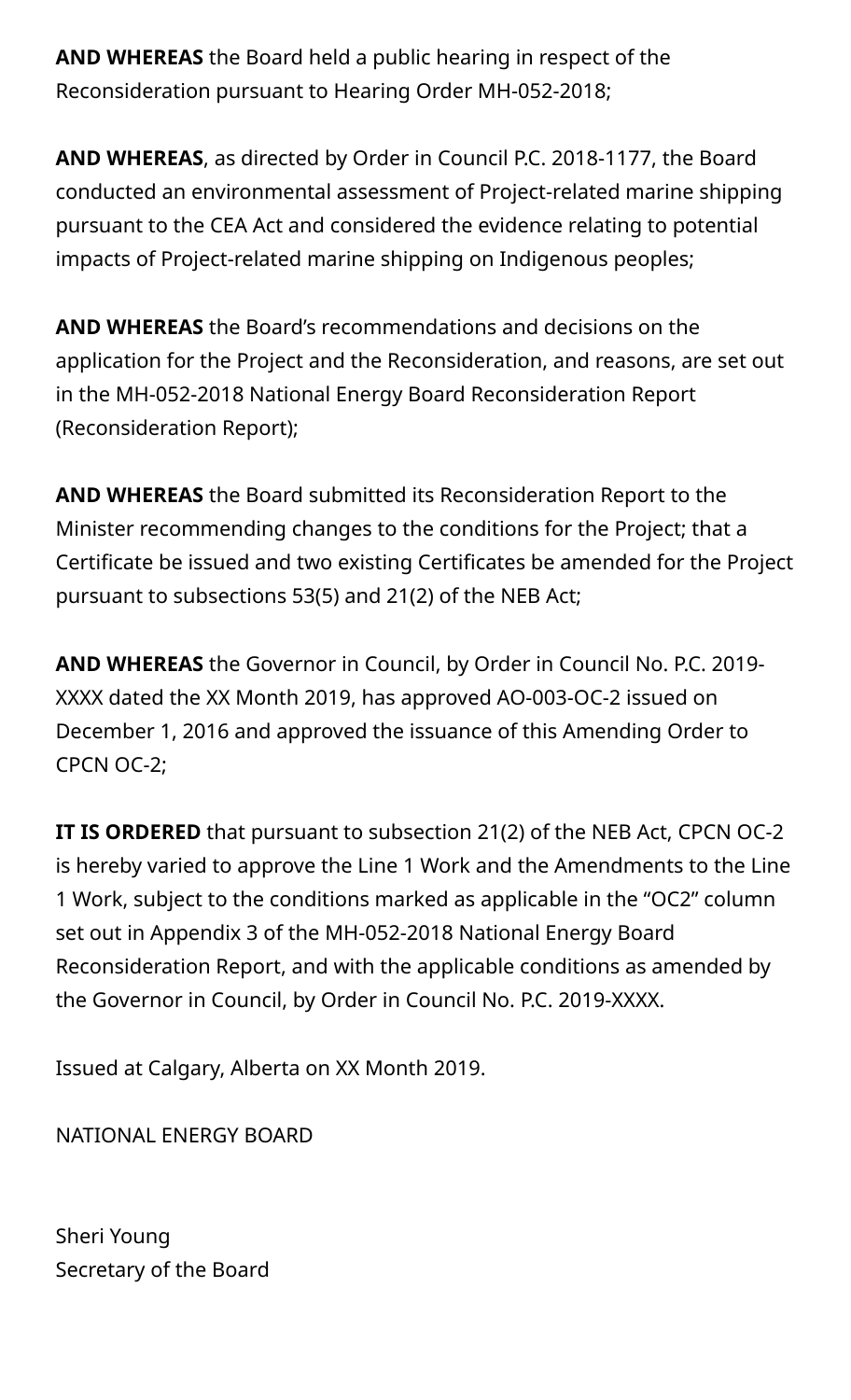**AND WHEREAS** the Board held a public hearing in respect of the Reconsideration pursuant to Hearing Order MH-052-2018;

**AND WHEREAS**, as directed by Order in Council P.C. 2018-1177, the Board conducted an environmental assessment of Project-related marine shipping pursuant to the CEA Act and considered the evidence relating to potential impacts of Project-related marine shipping on Indigenous peoples;

**AND WHEREAS** the Board's recommendations and decisions on the application for the Project and the Reconsideration, and reasons, are set out in the MH-052-2018 National Energy Board Reconsideration Report (Reconsideration Report);

**AND WHEREAS** the Board submitted its Reconsideration Report to the Minister recommending changes to the conditions for the Project; that a Certificate be issued and two existing Certificates be amended for the Project pursuant to subsections 53(5) and 21(2) of the NEB Act;

**AND WHEREAS** the Governor in Council, by Order in Council No. P.C. 2019- XXXX dated the XX Month 2019, has approved AO-003-OC-2 issued on December 1, 2016 and approved the issuance of this Amending Order to CPCN OC-2;

**IT IS ORDERED** that pursuant to subsection 21(2) of the NEB Act, CPCN OC-2 is hereby varied to approve the Line 1 Work and the Amendments to the Line 1 Work, subject to the conditions marked as applicable in the "OC2" column set out in Appendix 3 of the MH-052-2018 National Energy Board Reconsideration Report, and with the applicable conditions as amended by the Governor in Council, by Order in Council No. P.C. 2019-XXXX.

Issued at Calgary, Alberta on XX Month 2019.

NATIONAL ENERGY BOARD

Sheri Young Secretary of the Board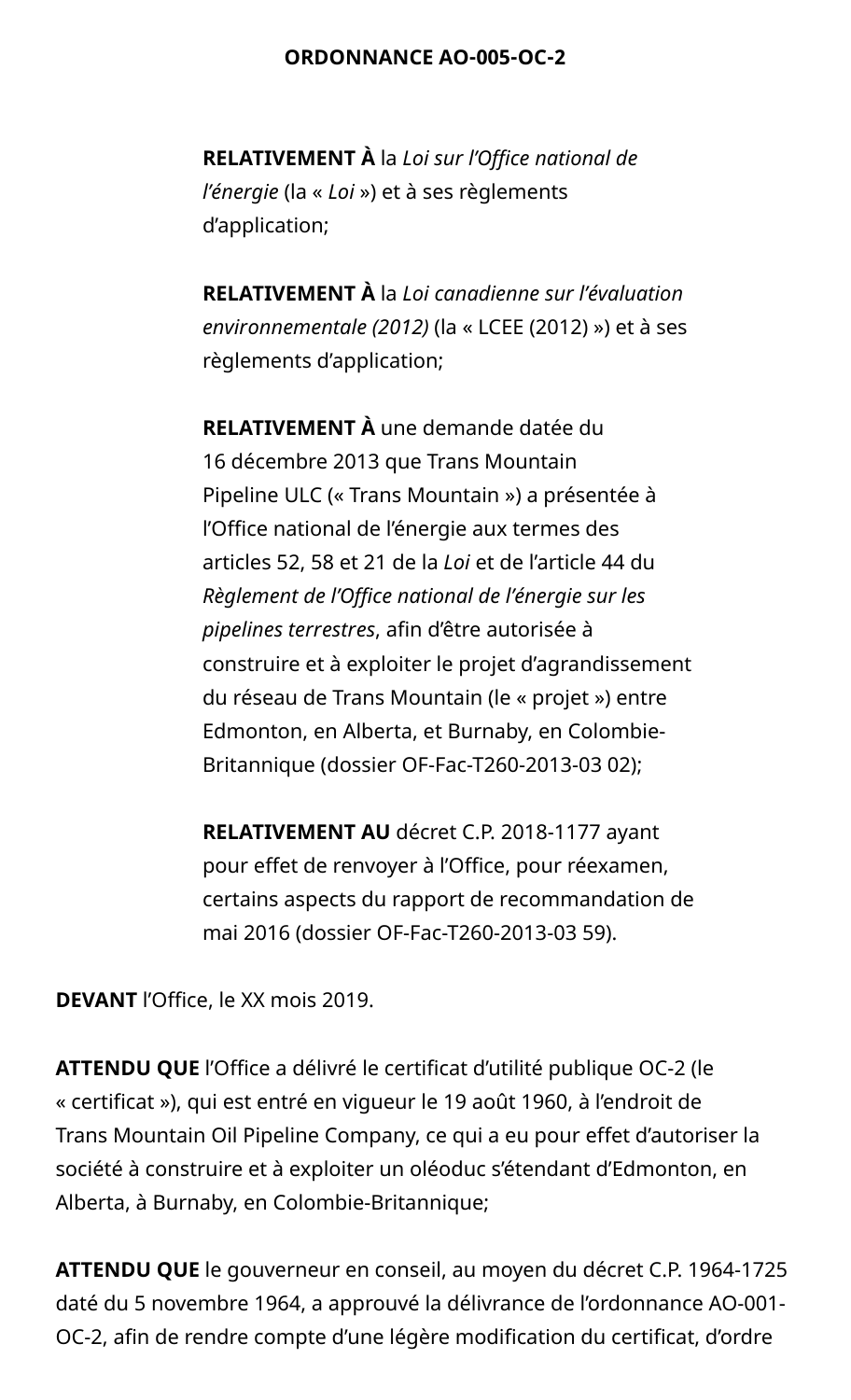#### **ORDONNANCE AO-005-OC-2**

**RELATIVEMENT À** la *Loi sur l'Office national de l'énergie* (la « *Loi* ») et à ses règlements d'application;

**RELATIVEMENT À** la *Loi canadienne sur l'évaluation environnementale (2012)* (la « LCEE (2012) ») et à ses règlements d'application;

**RELATIVEMENT À** une demande datée du 16 décembre 2013 que Trans Mountain Pipeline ULC (« Trans Mountain ») a présentée à l'Office national de l'énergie aux termes des articles 52, 58 et 21 de la *Loi* et de l'article 44 du *Règlement de l'Office national de l'énergie sur les pipelines terrestres*, afin d'être autorisée à construire et à exploiter le projet d'agrandissement du réseau de Trans Mountain (le « projet ») entre Edmonton, en Alberta, et Burnaby, en Colombie-Britannique (dossier OF-Fac-T260-2013-03 02);

**RELATIVEMENT AU** décret C.P. 2018-1177 ayant pour effet de renvoyer à l'Office, pour réexamen, certains aspects du rapport de recommandation de mai 2016 (dossier OF-Fac-T260-2013-03 59).

**DEVANT** l'Office, le XX mois 2019.

**ATTENDU QUE** l'Office a délivré le certificat d'utilité publique OC-2 (le « certificat »), qui est entré en vigueur le 19 août 1960, à l'endroit de Trans Mountain Oil Pipeline Company, ce qui a eu pour effet d'autoriser la société à construire et à exploiter un oléoduc s'étendant d'Edmonton, en Alberta, à Burnaby, en Colombie-Britannique;

**ATTENDU QUE** le gouverneur en conseil, au moyen du décret C.P. 1964-1725 daté du 5 novembre 1964, a approuvé la délivrance de l'ordonnance AO-001- OC-2, afin de rendre compte d'une légère modification du certificat, d'ordre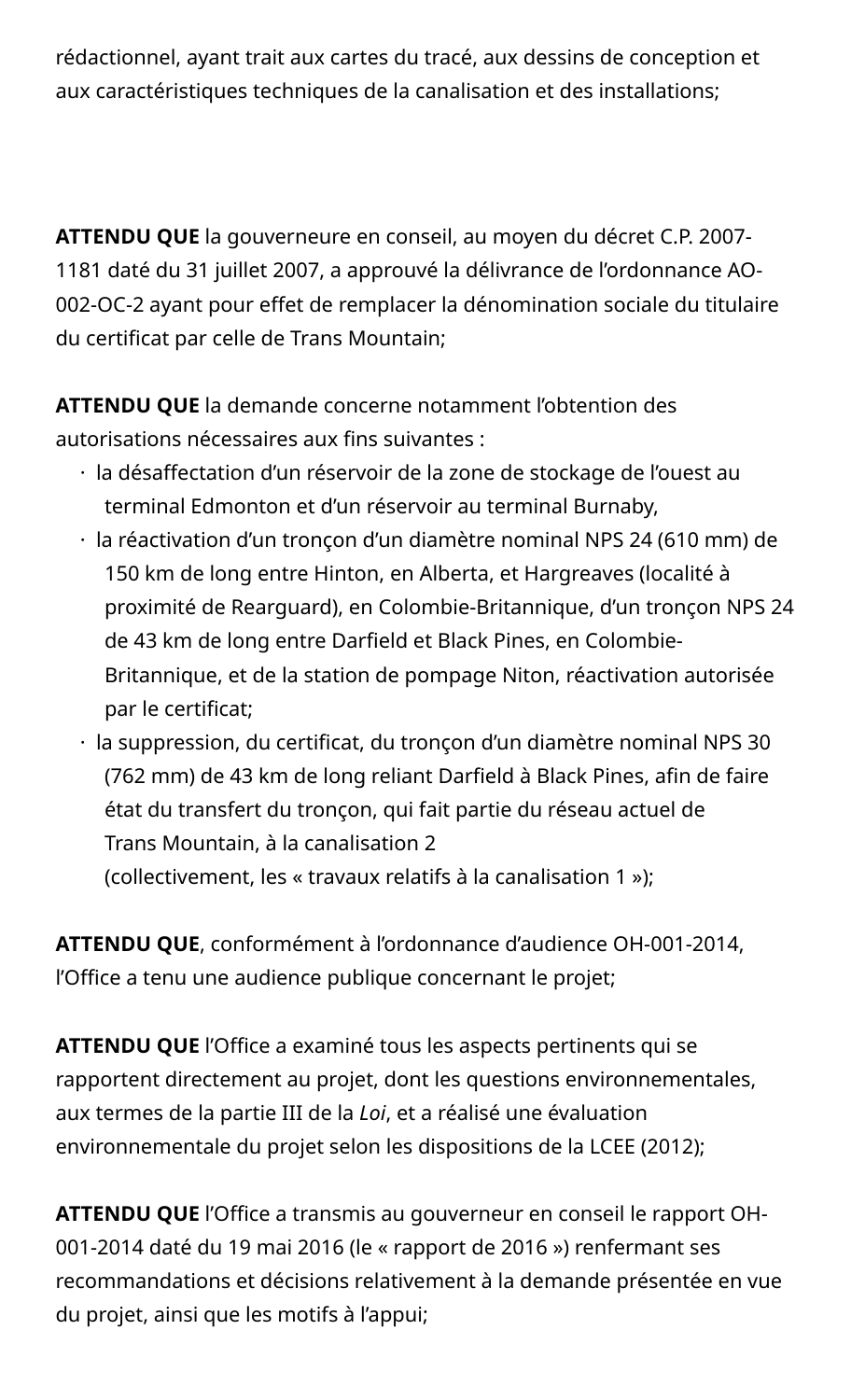rédactionnel, ayant trait aux cartes du tracé, aux dessins de conception et aux caractéristiques techniques de la canalisation et des installations;

**ATTENDU QUE** la gouverneure en conseil, au moyen du décret C.P. 2007- 1181 daté du 31 juillet 2007, a approuvé la délivrance de l'ordonnance AO-002-OC-2 ayant pour effet de remplacer la dénomination sociale du titulaire du certificat par celle de Trans Mountain;

**ATTENDU QUE** la demande concerne notamment l'obtention des autorisations nécessaires aux fins suivantes :

- · la désaffectation d'un réservoir de la zone de stockage de l'ouest au terminal Edmonton et d'un réservoir au terminal Burnaby,
- · la réactivation d'un tronçon d'un diamètre nominal NPS 24 (610 mm) de 150 km de long entre Hinton, en Alberta, et Hargreaves (localité à proximité de Rearguard), en Colombie-Britannique, d'un tronçon NPS 24 de 43 km de long entre Darfield et Black Pines, en Colombie-Britannique, et de la station de pompage Niton, réactivation autorisée par le certificat;
- · la suppression, du certificat, du tronçon d'un diamètre nominal NPS 30 (762 mm) de 43 km de long reliant Darfield à Black Pines, afin de faire état du transfert du tronçon, qui fait partie du réseau actuel de Trans Mountain, à la canalisation 2

(collectivement, les « travaux relatifs à la canalisation 1 »);

**ATTENDU QUE**, conformément à l'ordonnance d'audience OH-001-2014, l'Office a tenu une audience publique concernant le projet;

**ATTENDU QUE** l'Office a examiné tous les aspects pertinents qui se rapportent directement au projet, dont les questions environnementales, aux termes de la partie III de la *Loi*, et a réalisé une évaluation environnementale du projet selon les dispositions de la LCEE (2012);

**ATTENDU QUE** l'Office a transmis au gouverneur en conseil le rapport OH-001-2014 daté du 19 mai 2016 (le « rapport de 2016 ») renfermant ses recommandations et décisions relativement à la demande présentée en vue du projet, ainsi que les motifs à l'appui;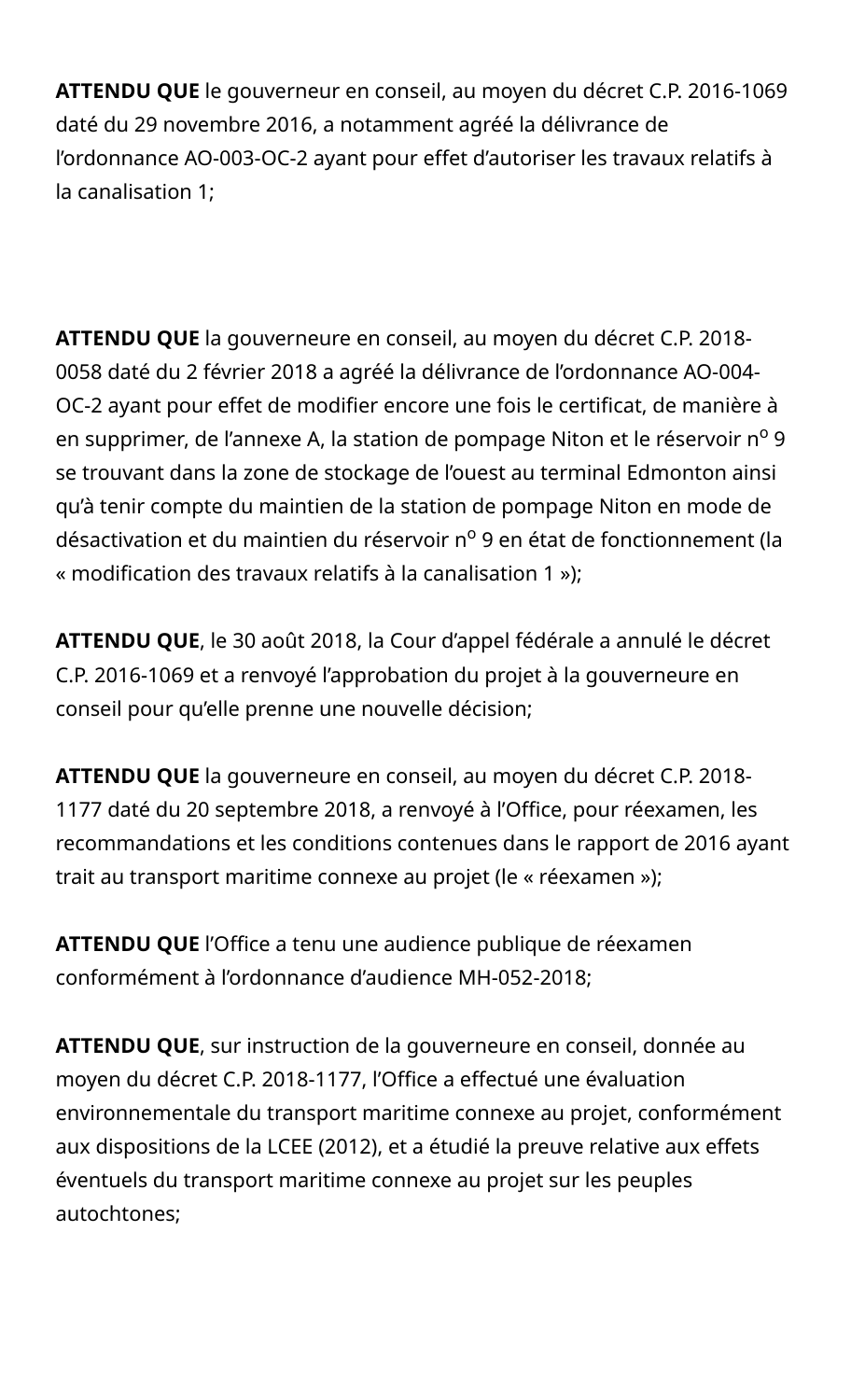**ATTENDU QUE** le gouverneur en conseil, au moyen du décret C.P. 2016-1069 daté du 29 novembre 2016, a notamment agréé la délivrance de l'ordonnance AO-003-OC-2 ayant pour effet d'autoriser les travaux relatifs à la canalisation 1;

**ATTENDU QUE** la gouverneure en conseil, au moyen du décret C.P. 2018- 0058 daté du 2 février 2018 a agréé la délivrance de l'ordonnance AO-004- OC-2 ayant pour effet de modifier encore une fois le certificat, de manière à en supprimer, de l'annexe A, la station de pompage Niton et le réservoir nº 9 se trouvant dans la zone de stockage de l'ouest au terminal Edmonton ainsi qu'à tenir compte du maintien de la station de pompage Niton en mode de désactivation et du maintien du réservoir nº 9 en état de fonctionnement (la « modification des travaux relatifs à la canalisation 1 »);

**ATTENDU QUE**, le 30 août 2018, la Cour d'appel fédérale a annulé le décret C.P. 2016-1069 et a renvoyé l'approbation du projet à la gouverneure en conseil pour qu'elle prenne une nouvelle décision;

**ATTENDU QUE** la gouverneure en conseil, au moyen du décret C.P. 2018- 1177 daté du 20 septembre 2018, a renvoyé à l'Office, pour réexamen, les recommandations et les conditions contenues dans le rapport de 2016 ayant trait au transport maritime connexe au projet (le « réexamen »);

**ATTENDU QUE** l'Office a tenu une audience publique de réexamen conformément à l'ordonnance d'audience MH-052-2018;

**ATTENDU QUE**, sur instruction de la gouverneure en conseil, donnée au moyen du décret C.P. 2018-1177, l'Office a effectué une évaluation environnementale du transport maritime connexe au projet, conformément aux dispositions de la LCEE (2012), et a étudié la preuve relative aux effets éventuels du transport maritime connexe au projet sur les peuples autochtones;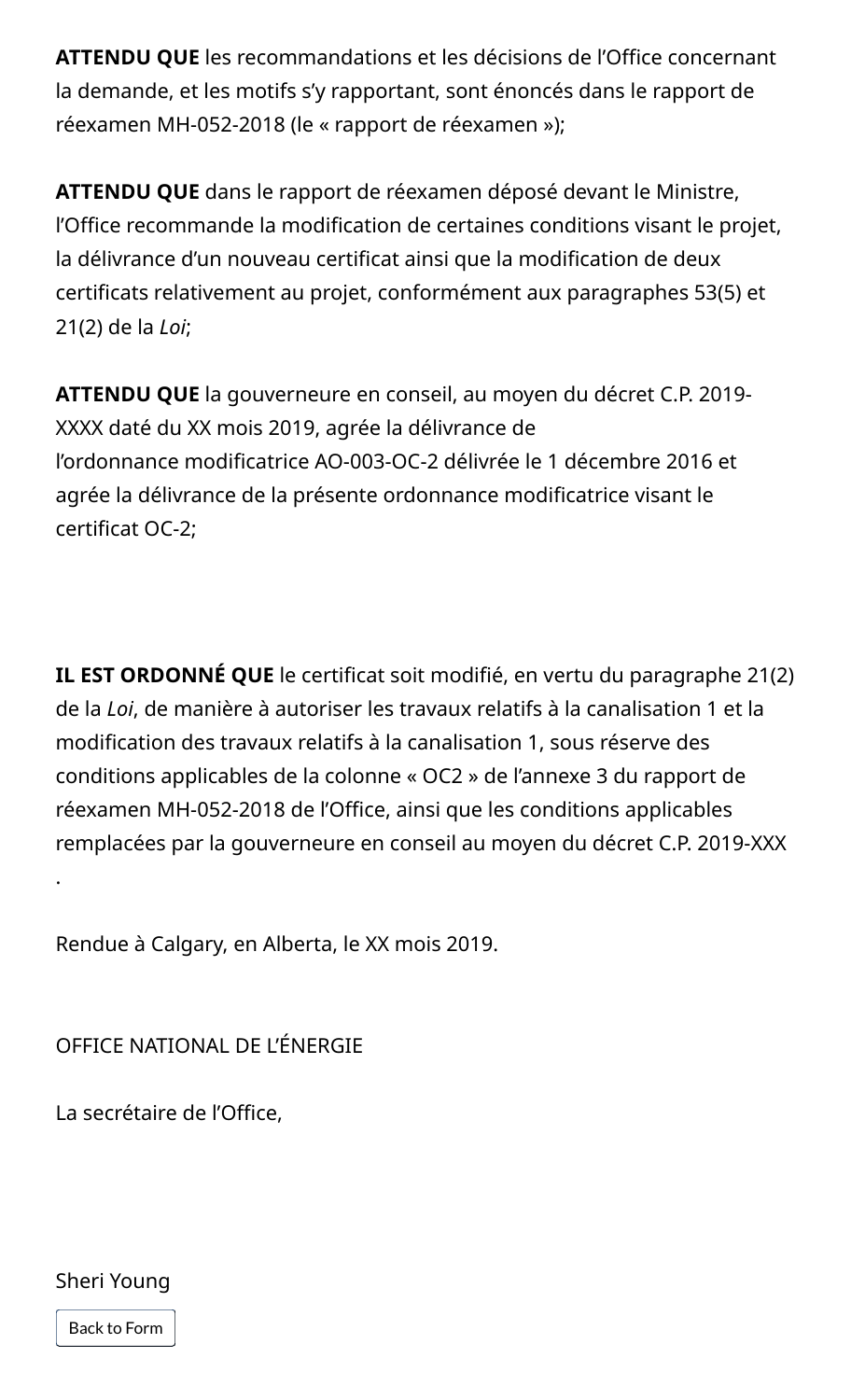**ATTENDU QUE** les recommandations et les décisions de l'Office concernant la demande, et les motifs s'y rapportant, sont énoncés dans le rapport de réexamen MH-052-2018 (le « rapport de réexamen »);

**ATTENDU QUE** dans le rapport de réexamen déposé devant le Ministre, l'Office recommande la modification de certaines conditions visant le projet, la délivrance d'un nouveau certificat ainsi que la modification de deux certificats relativement au projet, conformément aux paragraphes 53(5) et 21(2) de la *Loi*;

**ATTENDU QUE** la gouverneure en conseil, au moyen du décret C.P. 2019- XXXX daté du XX mois 2019, agrée la délivrance de l'ordonnance modificatrice AO-003-OC-2 délivrée le 1 décembre 2016 et agrée la délivrance de la présente ordonnance modificatrice visant le certificat OC-2;

**IL EST ORDONNÉ QUE** le certificat soit modifié, en vertu du paragraphe 21(2) de la *Loi*, de manière à autoriser les travaux relatifs à la canalisation 1 et la modification des travaux relatifs à la canalisation 1, sous réserve des conditions applicables de la colonne « OC2 » de l'annexe 3 du rapport de réexamen MH-052-2018 de l'Office, ainsi que les conditions applicables remplacées par la gouverneure en conseil au moyen du décret C.P. 2019-XXX .

Rendue à Calgary, en Alberta, le XX mois 2019.

OFFICE NATIONAL DE L'ÉNERGIE

La secrétaire de l'Office,

Sheri Young

Back to Form